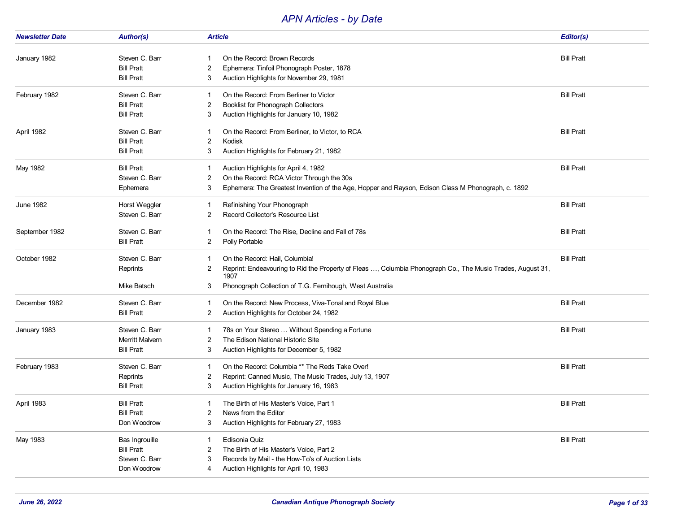## *APN Articles - by Date*

| <b>Newsletter Date</b> | <b>Author(s)</b>  | <b>Article</b>                                                                                                  | Editor(s)         |
|------------------------|-------------------|-----------------------------------------------------------------------------------------------------------------|-------------------|
|                        |                   |                                                                                                                 |                   |
| January 1982           | Steven C. Barr    | On the Record: Brown Records                                                                                    | <b>Bill Pratt</b> |
|                        | <b>Bill Pratt</b> | Ephemera: Tinfoil Phonograph Poster, 1878<br>2                                                                  |                   |
|                        | <b>Bill Pratt</b> | Auction Highlights for November 29, 1981<br>3                                                                   |                   |
| February 1982          | Steven C. Barr    | On the Record: From Berliner to Victor                                                                          | <b>Bill Pratt</b> |
|                        | <b>Bill Pratt</b> | <b>Booklist for Phonograph Collectors</b><br>2                                                                  |                   |
|                        | <b>Bill Pratt</b> | Auction Highlights for January 10, 1982<br>3                                                                    |                   |
| April 1982             | Steven C. Barr    | On the Record: From Berliner, to Victor, to RCA<br>-1                                                           | <b>Bill Pratt</b> |
|                        | <b>Bill Pratt</b> | 2<br>Kodisk                                                                                                     |                   |
|                        | <b>Bill Pratt</b> | Auction Highlights for February 21, 1982<br>3                                                                   |                   |
| May 1982               | <b>Bill Pratt</b> | Auction Highlights for April 4, 1982                                                                            | <b>Bill Pratt</b> |
|                        | Steven C. Barr    | On the Record: RCA Victor Through the 30s<br>2                                                                  |                   |
|                        | Ephemera          | Ephemera: The Greatest Invention of the Age, Hopper and Rayson, Edison Class M Phonograph, c. 1892<br>3         |                   |
| June 1982              | Horst Weggler     | Refinishing Your Phonograph<br>-1                                                                               | <b>Bill Pratt</b> |
|                        | Steven C. Barr    | Record Collector's Resource List<br>2                                                                           |                   |
| September 1982         | Steven C. Barr    | On the Record: The Rise, Decline and Fall of 78s<br>-1                                                          | <b>Bill Pratt</b> |
|                        | <b>Bill Pratt</b> | Polly Portable<br>2                                                                                             |                   |
| October 1982           | Steven C. Barr    | On the Record: Hail, Columbia!                                                                                  | <b>Bill Pratt</b> |
|                        | Reprints          | Reprint: Endeavouring to Rid the Property of Fleas , Columbia Phonograph Co., The Music Trades, August 31,<br>2 |                   |
|                        |                   | 1907                                                                                                            |                   |
|                        | Mike Batsch       | Phonograph Collection of T.G. Fernihough, West Australia<br>3                                                   |                   |
| December 1982          | Steven C. Barr    | On the Record: New Process, Viva-Tonal and Royal Blue<br>-1                                                     | <b>Bill Pratt</b> |
|                        | <b>Bill Pratt</b> | Auction Highlights for October 24, 1982<br>2                                                                    |                   |
| January 1983           | Steven C. Barr    | 78s on Your Stereo  Without Spending a Fortune                                                                  | <b>Bill Pratt</b> |
|                        | Merritt Malvern   | The Edison National Historic Site<br>2                                                                          |                   |
|                        | <b>Bill Pratt</b> | Auction Highlights for December 5, 1982<br>3                                                                    |                   |
| February 1983          | Steven C. Barr    | On the Record: Columbia ** The Reds Take Over!<br>-1                                                            | <b>Bill Pratt</b> |
|                        | Reprints          | Reprint: Canned Music, The Music Trades, July 13, 1907<br>2                                                     |                   |
|                        | <b>Bill Pratt</b> | Auction Highlights for January 16, 1983<br>3                                                                    |                   |
| April 1983             | <b>Bill Pratt</b> | The Birth of His Master's Voice, Part 1<br>1                                                                    | <b>Bill Pratt</b> |
|                        | <b>Bill Pratt</b> | News from the Editor<br>2                                                                                       |                   |
|                        | Don Woodrow       | Auction Highlights for February 27, 1983<br>3                                                                   |                   |
| May 1983               | Bas Ingrouille    | Edisonia Quiz                                                                                                   | <b>Bill Pratt</b> |
|                        | <b>Bill Pratt</b> | The Birth of His Master's Voice, Part 2                                                                         |                   |
|                        | Steven C. Barr    | Records by Mail - the How-To's of Auction Lists<br>3                                                            |                   |
|                        | Don Woodrow       | Auction Highlights for April 10, 1983                                                                           |                   |
|                        |                   |                                                                                                                 |                   |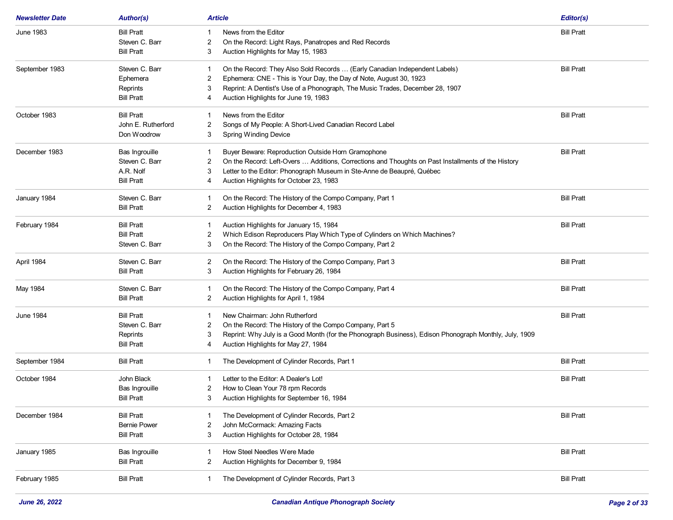| <b>Newsletter Date</b> | <b>Author(s)</b>    | <b>Article</b>                                                                                              | Editor(s)         |
|------------------------|---------------------|-------------------------------------------------------------------------------------------------------------|-------------------|
| June 1983              | <b>Bill Pratt</b>   | News from the Editor                                                                                        | <b>Bill Pratt</b> |
|                        | Steven C. Barr      | On the Record: Light Rays, Panatropes and Red Records<br>2                                                  |                   |
|                        | <b>Bill Pratt</b>   | Auction Highlights for May 15, 1983<br>3                                                                    |                   |
| September 1983         | Steven C. Barr      | On the Record: They Also Sold Records  (Early Canadian Independent Labels)                                  | <b>Bill Pratt</b> |
|                        | Ephemera            | Ephemera: CNE - This is Your Day, the Day of Note, August 30, 1923<br>2                                     |                   |
|                        | Reprints            | Reprint: A Dentist's Use of a Phonograph, The Music Trades, December 28, 1907<br>3                          |                   |
|                        | <b>Bill Pratt</b>   | Auction Highlights for June 19, 1983<br>4                                                                   |                   |
| October 1983           | <b>Bill Pratt</b>   | News from the Editor                                                                                        | <b>Bill Pratt</b> |
|                        | John E. Rutherford  | Songs of My People: A Short-Lived Canadian Record Label<br>2                                                |                   |
|                        | Don Woodrow         | <b>Spring Winding Device</b><br>3                                                                           |                   |
| December 1983          | Bas Ingrouille      | Buyer Beware: Reproduction Outside Horn Gramophone<br>-1                                                    | <b>Bill Pratt</b> |
|                        | Steven C. Barr      | On the Record: Left-Overs  Additions, Corrections and Thoughts on Past Installments of the History<br>2     |                   |
|                        | A.R. Nolf           | Letter to the Editor: Phonograph Museum in Ste-Anne de Beaupré, Québec<br>3                                 |                   |
|                        | <b>Bill Pratt</b>   | Auction Highlights for October 23, 1983<br>4                                                                |                   |
| January 1984           | Steven C. Barr      | On the Record: The History of the Compo Company, Part 1<br>-1                                               | <b>Bill Pratt</b> |
|                        | <b>Bill Pratt</b>   | Auction Highlights for December 4, 1983<br>2                                                                |                   |
| February 1984          | <b>Bill Pratt</b>   | Auction Highlights for January 15, 1984<br>-1                                                               | <b>Bill Pratt</b> |
|                        | <b>Bill Pratt</b>   | Which Edison Reproducers Play Which Type of Cylinders on Which Machines?<br>2                               |                   |
|                        | Steven C. Barr      | On the Record: The History of the Compo Company, Part 2<br>3                                                |                   |
| April 1984             | Steven C. Barr      | On the Record: The History of the Compo Company, Part 3<br>2                                                | <b>Bill Pratt</b> |
|                        | <b>Bill Pratt</b>   | Auction Highlights for February 26, 1984<br>3                                                               |                   |
| May 1984               | Steven C. Barr      | On the Record: The History of the Compo Company, Part 4<br>1                                                | <b>Bill Pratt</b> |
|                        | <b>Bill Pratt</b>   | Auction Highlights for April 1, 1984<br>2                                                                   |                   |
| June 1984              | <b>Bill Pratt</b>   | New Chairman: John Rutherford<br>-1                                                                         | <b>Bill Pratt</b> |
|                        | Steven C. Barr      | On the Record: The History of the Compo Company, Part 5<br>2                                                |                   |
|                        | Reprints            | Reprint: Why July is a Good Month (for the Phonograph Business), Edison Phonograph Monthly, July, 1909<br>3 |                   |
|                        | <b>Bill Pratt</b>   | Auction Highlights for May 27, 1984<br>4                                                                    |                   |
| September 1984         | <b>Bill Pratt</b>   | The Development of Cylinder Records, Part 1<br>1                                                            | <b>Bill Pratt</b> |
| October 1984           | John Black          | Letter to the Editor: A Dealer's Lot!                                                                       | <b>Bill Pratt</b> |
|                        | Bas Ingrouille      | How to Clean Your 78 rpm Records<br>2                                                                       |                   |
|                        | <b>Bill Pratt</b>   | Auction Highlights for September 16, 1984<br>3                                                              |                   |
| December 1984          | <b>Bill Pratt</b>   | The Development of Cylinder Records, Part 2                                                                 | <b>Bill Pratt</b> |
|                        | <b>Bernie Power</b> | John McCormack: Amazing Facts<br>2                                                                          |                   |
|                        | <b>Bill Pratt</b>   | 3<br>Auction Highlights for October 28, 1984                                                                |                   |
| January 1985           | Bas Ingrouille      | How Steel Needles Were Made<br>1                                                                            | <b>Bill Pratt</b> |
|                        | <b>Bill Pratt</b>   | Auction Highlights for December 9, 1984<br>2                                                                |                   |
| February 1985          | <b>Bill Pratt</b>   | The Development of Cylinder Records, Part 3<br>$\mathbf{1}$                                                 | <b>Bill Pratt</b> |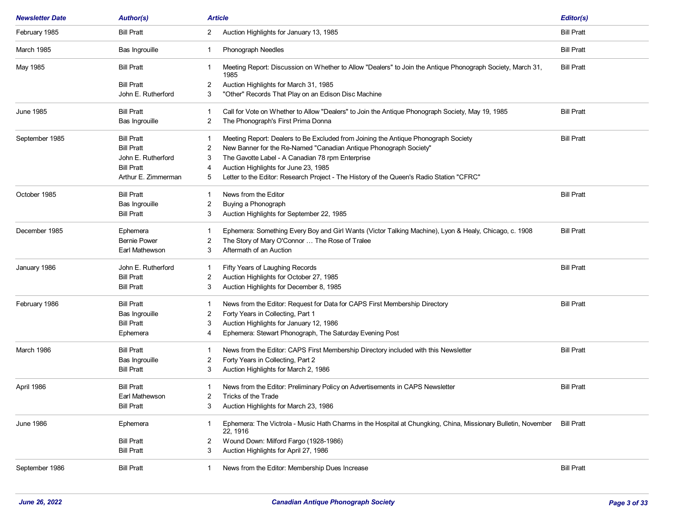| <b>Article</b><br><b>Newsletter Date</b><br><b>Author(s)</b> |                     |                                                                                                                                | Editor(s)         |
|--------------------------------------------------------------|---------------------|--------------------------------------------------------------------------------------------------------------------------------|-------------------|
| February 1985                                                | <b>Bill Pratt</b>   | Auction Highlights for January 13, 1985<br>$\mathbf{2}$                                                                        | <b>Bill Pratt</b> |
| <b>March 1985</b>                                            | Bas Ingrouille      | Phonograph Needles<br>1                                                                                                        | <b>Bill Pratt</b> |
| May 1985                                                     | <b>Bill Pratt</b>   | Meeting Report: Discussion on Whether to Allow "Dealers" to Join the Antique Phonograph Society, March 31,<br>-1<br>1985       | <b>Bill Pratt</b> |
|                                                              | <b>Bill Pratt</b>   | Auction Highlights for March 31, 1985<br>2                                                                                     |                   |
|                                                              | John E. Rutherford  | "Other" Records That Play on an Edison Disc Machine<br>3                                                                       |                   |
| <b>June 1985</b>                                             | <b>Bill Pratt</b>   | Call for Vote on Whether to Allow "Dealers" to Join the Antique Phonograph Society, May 19, 1985<br>-1                         | <b>Bill Pratt</b> |
|                                                              | Bas Ingrouille      | The Phonograph's First Prima Donna<br>2                                                                                        |                   |
| September 1985                                               | <b>Bill Pratt</b>   | Meeting Report: Dealers to Be Excluded from Joining the Antique Phonograph Society                                             | <b>Bill Pratt</b> |
|                                                              | <b>Bill Pratt</b>   | New Banner for the Re-Named "Canadian Antique Phonograph Society"<br>2                                                         |                   |
|                                                              | John E. Rutherford  | The Gavotte Label - A Canadian 78 rpm Enterprise<br>3                                                                          |                   |
|                                                              | <b>Bill Pratt</b>   | Auction Highlights for June 23, 1985<br>4                                                                                      |                   |
|                                                              | Arthur E. Zimmerman | Letter to the Editor: Research Project - The History of the Queen's Radio Station "CFRC"<br>5                                  |                   |
| October 1985                                                 | <b>Bill Pratt</b>   | News from the Editor                                                                                                           | <b>Bill Pratt</b> |
|                                                              | Bas Ingrouille      | Buying a Phonograph<br>2                                                                                                       |                   |
|                                                              | <b>Bill Pratt</b>   | Auction Highlights for September 22, 1985<br>3                                                                                 |                   |
| December 1985                                                | Ephemera            | Ephemera: Something Every Boy and Girl Wants (Victor Talking Machine), Lyon & Healy, Chicago, c. 1908                          | <b>Bill Pratt</b> |
|                                                              | <b>Bernie Power</b> | The Story of Mary O'Connor  The Rose of Tralee<br>2                                                                            |                   |
|                                                              | Earl Mathewson      | Aftermath of an Auction<br>3                                                                                                   |                   |
| January 1986                                                 | John E. Rutherford  | Fifty Years of Laughing Records                                                                                                | <b>Bill Pratt</b> |
|                                                              | <b>Bill Pratt</b>   | Auction Highlights for October 27, 1985<br>2                                                                                   |                   |
|                                                              | <b>Bill Pratt</b>   | Auction Highlights for December 8, 1985<br>3                                                                                   |                   |
| February 1986                                                | <b>Bill Pratt</b>   | News from the Editor: Request for Data for CAPS First Membership Directory                                                     | <b>Bill Pratt</b> |
|                                                              | Bas Ingrouille      | Forty Years in Collecting, Part 1<br>2                                                                                         |                   |
|                                                              | <b>Bill Pratt</b>   | Auction Highlights for January 12, 1986<br>3                                                                                   |                   |
|                                                              | Ephemera            | Ephemera: Stewart Phonograph, The Saturday Evening Post<br>4                                                                   |                   |
| March 1986                                                   | <b>Bill Pratt</b>   | News from the Editor: CAPS First Membership Directory included with this Newsletter                                            | <b>Bill Pratt</b> |
|                                                              | Bas Ingrouille      | Forty Years in Collecting, Part 2<br>2                                                                                         |                   |
|                                                              | <b>Bill Pratt</b>   | Auction Highlights for March 2, 1986<br>3                                                                                      |                   |
| April 1986                                                   | <b>Bill Pratt</b>   | News from the Editor: Preliminary Policy on Advertisements in CAPS Newsletter<br>1                                             | <b>Bill Pratt</b> |
|                                                              | Earl Mathewson      | 2<br>Tricks of the Trade                                                                                                       |                   |
|                                                              | <b>Bill Pratt</b>   | 3<br>Auction Highlights for March 23, 1986                                                                                     |                   |
| <b>June 1986</b>                                             | Ephemera            | Ephemera: The Victrola - Music Hath Charms in the Hospital at Chungking, China, Missionary Bulletin, November<br>1<br>22, 1916 | <b>Bill Pratt</b> |
|                                                              | <b>Bill Pratt</b>   | Wound Down: Milford Fargo (1928-1986)<br>2                                                                                     |                   |
|                                                              | <b>Bill Pratt</b>   | Auction Highlights for April 27, 1986<br>3                                                                                     |                   |
| September 1986                                               | <b>Bill Pratt</b>   | News from the Editor: Membership Dues Increase<br>-1                                                                           | <b>Bill Pratt</b> |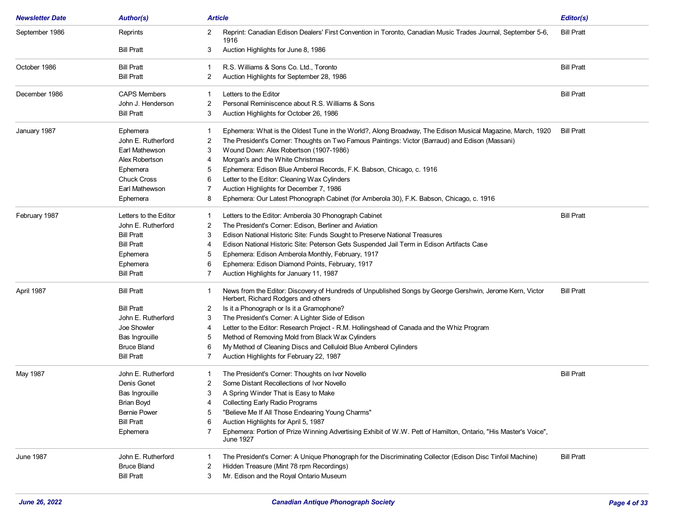| <b>Newsletter Date</b> | <b>Author(s)</b>      | Article                                                                                                                                              | Editor(s)         |
|------------------------|-----------------------|------------------------------------------------------------------------------------------------------------------------------------------------------|-------------------|
| September 1986         | Reprints              | Reprint: Canadian Edison Dealers' First Convention in Toronto, Canadian Music Trades Journal, September 5-6,<br>2<br>1916                            | <b>Bill Pratt</b> |
|                        | <b>Bill Pratt</b>     | 3<br>Auction Highlights for June 8, 1986                                                                                                             |                   |
| October 1986           | <b>Bill Pratt</b>     | R.S. Williams & Sons Co. Ltd., Toronto<br>1                                                                                                          | <b>Bill Pratt</b> |
|                        | <b>Bill Pratt</b>     | Auction Highlights for September 28, 1986<br>2                                                                                                       |                   |
| December 1986          | <b>CAPS Members</b>   | Letters to the Editor                                                                                                                                | <b>Bill Pratt</b> |
|                        | John J. Henderson     | Personal Reminiscence about R.S. Williams & Sons<br>2                                                                                                |                   |
|                        | <b>Bill Pratt</b>     | 3<br>Auction Highlights for October 26, 1986                                                                                                         |                   |
| January 1987           | Ephemera              | Ephemera: What is the Oldest Tune in the World?, Along Broadway, The Edison Musical Magazine, March, 1920                                            | <b>Bill Pratt</b> |
|                        | John E. Rutherford    | The President's Corner: Thoughts on Two Famous Paintings: Victor (Barraud) and Edison (Massani)<br>2                                                 |                   |
|                        | Earl Mathewson        | 3<br>Wound Down: Alex Robertson (1907-1986)                                                                                                          |                   |
|                        | Alex Robertson        | Morgan's and the White Christmas<br>4                                                                                                                |                   |
|                        | Ephemera              | Ephemera: Edison Blue Amberol Records, F.K. Babson, Chicago, c. 1916<br>5                                                                            |                   |
|                        | <b>Chuck Cross</b>    | Letter to the Editor: Cleaning Wax Cylinders<br>6                                                                                                    |                   |
|                        | Earl Mathewson        | Auction Highlights for December 7, 1986<br>7                                                                                                         |                   |
|                        | Ephemera              | Ephemera: Our Latest Phonograph Cabinet (for Amberola 30), F.K. Babson, Chicago, c. 1916<br>8                                                        |                   |
| February 1987          | Letters to the Editor | Letters to the Editor: Amberola 30 Phonograph Cabinet<br>-1                                                                                          | <b>Bill Pratt</b> |
|                        | John E. Rutherford    | The President's Corner: Edison, Berliner and Aviation<br>2                                                                                           |                   |
|                        | <b>Bill Pratt</b>     | Edison National Historic Site: Funds Sought to Preserve National Treasures<br>3                                                                      |                   |
|                        | <b>Bill Pratt</b>     | Edison National Historic Site: Peterson Gets Suspended Jail Term in Edison Artifacts Case<br>4                                                       |                   |
|                        | Ephemera              | Ephemera: Edison Amberola Monthly, February, 1917<br>5                                                                                               |                   |
|                        | Ephemera              | Ephemera: Edison Diamond Points, February, 1917<br>6                                                                                                 |                   |
|                        | <b>Bill Pratt</b>     | Auction Highlights for January 11, 1987                                                                                                              |                   |
| April 1987             | <b>Bill Pratt</b>     | News from the Editor: Discovery of Hundreds of Unpublished Songs by George Gershwin, Jerome Kern, Victor<br>1<br>Herbert, Richard Rodgers and others | <b>Bill Pratt</b> |
|                        | <b>Bill Pratt</b>     | Is it a Phonograph or Is it a Gramophone?<br>2                                                                                                       |                   |
|                        | John E. Rutherford    | The President's Corner: A Lighter Side of Edison<br>3                                                                                                |                   |
|                        | Joe Showler           | Letter to the Editor: Research Project - R.M. Hollingshead of Canada and the Whiz Program<br>4                                                       |                   |
|                        | Bas Ingrouille        | Method of Removing Mold from Black Wax Cylinders<br>5                                                                                                |                   |
|                        | <b>Bruce Bland</b>    | My Method of Cleaning Discs and Celluloid Blue Amberol Cylinders<br>6                                                                                |                   |
|                        | <b>Bill Pratt</b>     | Auction Highlights for February 22, 1987<br>7                                                                                                        |                   |
| May 1987               | John E. Rutherford    | The President's Corner: Thoughts on Ivor Novello<br>1                                                                                                | <b>Bill Pratt</b> |
|                        | Denis Gonet           | Some Distant Recollections of Ivor Novello<br>2                                                                                                      |                   |
|                        | <b>Bas Ingrouille</b> | A Spring Winder That is Easy to Make<br>3                                                                                                            |                   |
|                        | <b>Brian Boyd</b>     | <b>Collecting Early Radio Programs</b><br>4                                                                                                          |                   |
|                        | <b>Bernie Power</b>   | "Believe Me If All Those Endearing Young Charms"<br>5                                                                                                |                   |
|                        | <b>Bill Pratt</b>     | Auction Highlights for April 5, 1987<br>6                                                                                                            |                   |
|                        | Ephemera              | Ephemera: Portion of Prize Winning Advertising Exhibit of W.W. Pett of Hamilton, Ontario, "His Master's Voice",<br>June 1927                         |                   |
| <b>June 1987</b>       | John E. Rutherford    | The President's Corner: A Unique Phonograph for the Discriminating Collector (Edison Disc Tinfoil Machine)<br>1                                      | <b>Bill Pratt</b> |
|                        | <b>Bruce Bland</b>    | Hidden Treasure (Mint 78 rpm Recordings)<br>2                                                                                                        |                   |
|                        | <b>Bill Pratt</b>     | Mr. Edison and the Royal Ontario Museum<br>3                                                                                                         |                   |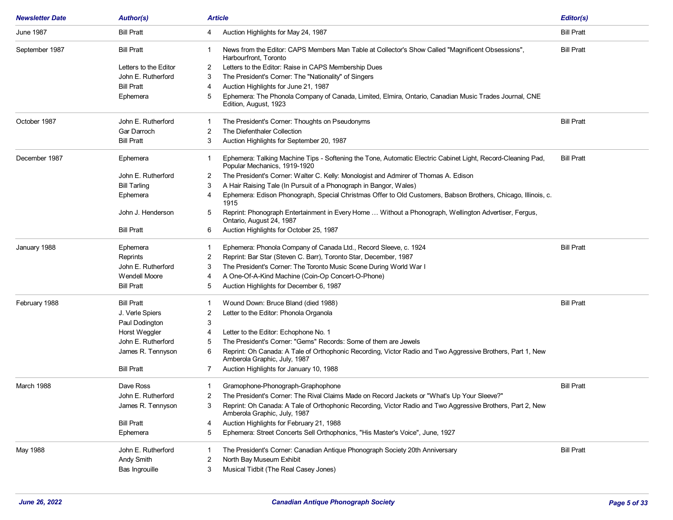| <b>June 1987</b><br><b>Bill Pratt</b><br><b>Bill Pratt</b><br>Auction Highlights for May 24, 1987<br>4<br><b>Bill Pratt</b><br>News from the Editor: CAPS Members Man Table at Collector's Show Called "Magnificent Obsessions",<br><b>Bill Pratt</b><br>September 1987<br>1.<br>Harbourfront, Toronto<br>Letters to the Editor<br>Letters to the Editor: Raise in CAPS Membership Dues<br>2<br>John E. Rutherford<br>The President's Corner: The "Nationality" of Singers<br>3<br><b>Bill Pratt</b><br>Auction Highlights for June 21, 1987<br>4<br>Ephemera: The Phonola Company of Canada, Limited, Elmira, Ontario, Canadian Music Trades Journal, CNE<br>5<br>Ephemera<br>Edition, August, 1923<br><b>Bill Pratt</b><br>October 1987<br>John E. Rutherford<br>The President's Corner: Thoughts on Pseudonyms<br>1<br>The Diefenthaler Collection<br>Gar Darroch<br>2<br><b>Bill Pratt</b><br>Auction Highlights for September 20, 1987<br>3<br>December 1987<br>Ephemera: Talking Machine Tips - Softening the Tone, Automatic Electric Cabinet Light, Record-Cleaning Pad,<br><b>Bill Pratt</b><br>Ephemera<br>1<br>Popular Mechanics, 1919-1920<br>John E. Rutherford<br>The President's Corner: Walter C. Kelly: Monologist and Admirer of Thomas A. Edison<br>2<br>A Hair Raising Tale (In Pursuit of a Phonograph in Bangor, Wales)<br><b>Bill Tarling</b><br>3<br>Ephemera: Edison Phonograph, Special Christmas Offer to Old Customers, Babson Brothers, Chicago, Illinois, c.<br>Ephemera<br>4<br>1915<br>Reprint: Phonograph Entertainment in Every Home  Without a Phonograph, Wellington Advertiser, Fergus,<br>John J. Henderson<br>5<br>Ontario, August 24, 1987<br>Auction Highlights for October 25, 1987<br><b>Bill Pratt</b><br>6<br><b>Bill Pratt</b><br>January 1988<br>Ephemera: Phonola Company of Canada Ltd., Record Sleeve, c. 1924<br>Ephemera<br>Reprint: Bar Star (Steven C. Barr), Toronto Star, December, 1987<br>Reprints<br>2<br>The President's Corner: The Toronto Music Scene During World War I<br>John E. Rutherford<br>3<br><b>Wendell Moore</b><br>A One-Of-A-Kind Machine (Coin-Op Concert-O-Phone)<br>4<br><b>Bill Pratt</b><br>Auction Highlights for December 6, 1987<br>5<br>February 1988<br>Wound Down: Bruce Bland (died 1988)<br><b>Bill Pratt</b><br><b>Bill Pratt</b><br>1<br>2<br>Letter to the Editor: Phonola Organola<br>J. Verle Spiers<br>Paul Dodington<br>3<br>Horst Weggler<br>4<br>Letter to the Editor: Echophone No. 1<br>John E. Rutherford<br>The President's Corner: "Gems" Records: Some of them are Jewels<br>5<br>Reprint: Oh Canada: A Tale of Orthophonic Recording, Victor Radio and Two Aggressive Brothers, Part 1, New<br>James R. Tennyson<br>6<br>Amberola Graphic, July, 1987<br><b>Bill Pratt</b><br>Auction Highlights for January 10, 1988<br>7<br>March 1988<br>Dave Ross<br>Gramophone-Phonograph-Graphophone<br><b>Bill Pratt</b><br>1.<br>John E. Rutherford<br>The President's Corner: The Rival Claims Made on Record Jackets or "What's Up Your Sleeve?"<br>2<br>James R. Tennyson<br>Reprint: Oh Canada: A Tale of Orthophonic Recording, Victor Radio and Two Aggressive Brothers, Part 2, New<br>3<br>Amberola Graphic, July, 1987<br>Auction Highlights for February 21, 1988<br><b>Bill Pratt</b><br>4<br>Ephemera: Street Concerts Sell Orthophonics, "His Master's Voice", June, 1927<br>Ephemera<br>5<br><b>Bill Pratt</b><br>May 1988<br>John E. Rutherford<br>The President's Corner: Canadian Antique Phonograph Society 20th Anniversary<br>1<br>Andy Smith<br>North Bay Museum Exhibit<br>2<br>Musical Tidbit (The Real Casey Jones)<br>Bas Ingrouille<br>3 | <b>Newsletter Date</b> | <b>Author(s)</b> | Article | Editor(s) |
|---------------------------------------------------------------------------------------------------------------------------------------------------------------------------------------------------------------------------------------------------------------------------------------------------------------------------------------------------------------------------------------------------------------------------------------------------------------------------------------------------------------------------------------------------------------------------------------------------------------------------------------------------------------------------------------------------------------------------------------------------------------------------------------------------------------------------------------------------------------------------------------------------------------------------------------------------------------------------------------------------------------------------------------------------------------------------------------------------------------------------------------------------------------------------------------------------------------------------------------------------------------------------------------------------------------------------------------------------------------------------------------------------------------------------------------------------------------------------------------------------------------------------------------------------------------------------------------------------------------------------------------------------------------------------------------------------------------------------------------------------------------------------------------------------------------------------------------------------------------------------------------------------------------------------------------------------------------------------------------------------------------------------------------------------------------------------------------------------------------------------------------------------------------------------------------------------------------------------------------------------------------------------------------------------------------------------------------------------------------------------------------------------------------------------------------------------------------------------------------------------------------------------------------------------------------------------------------------------------------------------------------------------------------------------------------------------------------------------------------------------------------------------------------------------------------------------------------------------------------------------------------------------------------------------------------------------------------------------------------------------------------------------------------------------------------------------------------------------------------------------------------------------------------------------------------------------------------------------------------------------------------------------------------------------------------------------------------------------------------------------------------------------------------------------------------------------------------------------------------------------------------------------------------------------------------------------------------------------------------------------------------------------------------------|------------------------|------------------|---------|-----------|
|                                                                                                                                                                                                                                                                                                                                                                                                                                                                                                                                                                                                                                                                                                                                                                                                                                                                                                                                                                                                                                                                                                                                                                                                                                                                                                                                                                                                                                                                                                                                                                                                                                                                                                                                                                                                                                                                                                                                                                                                                                                                                                                                                                                                                                                                                                                                                                                                                                                                                                                                                                                                                                                                                                                                                                                                                                                                                                                                                                                                                                                                                                                                                                                                                                                                                                                                                                                                                                                                                                                                                                                                                                                                     |                        |                  |         |           |
|                                                                                                                                                                                                                                                                                                                                                                                                                                                                                                                                                                                                                                                                                                                                                                                                                                                                                                                                                                                                                                                                                                                                                                                                                                                                                                                                                                                                                                                                                                                                                                                                                                                                                                                                                                                                                                                                                                                                                                                                                                                                                                                                                                                                                                                                                                                                                                                                                                                                                                                                                                                                                                                                                                                                                                                                                                                                                                                                                                                                                                                                                                                                                                                                                                                                                                                                                                                                                                                                                                                                                                                                                                                                     |                        |                  |         |           |
|                                                                                                                                                                                                                                                                                                                                                                                                                                                                                                                                                                                                                                                                                                                                                                                                                                                                                                                                                                                                                                                                                                                                                                                                                                                                                                                                                                                                                                                                                                                                                                                                                                                                                                                                                                                                                                                                                                                                                                                                                                                                                                                                                                                                                                                                                                                                                                                                                                                                                                                                                                                                                                                                                                                                                                                                                                                                                                                                                                                                                                                                                                                                                                                                                                                                                                                                                                                                                                                                                                                                                                                                                                                                     |                        |                  |         |           |
|                                                                                                                                                                                                                                                                                                                                                                                                                                                                                                                                                                                                                                                                                                                                                                                                                                                                                                                                                                                                                                                                                                                                                                                                                                                                                                                                                                                                                                                                                                                                                                                                                                                                                                                                                                                                                                                                                                                                                                                                                                                                                                                                                                                                                                                                                                                                                                                                                                                                                                                                                                                                                                                                                                                                                                                                                                                                                                                                                                                                                                                                                                                                                                                                                                                                                                                                                                                                                                                                                                                                                                                                                                                                     |                        |                  |         |           |
|                                                                                                                                                                                                                                                                                                                                                                                                                                                                                                                                                                                                                                                                                                                                                                                                                                                                                                                                                                                                                                                                                                                                                                                                                                                                                                                                                                                                                                                                                                                                                                                                                                                                                                                                                                                                                                                                                                                                                                                                                                                                                                                                                                                                                                                                                                                                                                                                                                                                                                                                                                                                                                                                                                                                                                                                                                                                                                                                                                                                                                                                                                                                                                                                                                                                                                                                                                                                                                                                                                                                                                                                                                                                     |                        |                  |         |           |
|                                                                                                                                                                                                                                                                                                                                                                                                                                                                                                                                                                                                                                                                                                                                                                                                                                                                                                                                                                                                                                                                                                                                                                                                                                                                                                                                                                                                                                                                                                                                                                                                                                                                                                                                                                                                                                                                                                                                                                                                                                                                                                                                                                                                                                                                                                                                                                                                                                                                                                                                                                                                                                                                                                                                                                                                                                                                                                                                                                                                                                                                                                                                                                                                                                                                                                                                                                                                                                                                                                                                                                                                                                                                     |                        |                  |         |           |
|                                                                                                                                                                                                                                                                                                                                                                                                                                                                                                                                                                                                                                                                                                                                                                                                                                                                                                                                                                                                                                                                                                                                                                                                                                                                                                                                                                                                                                                                                                                                                                                                                                                                                                                                                                                                                                                                                                                                                                                                                                                                                                                                                                                                                                                                                                                                                                                                                                                                                                                                                                                                                                                                                                                                                                                                                                                                                                                                                                                                                                                                                                                                                                                                                                                                                                                                                                                                                                                                                                                                                                                                                                                                     |                        |                  |         |           |
|                                                                                                                                                                                                                                                                                                                                                                                                                                                                                                                                                                                                                                                                                                                                                                                                                                                                                                                                                                                                                                                                                                                                                                                                                                                                                                                                                                                                                                                                                                                                                                                                                                                                                                                                                                                                                                                                                                                                                                                                                                                                                                                                                                                                                                                                                                                                                                                                                                                                                                                                                                                                                                                                                                                                                                                                                                                                                                                                                                                                                                                                                                                                                                                                                                                                                                                                                                                                                                                                                                                                                                                                                                                                     |                        |                  |         |           |
|                                                                                                                                                                                                                                                                                                                                                                                                                                                                                                                                                                                                                                                                                                                                                                                                                                                                                                                                                                                                                                                                                                                                                                                                                                                                                                                                                                                                                                                                                                                                                                                                                                                                                                                                                                                                                                                                                                                                                                                                                                                                                                                                                                                                                                                                                                                                                                                                                                                                                                                                                                                                                                                                                                                                                                                                                                                                                                                                                                                                                                                                                                                                                                                                                                                                                                                                                                                                                                                                                                                                                                                                                                                                     |                        |                  |         |           |
|                                                                                                                                                                                                                                                                                                                                                                                                                                                                                                                                                                                                                                                                                                                                                                                                                                                                                                                                                                                                                                                                                                                                                                                                                                                                                                                                                                                                                                                                                                                                                                                                                                                                                                                                                                                                                                                                                                                                                                                                                                                                                                                                                                                                                                                                                                                                                                                                                                                                                                                                                                                                                                                                                                                                                                                                                                                                                                                                                                                                                                                                                                                                                                                                                                                                                                                                                                                                                                                                                                                                                                                                                                                                     |                        |                  |         |           |
|                                                                                                                                                                                                                                                                                                                                                                                                                                                                                                                                                                                                                                                                                                                                                                                                                                                                                                                                                                                                                                                                                                                                                                                                                                                                                                                                                                                                                                                                                                                                                                                                                                                                                                                                                                                                                                                                                                                                                                                                                                                                                                                                                                                                                                                                                                                                                                                                                                                                                                                                                                                                                                                                                                                                                                                                                                                                                                                                                                                                                                                                                                                                                                                                                                                                                                                                                                                                                                                                                                                                                                                                                                                                     |                        |                  |         |           |
|                                                                                                                                                                                                                                                                                                                                                                                                                                                                                                                                                                                                                                                                                                                                                                                                                                                                                                                                                                                                                                                                                                                                                                                                                                                                                                                                                                                                                                                                                                                                                                                                                                                                                                                                                                                                                                                                                                                                                                                                                                                                                                                                                                                                                                                                                                                                                                                                                                                                                                                                                                                                                                                                                                                                                                                                                                                                                                                                                                                                                                                                                                                                                                                                                                                                                                                                                                                                                                                                                                                                                                                                                                                                     |                        |                  |         |           |
|                                                                                                                                                                                                                                                                                                                                                                                                                                                                                                                                                                                                                                                                                                                                                                                                                                                                                                                                                                                                                                                                                                                                                                                                                                                                                                                                                                                                                                                                                                                                                                                                                                                                                                                                                                                                                                                                                                                                                                                                                                                                                                                                                                                                                                                                                                                                                                                                                                                                                                                                                                                                                                                                                                                                                                                                                                                                                                                                                                                                                                                                                                                                                                                                                                                                                                                                                                                                                                                                                                                                                                                                                                                                     |                        |                  |         |           |
|                                                                                                                                                                                                                                                                                                                                                                                                                                                                                                                                                                                                                                                                                                                                                                                                                                                                                                                                                                                                                                                                                                                                                                                                                                                                                                                                                                                                                                                                                                                                                                                                                                                                                                                                                                                                                                                                                                                                                                                                                                                                                                                                                                                                                                                                                                                                                                                                                                                                                                                                                                                                                                                                                                                                                                                                                                                                                                                                                                                                                                                                                                                                                                                                                                                                                                                                                                                                                                                                                                                                                                                                                                                                     |                        |                  |         |           |
|                                                                                                                                                                                                                                                                                                                                                                                                                                                                                                                                                                                                                                                                                                                                                                                                                                                                                                                                                                                                                                                                                                                                                                                                                                                                                                                                                                                                                                                                                                                                                                                                                                                                                                                                                                                                                                                                                                                                                                                                                                                                                                                                                                                                                                                                                                                                                                                                                                                                                                                                                                                                                                                                                                                                                                                                                                                                                                                                                                                                                                                                                                                                                                                                                                                                                                                                                                                                                                                                                                                                                                                                                                                                     |                        |                  |         |           |
|                                                                                                                                                                                                                                                                                                                                                                                                                                                                                                                                                                                                                                                                                                                                                                                                                                                                                                                                                                                                                                                                                                                                                                                                                                                                                                                                                                                                                                                                                                                                                                                                                                                                                                                                                                                                                                                                                                                                                                                                                                                                                                                                                                                                                                                                                                                                                                                                                                                                                                                                                                                                                                                                                                                                                                                                                                                                                                                                                                                                                                                                                                                                                                                                                                                                                                                                                                                                                                                                                                                                                                                                                                                                     |                        |                  |         |           |
|                                                                                                                                                                                                                                                                                                                                                                                                                                                                                                                                                                                                                                                                                                                                                                                                                                                                                                                                                                                                                                                                                                                                                                                                                                                                                                                                                                                                                                                                                                                                                                                                                                                                                                                                                                                                                                                                                                                                                                                                                                                                                                                                                                                                                                                                                                                                                                                                                                                                                                                                                                                                                                                                                                                                                                                                                                                                                                                                                                                                                                                                                                                                                                                                                                                                                                                                                                                                                                                                                                                                                                                                                                                                     |                        |                  |         |           |
|                                                                                                                                                                                                                                                                                                                                                                                                                                                                                                                                                                                                                                                                                                                                                                                                                                                                                                                                                                                                                                                                                                                                                                                                                                                                                                                                                                                                                                                                                                                                                                                                                                                                                                                                                                                                                                                                                                                                                                                                                                                                                                                                                                                                                                                                                                                                                                                                                                                                                                                                                                                                                                                                                                                                                                                                                                                                                                                                                                                                                                                                                                                                                                                                                                                                                                                                                                                                                                                                                                                                                                                                                                                                     |                        |                  |         |           |
|                                                                                                                                                                                                                                                                                                                                                                                                                                                                                                                                                                                                                                                                                                                                                                                                                                                                                                                                                                                                                                                                                                                                                                                                                                                                                                                                                                                                                                                                                                                                                                                                                                                                                                                                                                                                                                                                                                                                                                                                                                                                                                                                                                                                                                                                                                                                                                                                                                                                                                                                                                                                                                                                                                                                                                                                                                                                                                                                                                                                                                                                                                                                                                                                                                                                                                                                                                                                                                                                                                                                                                                                                                                                     |                        |                  |         |           |
|                                                                                                                                                                                                                                                                                                                                                                                                                                                                                                                                                                                                                                                                                                                                                                                                                                                                                                                                                                                                                                                                                                                                                                                                                                                                                                                                                                                                                                                                                                                                                                                                                                                                                                                                                                                                                                                                                                                                                                                                                                                                                                                                                                                                                                                                                                                                                                                                                                                                                                                                                                                                                                                                                                                                                                                                                                                                                                                                                                                                                                                                                                                                                                                                                                                                                                                                                                                                                                                                                                                                                                                                                                                                     |                        |                  |         |           |
|                                                                                                                                                                                                                                                                                                                                                                                                                                                                                                                                                                                                                                                                                                                                                                                                                                                                                                                                                                                                                                                                                                                                                                                                                                                                                                                                                                                                                                                                                                                                                                                                                                                                                                                                                                                                                                                                                                                                                                                                                                                                                                                                                                                                                                                                                                                                                                                                                                                                                                                                                                                                                                                                                                                                                                                                                                                                                                                                                                                                                                                                                                                                                                                                                                                                                                                                                                                                                                                                                                                                                                                                                                                                     |                        |                  |         |           |
|                                                                                                                                                                                                                                                                                                                                                                                                                                                                                                                                                                                                                                                                                                                                                                                                                                                                                                                                                                                                                                                                                                                                                                                                                                                                                                                                                                                                                                                                                                                                                                                                                                                                                                                                                                                                                                                                                                                                                                                                                                                                                                                                                                                                                                                                                                                                                                                                                                                                                                                                                                                                                                                                                                                                                                                                                                                                                                                                                                                                                                                                                                                                                                                                                                                                                                                                                                                                                                                                                                                                                                                                                                                                     |                        |                  |         |           |
|                                                                                                                                                                                                                                                                                                                                                                                                                                                                                                                                                                                                                                                                                                                                                                                                                                                                                                                                                                                                                                                                                                                                                                                                                                                                                                                                                                                                                                                                                                                                                                                                                                                                                                                                                                                                                                                                                                                                                                                                                                                                                                                                                                                                                                                                                                                                                                                                                                                                                                                                                                                                                                                                                                                                                                                                                                                                                                                                                                                                                                                                                                                                                                                                                                                                                                                                                                                                                                                                                                                                                                                                                                                                     |                        |                  |         |           |
|                                                                                                                                                                                                                                                                                                                                                                                                                                                                                                                                                                                                                                                                                                                                                                                                                                                                                                                                                                                                                                                                                                                                                                                                                                                                                                                                                                                                                                                                                                                                                                                                                                                                                                                                                                                                                                                                                                                                                                                                                                                                                                                                                                                                                                                                                                                                                                                                                                                                                                                                                                                                                                                                                                                                                                                                                                                                                                                                                                                                                                                                                                                                                                                                                                                                                                                                                                                                                                                                                                                                                                                                                                                                     |                        |                  |         |           |
|                                                                                                                                                                                                                                                                                                                                                                                                                                                                                                                                                                                                                                                                                                                                                                                                                                                                                                                                                                                                                                                                                                                                                                                                                                                                                                                                                                                                                                                                                                                                                                                                                                                                                                                                                                                                                                                                                                                                                                                                                                                                                                                                                                                                                                                                                                                                                                                                                                                                                                                                                                                                                                                                                                                                                                                                                                                                                                                                                                                                                                                                                                                                                                                                                                                                                                                                                                                                                                                                                                                                                                                                                                                                     |                        |                  |         |           |
|                                                                                                                                                                                                                                                                                                                                                                                                                                                                                                                                                                                                                                                                                                                                                                                                                                                                                                                                                                                                                                                                                                                                                                                                                                                                                                                                                                                                                                                                                                                                                                                                                                                                                                                                                                                                                                                                                                                                                                                                                                                                                                                                                                                                                                                                                                                                                                                                                                                                                                                                                                                                                                                                                                                                                                                                                                                                                                                                                                                                                                                                                                                                                                                                                                                                                                                                                                                                                                                                                                                                                                                                                                                                     |                        |                  |         |           |
|                                                                                                                                                                                                                                                                                                                                                                                                                                                                                                                                                                                                                                                                                                                                                                                                                                                                                                                                                                                                                                                                                                                                                                                                                                                                                                                                                                                                                                                                                                                                                                                                                                                                                                                                                                                                                                                                                                                                                                                                                                                                                                                                                                                                                                                                                                                                                                                                                                                                                                                                                                                                                                                                                                                                                                                                                                                                                                                                                                                                                                                                                                                                                                                                                                                                                                                                                                                                                                                                                                                                                                                                                                                                     |                        |                  |         |           |
|                                                                                                                                                                                                                                                                                                                                                                                                                                                                                                                                                                                                                                                                                                                                                                                                                                                                                                                                                                                                                                                                                                                                                                                                                                                                                                                                                                                                                                                                                                                                                                                                                                                                                                                                                                                                                                                                                                                                                                                                                                                                                                                                                                                                                                                                                                                                                                                                                                                                                                                                                                                                                                                                                                                                                                                                                                                                                                                                                                                                                                                                                                                                                                                                                                                                                                                                                                                                                                                                                                                                                                                                                                                                     |                        |                  |         |           |
|                                                                                                                                                                                                                                                                                                                                                                                                                                                                                                                                                                                                                                                                                                                                                                                                                                                                                                                                                                                                                                                                                                                                                                                                                                                                                                                                                                                                                                                                                                                                                                                                                                                                                                                                                                                                                                                                                                                                                                                                                                                                                                                                                                                                                                                                                                                                                                                                                                                                                                                                                                                                                                                                                                                                                                                                                                                                                                                                                                                                                                                                                                                                                                                                                                                                                                                                                                                                                                                                                                                                                                                                                                                                     |                        |                  |         |           |
|                                                                                                                                                                                                                                                                                                                                                                                                                                                                                                                                                                                                                                                                                                                                                                                                                                                                                                                                                                                                                                                                                                                                                                                                                                                                                                                                                                                                                                                                                                                                                                                                                                                                                                                                                                                                                                                                                                                                                                                                                                                                                                                                                                                                                                                                                                                                                                                                                                                                                                                                                                                                                                                                                                                                                                                                                                                                                                                                                                                                                                                                                                                                                                                                                                                                                                                                                                                                                                                                                                                                                                                                                                                                     |                        |                  |         |           |
|                                                                                                                                                                                                                                                                                                                                                                                                                                                                                                                                                                                                                                                                                                                                                                                                                                                                                                                                                                                                                                                                                                                                                                                                                                                                                                                                                                                                                                                                                                                                                                                                                                                                                                                                                                                                                                                                                                                                                                                                                                                                                                                                                                                                                                                                                                                                                                                                                                                                                                                                                                                                                                                                                                                                                                                                                                                                                                                                                                                                                                                                                                                                                                                                                                                                                                                                                                                                                                                                                                                                                                                                                                                                     |                        |                  |         |           |
|                                                                                                                                                                                                                                                                                                                                                                                                                                                                                                                                                                                                                                                                                                                                                                                                                                                                                                                                                                                                                                                                                                                                                                                                                                                                                                                                                                                                                                                                                                                                                                                                                                                                                                                                                                                                                                                                                                                                                                                                                                                                                                                                                                                                                                                                                                                                                                                                                                                                                                                                                                                                                                                                                                                                                                                                                                                                                                                                                                                                                                                                                                                                                                                                                                                                                                                                                                                                                                                                                                                                                                                                                                                                     |                        |                  |         |           |
|                                                                                                                                                                                                                                                                                                                                                                                                                                                                                                                                                                                                                                                                                                                                                                                                                                                                                                                                                                                                                                                                                                                                                                                                                                                                                                                                                                                                                                                                                                                                                                                                                                                                                                                                                                                                                                                                                                                                                                                                                                                                                                                                                                                                                                                                                                                                                                                                                                                                                                                                                                                                                                                                                                                                                                                                                                                                                                                                                                                                                                                                                                                                                                                                                                                                                                                                                                                                                                                                                                                                                                                                                                                                     |                        |                  |         |           |
|                                                                                                                                                                                                                                                                                                                                                                                                                                                                                                                                                                                                                                                                                                                                                                                                                                                                                                                                                                                                                                                                                                                                                                                                                                                                                                                                                                                                                                                                                                                                                                                                                                                                                                                                                                                                                                                                                                                                                                                                                                                                                                                                                                                                                                                                                                                                                                                                                                                                                                                                                                                                                                                                                                                                                                                                                                                                                                                                                                                                                                                                                                                                                                                                                                                                                                                                                                                                                                                                                                                                                                                                                                                                     |                        |                  |         |           |
|                                                                                                                                                                                                                                                                                                                                                                                                                                                                                                                                                                                                                                                                                                                                                                                                                                                                                                                                                                                                                                                                                                                                                                                                                                                                                                                                                                                                                                                                                                                                                                                                                                                                                                                                                                                                                                                                                                                                                                                                                                                                                                                                                                                                                                                                                                                                                                                                                                                                                                                                                                                                                                                                                                                                                                                                                                                                                                                                                                                                                                                                                                                                                                                                                                                                                                                                                                                                                                                                                                                                                                                                                                                                     |                        |                  |         |           |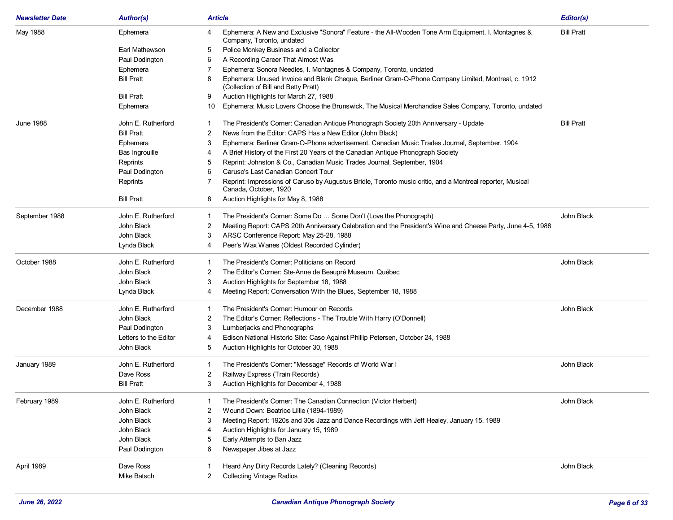| <b>Bill Pratt</b><br>May 1988<br>Ephemera: A New and Exclusive "Sonora" Feature - the All-Wooden Tone Arm Equipment, I. Montagnes &<br>Ephemera<br>4<br>Company, Toronto, undated<br>Police Monkey Business and a Collector<br>Earl Mathewson<br>5<br>A Recording Career That Almost Was<br>Paul Dodington<br>6<br>Ephemera: Sonora Needles, I. Montagnes & Company, Toronto, undated<br>Ephemera<br>Ephemera: Unused Invoice and Blank Cheque, Berliner Gram-O-Phone Company Limited, Montreal, c. 1912<br><b>Bill Pratt</b><br>8<br>(Collection of Bill and Betty Pratt)<br><b>Bill Pratt</b><br>Auction Highlights for March 27, 1988<br>9<br>Ephemera: Music Lovers Choose the Brunswick, The Musical Merchandise Sales Company, Toronto, undated<br>Ephemera<br>10<br><b>Bill Pratt</b><br><b>June 1988</b><br>John E. Rutherford<br>The President's Corner: Canadian Antique Phonograph Society 20th Anniversary - Update<br>-1<br><b>Bill Pratt</b><br>News from the Editor: CAPS Has a New Editor (John Black)<br>2<br>3<br>Ephemera: Berliner Gram-O-Phone advertisement, Canadian Music Trades Journal, September, 1904<br>Ephemera<br>A Brief History of the First 20 Years of the Canadian Antique Phonograph Society<br>Bas Ingrouille<br>4<br>Reprint: Johnston & Co., Canadian Music Trades Journal, September, 1904<br>Reprints<br>5<br>Caruso's Last Canadian Concert Tour<br>Paul Dodington<br>6<br>Reprint: Impressions of Caruso by Augustus Bridle, Toronto music critic, and a Montreal reporter, Musical<br>Reprints<br>Canada, October, 1920<br><b>Bill Pratt</b><br>Auction Highlights for May 8, 1988<br>8<br>September 1988<br>John E. Rutherford<br>The President's Corner: Some Do  Some Don't (Love the Phonograph)<br>John Black<br>-1<br>John Black<br>Meeting Report: CAPS 20th Anniversary Celebration and the President's Wine and Cheese Party, June 4-5, 1988<br>2<br>John Black<br>3<br>ARSC Conference Report: May 25-28, 1988<br>Peer's Wax Wanes (Oldest Recorded Cylinder)<br>Lynda Black<br>4<br>October 1988<br>John E. Rutherford<br>The President's Corner: Politicians on Record<br>John Black<br>1<br>John Black<br>2<br>The Editor's Corner: Ste-Anne de Beaupré Museum, Québec<br>John Black<br>Auction Highlights for September 18, 1988<br>3<br>Lynda Black<br>Meeting Report: Conversation With the Blues, September 18, 1988<br>4<br>December 1988<br>John E. Rutherford<br>The President's Corner: Humour on Records<br>John Black<br>1<br>John Black<br>2<br>The Editor's Corner: Reflections - The Trouble With Harry (O'Donnell)<br>Lumberjacks and Phonographs<br>Paul Dodington<br>3<br>Letters to the Editor<br>Edison National Historic Site: Case Against Phillip Petersen, October 24, 1988<br>4<br>John Black<br>Auction Highlights for October 30, 1988<br>5<br>John E. Rutherford<br>The President's Corner: "Message" Records of World War I<br>John Black<br>January 1989<br>Railway Express (Train Records)<br>Dave Ross<br>2<br><b>Bill Pratt</b><br>3<br>Auction Highlights for December 4, 1988<br>John Black<br>February 1989<br>John E. Rutherford<br>The President's Corner: The Canadian Connection (Victor Herbert)<br>John Black<br>Wound Down: Beatrice Lillie (1894-1989)<br>2<br>John Black<br>Meeting Report: 1920s and 30s Jazz and Dance Recordings with Jeff Healey, January 15, 1989<br>3<br>John Black<br>Auction Highlights for January 15, 1989<br>John Black<br>Early Attempts to Ban Jazz<br>5<br>Newspaper Jibes at Jazz<br>Paul Dodington<br>6<br>April 1989<br>Dave Ross<br>Heard Any Dirty Records Lately? (Cleaning Records)<br>John Black<br><b>Collecting Vintage Radios</b><br>Mike Batsch<br>2 | <b>Newsletter Date</b> | <b>Author(s)</b> | Article | Editor(s) |
|-----------------------------------------------------------------------------------------------------------------------------------------------------------------------------------------------------------------------------------------------------------------------------------------------------------------------------------------------------------------------------------------------------------------------------------------------------------------------------------------------------------------------------------------------------------------------------------------------------------------------------------------------------------------------------------------------------------------------------------------------------------------------------------------------------------------------------------------------------------------------------------------------------------------------------------------------------------------------------------------------------------------------------------------------------------------------------------------------------------------------------------------------------------------------------------------------------------------------------------------------------------------------------------------------------------------------------------------------------------------------------------------------------------------------------------------------------------------------------------------------------------------------------------------------------------------------------------------------------------------------------------------------------------------------------------------------------------------------------------------------------------------------------------------------------------------------------------------------------------------------------------------------------------------------------------------------------------------------------------------------------------------------------------------------------------------------------------------------------------------------------------------------------------------------------------------------------------------------------------------------------------------------------------------------------------------------------------------------------------------------------------------------------------------------------------------------------------------------------------------------------------------------------------------------------------------------------------------------------------------------------------------------------------------------------------------------------------------------------------------------------------------------------------------------------------------------------------------------------------------------------------------------------------------------------------------------------------------------------------------------------------------------------------------------------------------------------------------------------------------------------------------------------------------------------------------------------------------------------------------------------------------------------------------------------------------------------------------------------------------------------------------------------------------------------------------------------------------------------------------------------------------------------------------------------------------------------------------------------------------------------------------------------------------------------------------------------|------------------------|------------------|---------|-----------|
|                                                                                                                                                                                                                                                                                                                                                                                                                                                                                                                                                                                                                                                                                                                                                                                                                                                                                                                                                                                                                                                                                                                                                                                                                                                                                                                                                                                                                                                                                                                                                                                                                                                                                                                                                                                                                                                                                                                                                                                                                                                                                                                                                                                                                                                                                                                                                                                                                                                                                                                                                                                                                                                                                                                                                                                                                                                                                                                                                                                                                                                                                                                                                                                                                                                                                                                                                                                                                                                                                                                                                                                                                                                                                                     |                        |                  |         |           |
|                                                                                                                                                                                                                                                                                                                                                                                                                                                                                                                                                                                                                                                                                                                                                                                                                                                                                                                                                                                                                                                                                                                                                                                                                                                                                                                                                                                                                                                                                                                                                                                                                                                                                                                                                                                                                                                                                                                                                                                                                                                                                                                                                                                                                                                                                                                                                                                                                                                                                                                                                                                                                                                                                                                                                                                                                                                                                                                                                                                                                                                                                                                                                                                                                                                                                                                                                                                                                                                                                                                                                                                                                                                                                                     |                        |                  |         |           |
|                                                                                                                                                                                                                                                                                                                                                                                                                                                                                                                                                                                                                                                                                                                                                                                                                                                                                                                                                                                                                                                                                                                                                                                                                                                                                                                                                                                                                                                                                                                                                                                                                                                                                                                                                                                                                                                                                                                                                                                                                                                                                                                                                                                                                                                                                                                                                                                                                                                                                                                                                                                                                                                                                                                                                                                                                                                                                                                                                                                                                                                                                                                                                                                                                                                                                                                                                                                                                                                                                                                                                                                                                                                                                                     |                        |                  |         |           |
|                                                                                                                                                                                                                                                                                                                                                                                                                                                                                                                                                                                                                                                                                                                                                                                                                                                                                                                                                                                                                                                                                                                                                                                                                                                                                                                                                                                                                                                                                                                                                                                                                                                                                                                                                                                                                                                                                                                                                                                                                                                                                                                                                                                                                                                                                                                                                                                                                                                                                                                                                                                                                                                                                                                                                                                                                                                                                                                                                                                                                                                                                                                                                                                                                                                                                                                                                                                                                                                                                                                                                                                                                                                                                                     |                        |                  |         |           |
|                                                                                                                                                                                                                                                                                                                                                                                                                                                                                                                                                                                                                                                                                                                                                                                                                                                                                                                                                                                                                                                                                                                                                                                                                                                                                                                                                                                                                                                                                                                                                                                                                                                                                                                                                                                                                                                                                                                                                                                                                                                                                                                                                                                                                                                                                                                                                                                                                                                                                                                                                                                                                                                                                                                                                                                                                                                                                                                                                                                                                                                                                                                                                                                                                                                                                                                                                                                                                                                                                                                                                                                                                                                                                                     |                        |                  |         |           |
|                                                                                                                                                                                                                                                                                                                                                                                                                                                                                                                                                                                                                                                                                                                                                                                                                                                                                                                                                                                                                                                                                                                                                                                                                                                                                                                                                                                                                                                                                                                                                                                                                                                                                                                                                                                                                                                                                                                                                                                                                                                                                                                                                                                                                                                                                                                                                                                                                                                                                                                                                                                                                                                                                                                                                                                                                                                                                                                                                                                                                                                                                                                                                                                                                                                                                                                                                                                                                                                                                                                                                                                                                                                                                                     |                        |                  |         |           |
|                                                                                                                                                                                                                                                                                                                                                                                                                                                                                                                                                                                                                                                                                                                                                                                                                                                                                                                                                                                                                                                                                                                                                                                                                                                                                                                                                                                                                                                                                                                                                                                                                                                                                                                                                                                                                                                                                                                                                                                                                                                                                                                                                                                                                                                                                                                                                                                                                                                                                                                                                                                                                                                                                                                                                                                                                                                                                                                                                                                                                                                                                                                                                                                                                                                                                                                                                                                                                                                                                                                                                                                                                                                                                                     |                        |                  |         |           |
|                                                                                                                                                                                                                                                                                                                                                                                                                                                                                                                                                                                                                                                                                                                                                                                                                                                                                                                                                                                                                                                                                                                                                                                                                                                                                                                                                                                                                                                                                                                                                                                                                                                                                                                                                                                                                                                                                                                                                                                                                                                                                                                                                                                                                                                                                                                                                                                                                                                                                                                                                                                                                                                                                                                                                                                                                                                                                                                                                                                                                                                                                                                                                                                                                                                                                                                                                                                                                                                                                                                                                                                                                                                                                                     |                        |                  |         |           |
|                                                                                                                                                                                                                                                                                                                                                                                                                                                                                                                                                                                                                                                                                                                                                                                                                                                                                                                                                                                                                                                                                                                                                                                                                                                                                                                                                                                                                                                                                                                                                                                                                                                                                                                                                                                                                                                                                                                                                                                                                                                                                                                                                                                                                                                                                                                                                                                                                                                                                                                                                                                                                                                                                                                                                                                                                                                                                                                                                                                                                                                                                                                                                                                                                                                                                                                                                                                                                                                                                                                                                                                                                                                                                                     |                        |                  |         |           |
|                                                                                                                                                                                                                                                                                                                                                                                                                                                                                                                                                                                                                                                                                                                                                                                                                                                                                                                                                                                                                                                                                                                                                                                                                                                                                                                                                                                                                                                                                                                                                                                                                                                                                                                                                                                                                                                                                                                                                                                                                                                                                                                                                                                                                                                                                                                                                                                                                                                                                                                                                                                                                                                                                                                                                                                                                                                                                                                                                                                                                                                                                                                                                                                                                                                                                                                                                                                                                                                                                                                                                                                                                                                                                                     |                        |                  |         |           |
|                                                                                                                                                                                                                                                                                                                                                                                                                                                                                                                                                                                                                                                                                                                                                                                                                                                                                                                                                                                                                                                                                                                                                                                                                                                                                                                                                                                                                                                                                                                                                                                                                                                                                                                                                                                                                                                                                                                                                                                                                                                                                                                                                                                                                                                                                                                                                                                                                                                                                                                                                                                                                                                                                                                                                                                                                                                                                                                                                                                                                                                                                                                                                                                                                                                                                                                                                                                                                                                                                                                                                                                                                                                                                                     |                        |                  |         |           |
|                                                                                                                                                                                                                                                                                                                                                                                                                                                                                                                                                                                                                                                                                                                                                                                                                                                                                                                                                                                                                                                                                                                                                                                                                                                                                                                                                                                                                                                                                                                                                                                                                                                                                                                                                                                                                                                                                                                                                                                                                                                                                                                                                                                                                                                                                                                                                                                                                                                                                                                                                                                                                                                                                                                                                                                                                                                                                                                                                                                                                                                                                                                                                                                                                                                                                                                                                                                                                                                                                                                                                                                                                                                                                                     |                        |                  |         |           |
|                                                                                                                                                                                                                                                                                                                                                                                                                                                                                                                                                                                                                                                                                                                                                                                                                                                                                                                                                                                                                                                                                                                                                                                                                                                                                                                                                                                                                                                                                                                                                                                                                                                                                                                                                                                                                                                                                                                                                                                                                                                                                                                                                                                                                                                                                                                                                                                                                                                                                                                                                                                                                                                                                                                                                                                                                                                                                                                                                                                                                                                                                                                                                                                                                                                                                                                                                                                                                                                                                                                                                                                                                                                                                                     |                        |                  |         |           |
|                                                                                                                                                                                                                                                                                                                                                                                                                                                                                                                                                                                                                                                                                                                                                                                                                                                                                                                                                                                                                                                                                                                                                                                                                                                                                                                                                                                                                                                                                                                                                                                                                                                                                                                                                                                                                                                                                                                                                                                                                                                                                                                                                                                                                                                                                                                                                                                                                                                                                                                                                                                                                                                                                                                                                                                                                                                                                                                                                                                                                                                                                                                                                                                                                                                                                                                                                                                                                                                                                                                                                                                                                                                                                                     |                        |                  |         |           |
|                                                                                                                                                                                                                                                                                                                                                                                                                                                                                                                                                                                                                                                                                                                                                                                                                                                                                                                                                                                                                                                                                                                                                                                                                                                                                                                                                                                                                                                                                                                                                                                                                                                                                                                                                                                                                                                                                                                                                                                                                                                                                                                                                                                                                                                                                                                                                                                                                                                                                                                                                                                                                                                                                                                                                                                                                                                                                                                                                                                                                                                                                                                                                                                                                                                                                                                                                                                                                                                                                                                                                                                                                                                                                                     |                        |                  |         |           |
|                                                                                                                                                                                                                                                                                                                                                                                                                                                                                                                                                                                                                                                                                                                                                                                                                                                                                                                                                                                                                                                                                                                                                                                                                                                                                                                                                                                                                                                                                                                                                                                                                                                                                                                                                                                                                                                                                                                                                                                                                                                                                                                                                                                                                                                                                                                                                                                                                                                                                                                                                                                                                                                                                                                                                                                                                                                                                                                                                                                                                                                                                                                                                                                                                                                                                                                                                                                                                                                                                                                                                                                                                                                                                                     |                        |                  |         |           |
|                                                                                                                                                                                                                                                                                                                                                                                                                                                                                                                                                                                                                                                                                                                                                                                                                                                                                                                                                                                                                                                                                                                                                                                                                                                                                                                                                                                                                                                                                                                                                                                                                                                                                                                                                                                                                                                                                                                                                                                                                                                                                                                                                                                                                                                                                                                                                                                                                                                                                                                                                                                                                                                                                                                                                                                                                                                                                                                                                                                                                                                                                                                                                                                                                                                                                                                                                                                                                                                                                                                                                                                                                                                                                                     |                        |                  |         |           |
|                                                                                                                                                                                                                                                                                                                                                                                                                                                                                                                                                                                                                                                                                                                                                                                                                                                                                                                                                                                                                                                                                                                                                                                                                                                                                                                                                                                                                                                                                                                                                                                                                                                                                                                                                                                                                                                                                                                                                                                                                                                                                                                                                                                                                                                                                                                                                                                                                                                                                                                                                                                                                                                                                                                                                                                                                                                                                                                                                                                                                                                                                                                                                                                                                                                                                                                                                                                                                                                                                                                                                                                                                                                                                                     |                        |                  |         |           |
|                                                                                                                                                                                                                                                                                                                                                                                                                                                                                                                                                                                                                                                                                                                                                                                                                                                                                                                                                                                                                                                                                                                                                                                                                                                                                                                                                                                                                                                                                                                                                                                                                                                                                                                                                                                                                                                                                                                                                                                                                                                                                                                                                                                                                                                                                                                                                                                                                                                                                                                                                                                                                                                                                                                                                                                                                                                                                                                                                                                                                                                                                                                                                                                                                                                                                                                                                                                                                                                                                                                                                                                                                                                                                                     |                        |                  |         |           |
|                                                                                                                                                                                                                                                                                                                                                                                                                                                                                                                                                                                                                                                                                                                                                                                                                                                                                                                                                                                                                                                                                                                                                                                                                                                                                                                                                                                                                                                                                                                                                                                                                                                                                                                                                                                                                                                                                                                                                                                                                                                                                                                                                                                                                                                                                                                                                                                                                                                                                                                                                                                                                                                                                                                                                                                                                                                                                                                                                                                                                                                                                                                                                                                                                                                                                                                                                                                                                                                                                                                                                                                                                                                                                                     |                        |                  |         |           |
|                                                                                                                                                                                                                                                                                                                                                                                                                                                                                                                                                                                                                                                                                                                                                                                                                                                                                                                                                                                                                                                                                                                                                                                                                                                                                                                                                                                                                                                                                                                                                                                                                                                                                                                                                                                                                                                                                                                                                                                                                                                                                                                                                                                                                                                                                                                                                                                                                                                                                                                                                                                                                                                                                                                                                                                                                                                                                                                                                                                                                                                                                                                                                                                                                                                                                                                                                                                                                                                                                                                                                                                                                                                                                                     |                        |                  |         |           |
|                                                                                                                                                                                                                                                                                                                                                                                                                                                                                                                                                                                                                                                                                                                                                                                                                                                                                                                                                                                                                                                                                                                                                                                                                                                                                                                                                                                                                                                                                                                                                                                                                                                                                                                                                                                                                                                                                                                                                                                                                                                                                                                                                                                                                                                                                                                                                                                                                                                                                                                                                                                                                                                                                                                                                                                                                                                                                                                                                                                                                                                                                                                                                                                                                                                                                                                                                                                                                                                                                                                                                                                                                                                                                                     |                        |                  |         |           |
|                                                                                                                                                                                                                                                                                                                                                                                                                                                                                                                                                                                                                                                                                                                                                                                                                                                                                                                                                                                                                                                                                                                                                                                                                                                                                                                                                                                                                                                                                                                                                                                                                                                                                                                                                                                                                                                                                                                                                                                                                                                                                                                                                                                                                                                                                                                                                                                                                                                                                                                                                                                                                                                                                                                                                                                                                                                                                                                                                                                                                                                                                                                                                                                                                                                                                                                                                                                                                                                                                                                                                                                                                                                                                                     |                        |                  |         |           |
|                                                                                                                                                                                                                                                                                                                                                                                                                                                                                                                                                                                                                                                                                                                                                                                                                                                                                                                                                                                                                                                                                                                                                                                                                                                                                                                                                                                                                                                                                                                                                                                                                                                                                                                                                                                                                                                                                                                                                                                                                                                                                                                                                                                                                                                                                                                                                                                                                                                                                                                                                                                                                                                                                                                                                                                                                                                                                                                                                                                                                                                                                                                                                                                                                                                                                                                                                                                                                                                                                                                                                                                                                                                                                                     |                        |                  |         |           |
|                                                                                                                                                                                                                                                                                                                                                                                                                                                                                                                                                                                                                                                                                                                                                                                                                                                                                                                                                                                                                                                                                                                                                                                                                                                                                                                                                                                                                                                                                                                                                                                                                                                                                                                                                                                                                                                                                                                                                                                                                                                                                                                                                                                                                                                                                                                                                                                                                                                                                                                                                                                                                                                                                                                                                                                                                                                                                                                                                                                                                                                                                                                                                                                                                                                                                                                                                                                                                                                                                                                                                                                                                                                                                                     |                        |                  |         |           |
|                                                                                                                                                                                                                                                                                                                                                                                                                                                                                                                                                                                                                                                                                                                                                                                                                                                                                                                                                                                                                                                                                                                                                                                                                                                                                                                                                                                                                                                                                                                                                                                                                                                                                                                                                                                                                                                                                                                                                                                                                                                                                                                                                                                                                                                                                                                                                                                                                                                                                                                                                                                                                                                                                                                                                                                                                                                                                                                                                                                                                                                                                                                                                                                                                                                                                                                                                                                                                                                                                                                                                                                                                                                                                                     |                        |                  |         |           |
|                                                                                                                                                                                                                                                                                                                                                                                                                                                                                                                                                                                                                                                                                                                                                                                                                                                                                                                                                                                                                                                                                                                                                                                                                                                                                                                                                                                                                                                                                                                                                                                                                                                                                                                                                                                                                                                                                                                                                                                                                                                                                                                                                                                                                                                                                                                                                                                                                                                                                                                                                                                                                                                                                                                                                                                                                                                                                                                                                                                                                                                                                                                                                                                                                                                                                                                                                                                                                                                                                                                                                                                                                                                                                                     |                        |                  |         |           |
|                                                                                                                                                                                                                                                                                                                                                                                                                                                                                                                                                                                                                                                                                                                                                                                                                                                                                                                                                                                                                                                                                                                                                                                                                                                                                                                                                                                                                                                                                                                                                                                                                                                                                                                                                                                                                                                                                                                                                                                                                                                                                                                                                                                                                                                                                                                                                                                                                                                                                                                                                                                                                                                                                                                                                                                                                                                                                                                                                                                                                                                                                                                                                                                                                                                                                                                                                                                                                                                                                                                                                                                                                                                                                                     |                        |                  |         |           |
|                                                                                                                                                                                                                                                                                                                                                                                                                                                                                                                                                                                                                                                                                                                                                                                                                                                                                                                                                                                                                                                                                                                                                                                                                                                                                                                                                                                                                                                                                                                                                                                                                                                                                                                                                                                                                                                                                                                                                                                                                                                                                                                                                                                                                                                                                                                                                                                                                                                                                                                                                                                                                                                                                                                                                                                                                                                                                                                                                                                                                                                                                                                                                                                                                                                                                                                                                                                                                                                                                                                                                                                                                                                                                                     |                        |                  |         |           |
|                                                                                                                                                                                                                                                                                                                                                                                                                                                                                                                                                                                                                                                                                                                                                                                                                                                                                                                                                                                                                                                                                                                                                                                                                                                                                                                                                                                                                                                                                                                                                                                                                                                                                                                                                                                                                                                                                                                                                                                                                                                                                                                                                                                                                                                                                                                                                                                                                                                                                                                                                                                                                                                                                                                                                                                                                                                                                                                                                                                                                                                                                                                                                                                                                                                                                                                                                                                                                                                                                                                                                                                                                                                                                                     |                        |                  |         |           |
|                                                                                                                                                                                                                                                                                                                                                                                                                                                                                                                                                                                                                                                                                                                                                                                                                                                                                                                                                                                                                                                                                                                                                                                                                                                                                                                                                                                                                                                                                                                                                                                                                                                                                                                                                                                                                                                                                                                                                                                                                                                                                                                                                                                                                                                                                                                                                                                                                                                                                                                                                                                                                                                                                                                                                                                                                                                                                                                                                                                                                                                                                                                                                                                                                                                                                                                                                                                                                                                                                                                                                                                                                                                                                                     |                        |                  |         |           |
|                                                                                                                                                                                                                                                                                                                                                                                                                                                                                                                                                                                                                                                                                                                                                                                                                                                                                                                                                                                                                                                                                                                                                                                                                                                                                                                                                                                                                                                                                                                                                                                                                                                                                                                                                                                                                                                                                                                                                                                                                                                                                                                                                                                                                                                                                                                                                                                                                                                                                                                                                                                                                                                                                                                                                                                                                                                                                                                                                                                                                                                                                                                                                                                                                                                                                                                                                                                                                                                                                                                                                                                                                                                                                                     |                        |                  |         |           |
|                                                                                                                                                                                                                                                                                                                                                                                                                                                                                                                                                                                                                                                                                                                                                                                                                                                                                                                                                                                                                                                                                                                                                                                                                                                                                                                                                                                                                                                                                                                                                                                                                                                                                                                                                                                                                                                                                                                                                                                                                                                                                                                                                                                                                                                                                                                                                                                                                                                                                                                                                                                                                                                                                                                                                                                                                                                                                                                                                                                                                                                                                                                                                                                                                                                                                                                                                                                                                                                                                                                                                                                                                                                                                                     |                        |                  |         |           |
|                                                                                                                                                                                                                                                                                                                                                                                                                                                                                                                                                                                                                                                                                                                                                                                                                                                                                                                                                                                                                                                                                                                                                                                                                                                                                                                                                                                                                                                                                                                                                                                                                                                                                                                                                                                                                                                                                                                                                                                                                                                                                                                                                                                                                                                                                                                                                                                                                                                                                                                                                                                                                                                                                                                                                                                                                                                                                                                                                                                                                                                                                                                                                                                                                                                                                                                                                                                                                                                                                                                                                                                                                                                                                                     |                        |                  |         |           |
|                                                                                                                                                                                                                                                                                                                                                                                                                                                                                                                                                                                                                                                                                                                                                                                                                                                                                                                                                                                                                                                                                                                                                                                                                                                                                                                                                                                                                                                                                                                                                                                                                                                                                                                                                                                                                                                                                                                                                                                                                                                                                                                                                                                                                                                                                                                                                                                                                                                                                                                                                                                                                                                                                                                                                                                                                                                                                                                                                                                                                                                                                                                                                                                                                                                                                                                                                                                                                                                                                                                                                                                                                                                                                                     |                        |                  |         |           |
|                                                                                                                                                                                                                                                                                                                                                                                                                                                                                                                                                                                                                                                                                                                                                                                                                                                                                                                                                                                                                                                                                                                                                                                                                                                                                                                                                                                                                                                                                                                                                                                                                                                                                                                                                                                                                                                                                                                                                                                                                                                                                                                                                                                                                                                                                                                                                                                                                                                                                                                                                                                                                                                                                                                                                                                                                                                                                                                                                                                                                                                                                                                                                                                                                                                                                                                                                                                                                                                                                                                                                                                                                                                                                                     |                        |                  |         |           |
|                                                                                                                                                                                                                                                                                                                                                                                                                                                                                                                                                                                                                                                                                                                                                                                                                                                                                                                                                                                                                                                                                                                                                                                                                                                                                                                                                                                                                                                                                                                                                                                                                                                                                                                                                                                                                                                                                                                                                                                                                                                                                                                                                                                                                                                                                                                                                                                                                                                                                                                                                                                                                                                                                                                                                                                                                                                                                                                                                                                                                                                                                                                                                                                                                                                                                                                                                                                                                                                                                                                                                                                                                                                                                                     |                        |                  |         |           |
|                                                                                                                                                                                                                                                                                                                                                                                                                                                                                                                                                                                                                                                                                                                                                                                                                                                                                                                                                                                                                                                                                                                                                                                                                                                                                                                                                                                                                                                                                                                                                                                                                                                                                                                                                                                                                                                                                                                                                                                                                                                                                                                                                                                                                                                                                                                                                                                                                                                                                                                                                                                                                                                                                                                                                                                                                                                                                                                                                                                                                                                                                                                                                                                                                                                                                                                                                                                                                                                                                                                                                                                                                                                                                                     |                        |                  |         |           |
|                                                                                                                                                                                                                                                                                                                                                                                                                                                                                                                                                                                                                                                                                                                                                                                                                                                                                                                                                                                                                                                                                                                                                                                                                                                                                                                                                                                                                                                                                                                                                                                                                                                                                                                                                                                                                                                                                                                                                                                                                                                                                                                                                                                                                                                                                                                                                                                                                                                                                                                                                                                                                                                                                                                                                                                                                                                                                                                                                                                                                                                                                                                                                                                                                                                                                                                                                                                                                                                                                                                                                                                                                                                                                                     |                        |                  |         |           |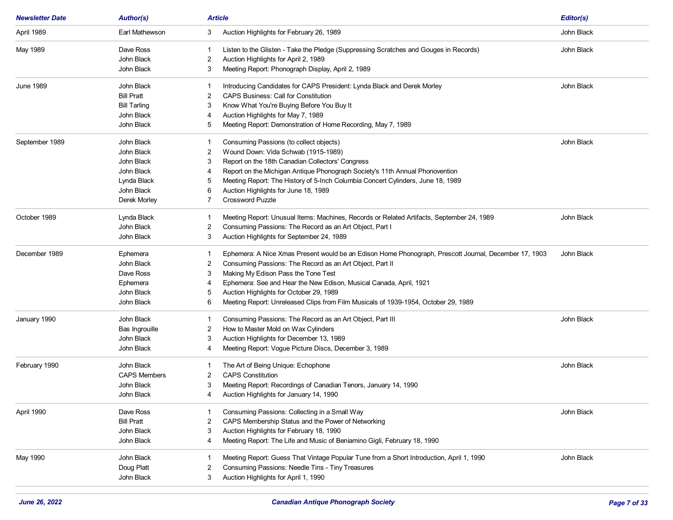| <b>Newsletter Date</b> | <b>Author(s)</b>    |    | <b>Article</b>                                                                                        | Editor(s)  |
|------------------------|---------------------|----|-------------------------------------------------------------------------------------------------------|------------|
| April 1989             | Earl Mathewson      | 3  | Auction Highlights for February 26, 1989                                                              | John Black |
| May 1989               | Dave Ross           | -1 | Listen to the Glisten - Take the Pledge (Suppressing Scratches and Gouges in Records)                 | John Black |
|                        | John Black          | 2  | Auction Highlights for April 2, 1989                                                                  |            |
|                        | John Black          | 3  | Meeting Report: Phonograph Display, April 2, 1989                                                     |            |
| <b>June 1989</b>       | John Black          | -1 | Introducing Candidates for CAPS President: Lynda Black and Derek Morley                               | John Black |
|                        | <b>Bill Pratt</b>   | 2  | <b>CAPS Business: Call for Constitution</b>                                                           |            |
|                        | <b>Bill Tarling</b> | 3  | Know What You're Buying Before You Buy It                                                             |            |
|                        | John Black          |    | Auction Highlights for May 7, 1989                                                                    |            |
|                        | John Black          | 5  | Meeting Report: Demonstration of Home Recording, May 7, 1989                                          |            |
| September 1989         | John Black          | -1 | Consuming Passions (to collect objects)                                                               | John Black |
|                        | John Black          | 2  | Wound Down: Vida Schwab (1915-1989)                                                                   |            |
|                        | John Black          | 3  | Report on the 18th Canadian Collectors' Congress                                                      |            |
|                        | John Black          | 4  | Report on the Michigan Antique Phonograph Society's 11th Annual Phonovention                          |            |
|                        | Lynda Black         | 5  | Meeting Report: The History of 5-Inch Columbia Concert Cylinders, June 18, 1989                       |            |
|                        | John Black          | 6  | Auction Highlights for June 18, 1989                                                                  |            |
|                        | Derek Morley        |    | Crossword Puzzle                                                                                      |            |
| October 1989           | Lynda Black         |    | Meeting Report: Unusual Items: Machines, Records or Related Artifacts, September 24, 1989             | John Black |
|                        | John Black          | 2  | Consuming Passions: The Record as an Art Object, Part I                                               |            |
|                        | John Black          | 3  | Auction Highlights for September 24, 1989                                                             |            |
| December 1989          | Ephemera            | -1 | Ephemera: A Nice Xmas Present would be an Edison Home Phonograph, Prescott Journal, December 17, 1903 | John Black |
|                        | John Black          | 2  | Consuming Passions: The Record as an Art Object, Part II                                              |            |
|                        | Dave Ross           | 3  | Making My Edison Pass the Tone Test                                                                   |            |
|                        | Ephemera            | 4  | Ephemera: See and Hear the New Edison, Musical Canada, April, 1921                                    |            |
|                        | John Black          | 5  | Auction Highlights for October 29, 1989                                                               |            |
|                        | John Black          | 6  | Meeting Report: Unreleased Clips from Film Musicals of 1939-1954, October 29, 1989                    |            |
| January 1990           | John Black          |    | Consuming Passions: The Record as an Art Object, Part III                                             | John Black |
|                        | Bas Ingrouille      | 2  | How to Master Mold on Wax Cylinders                                                                   |            |
|                        | John Black          | 3  | Auction Highlights for December 13, 1989                                                              |            |
|                        | John Black          | 4  | Meeting Report: Vogue Picture Discs, December 3, 1989                                                 |            |
| February 1990          | John Black          |    | The Art of Being Unique: Echophone                                                                    | John Black |
|                        | <b>CAPS Members</b> | 2  | <b>CAPS Constitution</b>                                                                              |            |
|                        | John Black          | 3  | Meeting Report: Recordings of Canadian Tenors, January 14, 1990                                       |            |
|                        | John Black          |    | Auction Highlights for January 14, 1990                                                               |            |
| April 1990             | Dave Ross           |    | Consuming Passions: Collecting in a Small Way                                                         | John Black |
|                        | <b>Bill Pratt</b>   |    | CAPS Membership Status and the Power of Networking                                                    |            |
|                        | John Black          | 3  | Auction Highlights for February 18, 1990                                                              |            |
|                        | John Black          |    | Meeting Report: The Life and Music of Beniamino Gigli, February 18, 1990                              |            |
| May 1990               | John Black          |    | Meeting Report: Guess That Vintage Popular Tune from a Short Introduction, April 1, 1990              | John Black |
|                        | Doug Platt          |    | Consuming Passions: Needle Tins - Tiny Treasures                                                      |            |
|                        | John Black          | 3  | Auction Highlights for April 1, 1990                                                                  |            |
|                        |                     |    |                                                                                                       |            |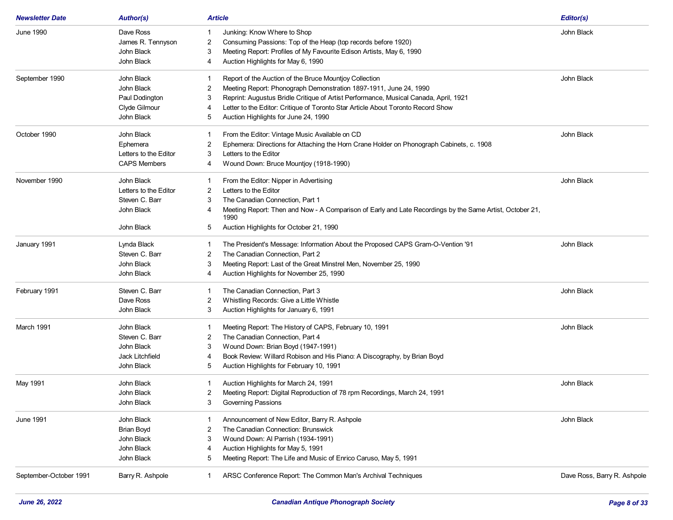| <b>Newsletter Date</b> | <b>Author(s)</b>      | <b>Article</b>                                                                                                        | Editor(s)                   |
|------------------------|-----------------------|-----------------------------------------------------------------------------------------------------------------------|-----------------------------|
| June 1990              | Dave Ross             | Junking: Know Where to Shop                                                                                           | John Black                  |
|                        | James R. Tennyson     | Consuming Passions: Top of the Heap (top records before 1920)<br>2                                                    |                             |
|                        | John Black            | Meeting Report: Profiles of My Favourite Edison Artists, May 6, 1990<br>3                                             |                             |
|                        | John Black            | Auction Highlights for May 6, 1990<br>4                                                                               |                             |
| September 1990         | John Black            | Report of the Auction of the Bruce Mountjoy Collection                                                                | John Black                  |
|                        | John Black            | Meeting Report: Phonograph Demonstration 1897-1911, June 24, 1990<br>2                                                |                             |
|                        | Paul Dodington        | Reprint: Augustus Bridle Critique of Artist Performance, Musical Canada, April, 1921<br>3                             |                             |
|                        | Clyde Gilmour         | Letter to the Editor: Critique of Toronto Star Article About Toronto Record Show<br>4                                 |                             |
|                        | John Black            | Auction Highlights for June 24, 1990<br>5                                                                             |                             |
| October 1990           | John Black            | From the Editor: Vintage Music Available on CD                                                                        | John Black                  |
|                        | Ephemera              | Ephemera: Directions for Attaching the Horn Crane Holder on Phonograph Cabinets, c. 1908<br>2                         |                             |
|                        | Letters to the Editor | Letters to the Editor<br>3                                                                                            |                             |
|                        | <b>CAPS Members</b>   | Wound Down: Bruce Mountjoy (1918-1990)<br>4                                                                           |                             |
| November 1990          | John Black            | From the Editor: Nipper in Advertising                                                                                | John Black                  |
|                        | Letters to the Editor | Letters to the Editor<br>2                                                                                            |                             |
|                        | Steven C. Barr        | The Canadian Connection, Part 1<br>3                                                                                  |                             |
|                        | John Black            | Meeting Report: Then and Now - A Comparison of Early and Late Recordings by the Same Artist, October 21,<br>4<br>1990 |                             |
|                        | John Black            | Auction Highlights for October 21, 1990<br>5                                                                          |                             |
| January 1991           | Lynda Black           | The President's Message: Information About the Proposed CAPS Gram-O-Vention '91<br>-1                                 | John Black                  |
|                        | Steven C. Barr        | The Canadian Connection, Part 2<br>2                                                                                  |                             |
|                        | John Black            | Meeting Report: Last of the Great Minstrel Men, November 25, 1990<br>3                                                |                             |
|                        | John Black            | Auction Highlights for November 25, 1990<br>4                                                                         |                             |
| February 1991          | Steven C. Barr        | The Canadian Connection, Part 3<br>-1                                                                                 | John Black                  |
|                        | Dave Ross             | Whistling Records: Give a Little Whistle<br>2                                                                         |                             |
|                        | John Black            | Auction Highlights for January 6, 1991<br>3                                                                           |                             |
| March 1991             | John Black            | Meeting Report: The History of CAPS, February 10, 1991                                                                | John Black                  |
|                        | Steven C. Barr        | The Canadian Connection, Part 4<br>2                                                                                  |                             |
|                        | John Black            | Wound Down: Brian Boyd (1947-1991)<br>3                                                                               |                             |
|                        | Jack Litchfield       | Book Review: Willard Robison and His Piano: A Discography, by Brian Boyd<br>4                                         |                             |
|                        | John Black            | Auction Highlights for February 10, 1991<br>5                                                                         |                             |
| May 1991               | John Black            | Auction Highlights for March 24, 1991<br>1                                                                            | John Black                  |
|                        | John Black            | $\overline{c}$<br>Meeting Report: Digital Reproduction of 78 rpm Recordings, March 24, 1991                           |                             |
|                        | John Black            | 3<br>Governing Passions                                                                                               |                             |
| June 1991              | John Black            | Announcement of New Editor, Barry R. Ashpole                                                                          | John Black                  |
|                        | <b>Brian Boyd</b>     | The Canadian Connection: Brunswick<br>2                                                                               |                             |
|                        | John Black            | Wound Down: Al Parrish (1934-1991)<br>3                                                                               |                             |
|                        | John Black            | Auction Highlights for May 5, 1991                                                                                    |                             |
|                        | John Black            | Meeting Report: The Life and Music of Enrico Caruso, May 5, 1991<br>5                                                 |                             |
| September-October 1991 | Barry R. Ashpole      | ARSC Conference Report: The Common Man's Archival Techniques<br>-1                                                    | Dave Ross, Barry R. Ashpole |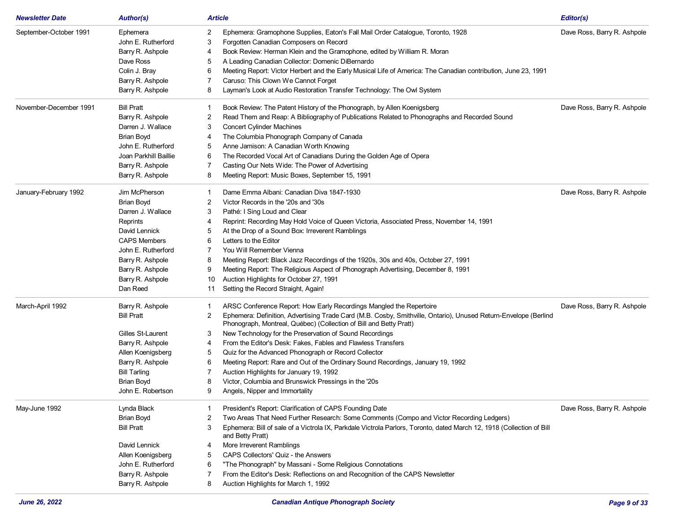| <b>Newsletter Date</b> | <b>Author(s)</b>      | <b>Article</b>                                                                                                                                                                             | Editor(s)                   |
|------------------------|-----------------------|--------------------------------------------------------------------------------------------------------------------------------------------------------------------------------------------|-----------------------------|
| September-October 1991 | Ephemera              | 2<br>Ephemera: Gramophone Supplies, Eaton's Fall Mail Order Catalogue, Toronto, 1928                                                                                                       | Dave Ross, Barry R. Ashpole |
|                        | John E. Rutherford    | Forgotten Canadian Composers on Record<br>3                                                                                                                                                |                             |
|                        | Barry R. Ashpole      | Book Review: Herman Klein and the Gramophone, edited by William R. Moran<br>4                                                                                                              |                             |
|                        | Dave Ross             | A Leading Canadian Collector: Domenic DiBernardo<br>5                                                                                                                                      |                             |
|                        | Colin J. Bray         | Meeting Report: Victor Herbert and the Early Musical Life of America: The Canadian contribution, June 23, 1991<br>6                                                                        |                             |
|                        | Barry R. Ashpole      | Caruso: This Clown We Cannot Forget<br>7                                                                                                                                                   |                             |
|                        | Barry R. Ashpole      | Layman's Look at Audio Restoration Transfer Technology: The Owl System<br>8                                                                                                                |                             |
| November-December 1991 | <b>Bill Pratt</b>     | Book Review: The Patent History of the Phonograph, by Allen Koenigsberg<br>1                                                                                                               | Dave Ross, Barry R. Ashpole |
|                        | Barry R. Ashpole      | Read Them and Reap: A Bibliography of Publications Related to Phonographs and Recorded Sound<br>2                                                                                          |                             |
|                        | Darren J. Wallace     | <b>Concert Cylinder Machines</b><br>3                                                                                                                                                      |                             |
|                        | Brian Boyd            | The Columbia Phonograph Company of Canada<br>4                                                                                                                                             |                             |
|                        | John E. Rutherford    | Anne Jamison: A Canadian Worth Knowing<br>5                                                                                                                                                |                             |
|                        | Joan Parkhill Baillie | The Recorded Vocal Art of Canadians During the Golden Age of Opera<br>6                                                                                                                    |                             |
|                        | Barry R. Ashpole      | Casting Our Nets Wide: The Power of Advertising<br>7                                                                                                                                       |                             |
|                        | Barry R. Ashpole      | Meeting Report: Music Boxes, September 15, 1991<br>8                                                                                                                                       |                             |
| January-February 1992  | Jim McPherson         | Dame Emma Albani: Canadian Diva 1847-1930<br>1                                                                                                                                             | Dave Ross, Barry R. Ashpole |
|                        | Brian Boyd            | 2<br>Victor Records in the '20s and '30s                                                                                                                                                   |                             |
|                        | Darren J. Wallace     | Pathé: I Sing Loud and Clear<br>3                                                                                                                                                          |                             |
|                        | Reprints              | Reprint: Recording May Hold Voice of Queen Victoria, Associated Press, November 14, 1991<br>4                                                                                              |                             |
|                        | David Lennick         | At the Drop of a Sound Box: Irreverent Ramblings                                                                                                                                           |                             |
|                        | <b>CAPS Members</b>   | Letters to the Editor<br>6                                                                                                                                                                 |                             |
|                        | John E. Rutherford    | You Will Remember Vienna<br>7                                                                                                                                                              |                             |
|                        | Barry R. Ashpole      | Meeting Report: Black Jazz Recordings of the 1920s, 30s and 40s, October 27, 1991<br>8                                                                                                     |                             |
|                        | Barry R. Ashpole      | Meeting Report: The Religious Aspect of Phonograph Advertising, December 8, 1991<br>9                                                                                                      |                             |
|                        | Barry R. Ashpole      | Auction Highlights for October 27, 1991<br>10                                                                                                                                              |                             |
|                        | Dan Reed              | Setting the Record Straight, Again!<br>11                                                                                                                                                  |                             |
| March-April 1992       | Barry R. Ashpole      | ARSC Conference Report: How Early Recordings Mangled the Repertoire<br>$\mathbf{1}$                                                                                                        | Dave Ross, Barry R. Ashpole |
|                        | <b>Bill Pratt</b>     | Ephemera: Definition, Advertising Trade Card (M.B. Cosby, Smithville, Ontario), Unused Return-Envelope (Berlind<br>2<br>Phonograph, Montreal, Québec) (Collection of Bill and Betty Pratt) |                             |
|                        | Gilles St-Laurent     | New Technology for the Preservation of Sound Recordings<br>3                                                                                                                               |                             |
|                        | Barry R. Ashpole      | From the Editor's Desk: Fakes, Fables and Flawless Transfers<br>4                                                                                                                          |                             |
|                        | Allen Koenigsberg     | Quiz for the Advanced Phonograph or Record Collector<br>5                                                                                                                                  |                             |
|                        | Barry R. Ashpole      | Meeting Report: Rare and Out of the Ordinary Sound Recordings, January 19, 1992<br>6                                                                                                       |                             |
|                        | <b>Bill Tarling</b>   | Auction Highlights for January 19, 1992<br>7                                                                                                                                               |                             |
|                        | Brian Boyd            | Victor, Columbia and Brunswick Pressings in the '20s<br>8                                                                                                                                  |                             |
|                        | John E. Robertson     | 9<br>Angels, Nipper and Immortality                                                                                                                                                        |                             |
| May-June 1992          | Lynda Black           | President's Report: Clarification of CAPS Founding Date<br>1                                                                                                                               | Dave Ross, Barry R. Ashpole |
|                        | Brian Boyd            | Two Areas That Need Further Research: Some Comments (Compo and Victor Recording Ledgers)<br>2                                                                                              |                             |
|                        | <b>Bill Pratt</b>     | Ephemera: Bill of sale of a Victrola IX, Parkdale Victrola Parlors, Toronto, dated March 12, 1918 (Collection of Bill<br>3<br>and Betty Pratt)                                             |                             |
|                        | David Lennick         | More Irreverent Ramblings<br>4                                                                                                                                                             |                             |
|                        | Allen Koenigsberg     | CAPS Collectors' Quiz - the Answers<br>5                                                                                                                                                   |                             |
|                        | John E. Rutherford    | "The Phonograph" by Massani - Some Religious Connotations<br>6                                                                                                                             |                             |
|                        | Barry R. Ashpole      | From the Editor's Desk: Reflections on and Recognition of the CAPS Newsletter<br>7                                                                                                         |                             |
|                        | Barry R. Ashpole      | 8<br>Auction Highlights for March 1, 1992                                                                                                                                                  |                             |
|                        |                       |                                                                                                                                                                                            |                             |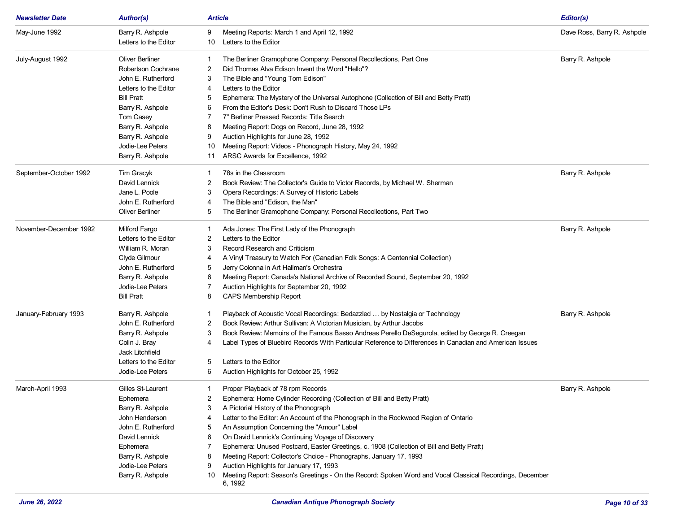| <b>Newsletter Date</b> | <b>Author(s)</b>       | Article |                                                                                                          | Editor(s)                   |
|------------------------|------------------------|---------|----------------------------------------------------------------------------------------------------------|-----------------------------|
| May-June 1992          | Barry R. Ashpole       | 9       | Meeting Reports: March 1 and April 12, 1992                                                              | Dave Ross, Barry R. Ashpole |
|                        | Letters to the Editor  | 10      | Letters to the Editor                                                                                    |                             |
| July-August 1992       | <b>Oliver Berliner</b> |         | The Berliner Gramophone Company: Personal Recollections, Part One                                        | Barry R. Ashpole            |
|                        | Robertson Cochrane     | 2       | Did Thomas Alva Edison Invent the Word "Hello"?                                                          |                             |
|                        | John E. Rutherford     | 3       | The Bible and "Young Tom Edison"                                                                         |                             |
|                        | Letters to the Editor  | 4       | Letters to the Editor                                                                                    |                             |
|                        | <b>Bill Pratt</b>      | 5       | Ephemera: The Mystery of the Universal Autophone (Collection of Bill and Betty Pratt)                    |                             |
|                        | Barry R. Ashpole       | 6       | From the Editor's Desk: Don't Rush to Discard Those LPs                                                  |                             |
|                        | Tom Casey              | 7       | 7" Berliner Pressed Records: Title Search                                                                |                             |
|                        | Barry R. Ashpole       | 8       | Meeting Report: Dogs on Record, June 28, 1992                                                            |                             |
|                        | Barry R. Ashpole       | 9       | Auction Highlights for June 28, 1992                                                                     |                             |
|                        | Jodie-Lee Peters       | 10      | Meeting Report: Videos - Phonograph History, May 24, 1992                                                |                             |
|                        | Barry R. Ashpole       | 11      | ARSC Awards for Excellence, 1992                                                                         |                             |
|                        |                        |         |                                                                                                          |                             |
| September-October 1992 | Tim Gracyk             | 1       | 78s in the Classroom                                                                                     | Barry R. Ashpole            |
|                        | David Lennick          | 2       | Book Review: The Collector's Guide to Victor Records, by Michael W. Sherman                              |                             |
|                        | Jane L. Poole          | 3       | Opera Recordings: A Survey of Historic Labels                                                            |                             |
|                        | John E. Rutherford     | 4       | The Bible and "Edison, the Man"                                                                          |                             |
|                        | <b>Oliver Berliner</b> | 5       | The Berliner Gramophone Company: Personal Recollections, Part Two                                        |                             |
| November-December 1992 | Milford Fargo          | 1       | Ada Jones: The First Lady of the Phonograph                                                              | Barry R. Ashpole            |
|                        | Letters to the Editor  | 2       | Letters to the Editor                                                                                    |                             |
|                        | William R. Moran       | 3       | Record Research and Criticism                                                                            |                             |
|                        | Clyde Gilmour          | 4       | A Vinyl Treasury to Watch For (Canadian Folk Songs: A Centennial Collection)                             |                             |
|                        | John E. Rutherford     | 5       | Jerry Colonna in Art Hallman's Orchestra                                                                 |                             |
|                        | Barry R. Ashpole       | 6       | Meeting Report: Canada's National Archive of Recorded Sound, September 20, 1992                          |                             |
|                        | Jodie-Lee Peters       | 7       | Auction Highlights for September 20, 1992                                                                |                             |
|                        | <b>Bill Pratt</b>      | 8       | <b>CAPS Membership Report</b>                                                                            |                             |
| January-February 1993  | Barry R. Ashpole       | 1       | Playback of Acoustic Vocal Recordings: Bedazzled  by Nostalgia or Technology                             | Barry R. Ashpole            |
|                        | John E. Rutherford     | 2       | Book Review: Arthur Sullivan: A Victorian Musician, by Arthur Jacobs                                     |                             |
|                        | Barry R. Ashpole       | 3       | Book Review: Memoirs of the Famous Basso Andreas Perello DeSegurola, edited by George R. Creegan         |                             |
|                        | Colin J. Bray          | 4       | Label Types of Bluebird Records With Particular Reference to Differences in Canadian and American Issues |                             |
|                        | Jack Litchfield        |         |                                                                                                          |                             |
|                        | Letters to the Editor  | 5       | Letters to the Editor                                                                                    |                             |
|                        | Jodie-Lee Peters       | 6       | Auction Highlights for October 25, 1992                                                                  |                             |
| March-April 1993       | Gilles St-Laurent      | 1.      | Proper Playback of 78 rpm Records                                                                        | Barry R. Ashpole            |
|                        | Ephemera               | 2       | Ephemera: Home Cylinder Recording (Collection of Bill and Betty Pratt)                                   |                             |
|                        | Barry R. Ashpole       | 3       | A Pictorial History of the Phonograph                                                                    |                             |
|                        | John Henderson         | 4       | Letter to the Editor: An Account of the Phonograph in the Rockwood Region of Ontario                     |                             |
|                        | John E. Rutherford     | 5       | An Assumption Concerning the "Amour" Label                                                               |                             |
|                        | David Lennick          | 6       | On David Lennick's Continuing Voyage of Discovery                                                        |                             |
|                        | Ephemera               |         | Ephemera: Unused Postcard, Easter Greetings, c. 1908 (Collection of Bill and Betty Pratt)                |                             |
|                        | Barry R. Ashpole       | 8       | Meeting Report: Collector's Choice - Phonographs, January 17, 1993                                       |                             |
|                        | Jodie-Lee Peters       | 9       | Auction Highlights for January 17, 1993                                                                  |                             |
|                        | Barry R. Ashpole       | 10      | Meeting Report: Season's Greetings - On the Record: Spoken Word and Vocal Classical Recordings, December |                             |
|                        |                        |         | 6, 1992                                                                                                  |                             |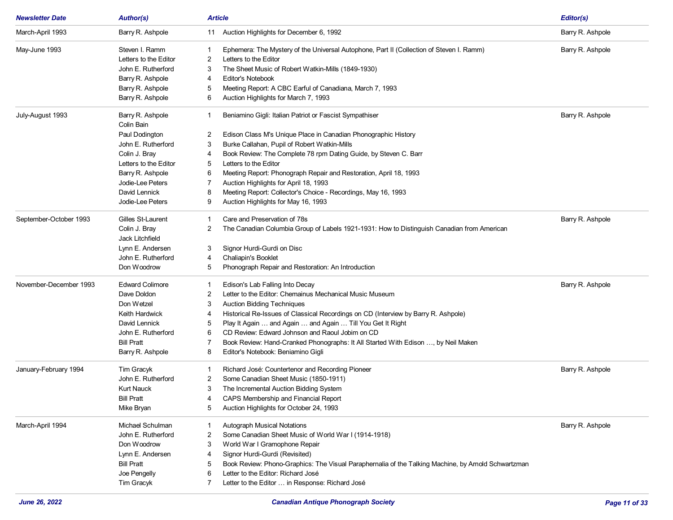| <b>Newsletter Date</b> | <b>Author(s)</b>       | <b>Article</b> |                                                                                                     | Editor(s)        |
|------------------------|------------------------|----------------|-----------------------------------------------------------------------------------------------------|------------------|
| March-April 1993       | Barry R. Ashpole       | 11             | Auction Highlights for December 6, 1992                                                             | Barry R. Ashpole |
| May-June 1993          | Steven I. Ramm         | -1             | Ephemera: The Mystery of the Universal Autophone, Part II (Collection of Steven I. Ramm)            | Barry R. Ashpole |
|                        | Letters to the Editor  | 2              | Letters to the Editor                                                                               |                  |
|                        | John E. Rutherford     | 3              | The Sheet Music of Robert Watkin-Mills (1849-1930)                                                  |                  |
|                        | Barry R. Ashpole       | 4              | <b>Editor's Notebook</b>                                                                            |                  |
|                        | Barry R. Ashpole       | 5              | Meeting Report: A CBC Earful of Canadiana, March 7, 1993                                            |                  |
|                        | Barry R. Ashpole       | 6              | Auction Highlights for March 7, 1993                                                                |                  |
| July-August 1993       | Barry R. Ashpole       | -1             | Beniamino Gigli: Italian Patriot or Fascist Sympathiser                                             | Barry R. Ashpole |
|                        | Colin Bain             |                |                                                                                                     |                  |
|                        | Paul Dodington         | 2              | Edison Class M's Unique Place in Canadian Phonographic History                                      |                  |
|                        | John E. Rutherford     | 3              | Burke Callahan, Pupil of Robert Watkin-Mills                                                        |                  |
|                        | Colin J. Bray          | 4              | Book Review: The Complete 78 rpm Dating Guide, by Steven C. Barr                                    |                  |
|                        | Letters to the Editor  | 5              | Letters to the Editor                                                                               |                  |
|                        | Barry R. Ashpole       | 6              | Meeting Report: Phonograph Repair and Restoration, April 18, 1993                                   |                  |
|                        | Jodie-Lee Peters       | 7              | Auction Highlights for April 18, 1993                                                               |                  |
|                        | David Lennick          | 8              | Meeting Report: Collector's Choice - Recordings, May 16, 1993                                       |                  |
|                        | Jodie-Lee Peters       | 9              | Auction Highlights for May 16, 1993                                                                 |                  |
| September-October 1993 | Gilles St-Laurent      | -1             | Care and Preservation of 78s                                                                        | Barry R. Ashpole |
|                        | Colin J. Bray          | 2              | The Canadian Columbia Group of Labels 1921-1931: How to Distinguish Canadian from American          |                  |
|                        | Jack Litchfield        |                |                                                                                                     |                  |
|                        | Lynn E. Andersen       | 3              | Signor Hurdi-Gurdi on Disc                                                                          |                  |
|                        | John E. Rutherford     | 4              | Chaliapin's Booklet                                                                                 |                  |
|                        | Don Woodrow            | 5              | Phonograph Repair and Restoration: An Introduction                                                  |                  |
| November-December 1993 | <b>Edward Colimore</b> | -1             | Edison's Lab Falling Into Decay                                                                     | Barry R. Ashpole |
|                        | Dave Doldon            | 2              | Letter to the Editor: Chemainus Mechanical Music Museum                                             |                  |
|                        | Don Wetzel             | 3              | <b>Auction Bidding Techniques</b>                                                                   |                  |
|                        | Keith Hardwick         | 4              | Historical Re-Issues of Classical Recordings on CD (Interview by Barry R. Ashpole)                  |                  |
|                        | David Lennick          | 5              | Play It Again  and Again  and Again  Till You Get It Right                                          |                  |
|                        | John E. Rutherford     | 6              | CD Review: Edward Johnson and Raoul Jobim on CD                                                     |                  |
|                        | <b>Bill Pratt</b>      |                | Book Review: Hand-Cranked Phonographs: It All Started With Edison , by Neil Maken                   |                  |
|                        | Barry R. Ashpole       | 8              | Editor's Notebook: Beniamino Gigli                                                                  |                  |
| January-February 1994  | Tim Gracyk             |                | Richard José: Countertenor and Recording Pioneer                                                    | Barry R. Ashpole |
|                        | John E. Rutherford     | 2              | Some Canadian Sheet Music (1850-1911)                                                               |                  |
|                        | <b>Kurt Nauck</b>      | 3              | The Incremental Auction Bidding System                                                              |                  |
|                        | <b>Bill Pratt</b>      | 4              | CAPS Membership and Financial Report                                                                |                  |
|                        | Mike Bryan             | 5              | Auction Highlights for October 24, 1993                                                             |                  |
| March-April 1994       | Michael Schulman       |                | <b>Autograph Musical Notations</b>                                                                  | Barry R. Ashpole |
|                        | John E. Rutherford     | 2              | Some Canadian Sheet Music of World War I (1914-1918)                                                |                  |
|                        | Don Woodrow            | 3              | World War I Gramophone Repair                                                                       |                  |
|                        | Lynn E. Andersen       | 4              | Signor Hurdi-Gurdi (Revisited)                                                                      |                  |
|                        | <b>Bill Pratt</b>      | 5              | Book Review: Phono-Graphics: The Visual Paraphernalia of the Talking Machine, by Arnold Schwartzman |                  |
|                        | Joe Pengelly           | 6              | Letter to the Editor: Richard José                                                                  |                  |
|                        | Tim Gracyk             | 7              | Letter to the Editor  in Response: Richard José                                                     |                  |
|                        |                        |                |                                                                                                     |                  |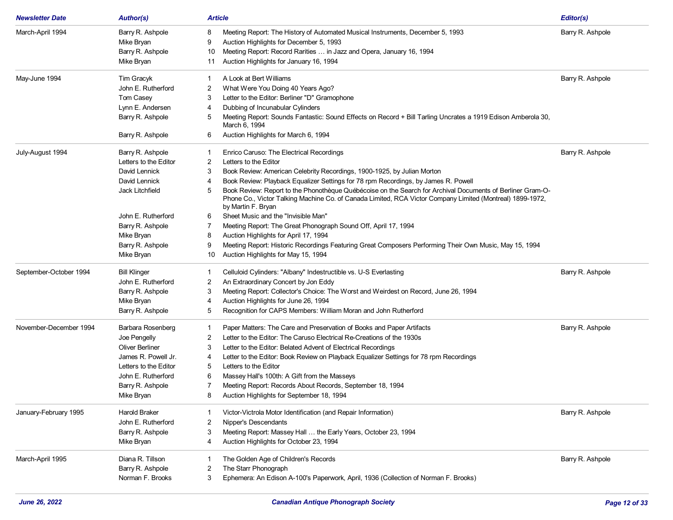| <b>Newsletter Date</b> | <b>Author(s)</b>      | <b>Article</b>                                                                                                                                                                                                                                     | Editor(s)        |
|------------------------|-----------------------|----------------------------------------------------------------------------------------------------------------------------------------------------------------------------------------------------------------------------------------------------|------------------|
| March-April 1994       | Barry R. Ashpole      | 8<br>Meeting Report: The History of Automated Musical Instruments, December 5, 1993                                                                                                                                                                | Barry R. Ashpole |
|                        | Mike Bryan            | 9<br>Auction Highlights for December 5, 1993                                                                                                                                                                                                       |                  |
|                        | Barry R. Ashpole      | Meeting Report: Record Rarities  in Jazz and Opera, January 16, 1994<br>10                                                                                                                                                                         |                  |
|                        | Mike Bryan            | Auction Highlights for January 16, 1994<br>11                                                                                                                                                                                                      |                  |
| May-June 1994          | Tim Gracyk            | A Look at Bert Williams<br>1                                                                                                                                                                                                                       | Barry R. Ashpole |
|                        | John E. Rutherford    | 2<br>What Were You Doing 40 Years Ago?                                                                                                                                                                                                             |                  |
|                        | Tom Casey             | Letter to the Editor: Berliner "D" Gramophone<br>3                                                                                                                                                                                                 |                  |
|                        | Lynn E. Andersen      | Dubbing of Incunabular Cylinders<br>4                                                                                                                                                                                                              |                  |
|                        | Barry R. Ashpole      | Meeting Report: Sounds Fantastic: Sound Effects on Record + Bill Tarling Uncrates a 1919 Edison Amberola 30,<br>5<br>March 6, 1994                                                                                                                 |                  |
|                        | Barry R. Ashpole      | Auction Highlights for March 6, 1994<br>6                                                                                                                                                                                                          |                  |
| July-August 1994       | Barry R. Ashpole      | Enrico Caruso: The Electrical Recordings<br>1                                                                                                                                                                                                      | Barry R. Ashpole |
|                        | Letters to the Editor | 2<br>Letters to the Editor                                                                                                                                                                                                                         |                  |
|                        | David Lennick         | Book Review: American Celebrity Recordings, 1900-1925, by Julian Morton<br>3                                                                                                                                                                       |                  |
|                        | David Lennick         | Book Review: Playback Equalizer Settings for 78 rpm Recordings, by James R. Powell<br>4                                                                                                                                                            |                  |
|                        | Jack Litchfield       | Book Review: Report to the Phonothèque Québécoise on the Search for Archival Documents of Berliner Gram-O-<br>5<br>Phone Co., Victor Talking Machine Co. of Canada Limited, RCA Victor Company Limited (Montreal) 1899-1972,<br>by Martin F. Bryan |                  |
|                        | John E. Rutherford    | Sheet Music and the "Invisible Man"<br>6                                                                                                                                                                                                           |                  |
|                        | Barry R. Ashpole      | Meeting Report: The Great Phonograph Sound Off, April 17, 1994<br>7                                                                                                                                                                                |                  |
|                        | Mike Bryan            | Auction Highlights for April 17, 1994<br>8                                                                                                                                                                                                         |                  |
|                        | Barry R. Ashpole      | Meeting Report: Historic Recordings Featuring Great Composers Performing Their Own Music, May 15, 1994<br>9                                                                                                                                        |                  |
|                        | Mike Bryan            | Auction Highlights for May 15, 1994<br>10                                                                                                                                                                                                          |                  |
| September-October 1994 | <b>Bill Klinger</b>   | Celluloid Cylinders: "Albany" Indestructible vs. U-S Everlasting<br>1                                                                                                                                                                              | Barry R. Ashpole |
|                        | John E. Rutherford    | An Extraordinary Concert by Jon Eddy<br>2                                                                                                                                                                                                          |                  |
|                        | Barry R. Ashpole      | Meeting Report: Collector's Choice: The Worst and Weirdest on Record, June 26, 1994<br>3                                                                                                                                                           |                  |
|                        | Mike Bryan            | Auction Highlights for June 26, 1994<br>4                                                                                                                                                                                                          |                  |
|                        | Barry R. Ashpole      | Recognition for CAPS Members: William Moran and John Rutherford<br>5                                                                                                                                                                               |                  |
| November-December 1994 | Barbara Rosenberg     | Paper Matters: The Care and Preservation of Books and Paper Artifacts<br>1                                                                                                                                                                         | Barry R. Ashpole |
|                        | Joe Pengelly          | Letter to the Editor: The Caruso Electrical Re-Creations of the 1930s<br>2                                                                                                                                                                         |                  |
|                        | Oliver Berliner       | Letter to the Editor: Belated Advent of Electrical Recordings<br>3                                                                                                                                                                                 |                  |
|                        | James R. Powell Jr.   | Letter to the Editor: Book Review on Playback Equalizer Settings for 78 rpm Recordings<br>4                                                                                                                                                        |                  |
|                        | Letters to the Editor | Letters to the Editor<br>5                                                                                                                                                                                                                         |                  |
|                        | John E. Rutherford    | Massey Hall's 100th: A Gift from the Masseys<br>6                                                                                                                                                                                                  |                  |
|                        | Barry R. Ashpole      | Meeting Report: Records About Records, September 18, 1994<br>7                                                                                                                                                                                     |                  |
|                        | Mike Bryan            | Auction Highlights for September 18, 1994<br>8                                                                                                                                                                                                     |                  |
| January-February 1995  | <b>Harold Braker</b>  | Victor-Victrola Motor Identification (and Repair Information)                                                                                                                                                                                      | Barry R. Ashpole |
|                        | John E. Rutherford    | 2<br>Nipper's Descendants                                                                                                                                                                                                                          |                  |
|                        | Barry R. Ashpole      | 3<br>Meeting Report: Massey Hall  the Early Years, October 23, 1994                                                                                                                                                                                |                  |
|                        | Mike Bryan            | Auction Highlights for October 23, 1994<br>4                                                                                                                                                                                                       |                  |
| March-April 1995       | Diana R. Tillson      | The Golden Age of Children's Records<br>1                                                                                                                                                                                                          | Barry R. Ashpole |
|                        | Barry R. Ashpole      | The Starr Phonograph<br>2                                                                                                                                                                                                                          |                  |
|                        | Norman F. Brooks      | 3<br>Ephemera: An Edison A-100's Paperwork, April, 1936 (Collection of Norman F. Brooks)                                                                                                                                                           |                  |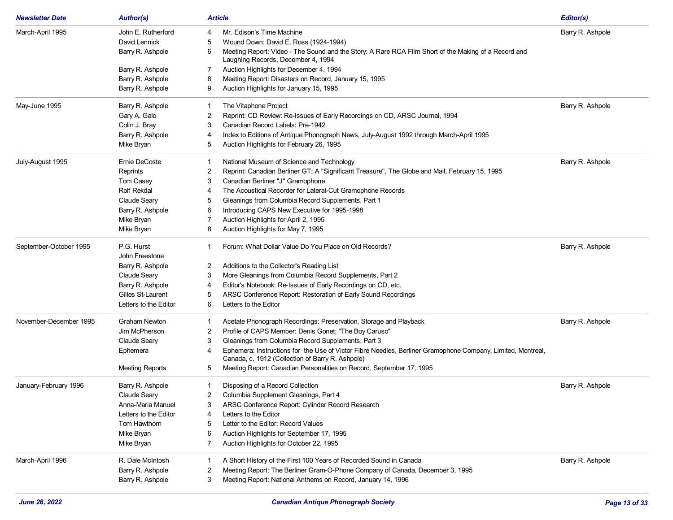| <b>Newsletter Date</b> | <b>Author(s)</b>       | <b>Article</b>                                                                                                                                                       | Editor(s)        |
|------------------------|------------------------|----------------------------------------------------------------------------------------------------------------------------------------------------------------------|------------------|
| March-April 1995       | John E. Rutherford     | Mr. Edison's Time Machine<br>4                                                                                                                                       | Barry R. Ashpole |
|                        | David Lennick          | Wound Down: David E. Ross (1924-1994)<br>5                                                                                                                           |                  |
|                        | Barry R. Ashpole       | 6<br>Meeting Report: Video - The Sound and the Story: A Rare RCA Film Short of the Making of a Record and<br>Laughing Records, December 4, 1994                      |                  |
|                        | Barry R. Ashpole       | Auction Highlights for December 4, 1994<br>7                                                                                                                         |                  |
|                        | Barry R. Ashpole       | Meeting Report: Disasters on Record, January 15, 1995<br>8                                                                                                           |                  |
|                        | Barry R. Ashpole       | Auction Highlights for January 15, 1995<br>9                                                                                                                         |                  |
| May-June 1995          | Barry R. Ashpole       | The Vitaphone Project<br>1                                                                                                                                           | Barry R. Ashpole |
|                        | Gary A. Galo           | 2<br>Reprint: CD Review: Re-Issues of Early Recordings on CD, ARSC Journal, 1994                                                                                     |                  |
|                        | Colin J. Bray          | 3<br>Canadian Record Labels: Pre-1942                                                                                                                                |                  |
|                        | Barry R. Ashpole       | Index to Editions of Antique Phonograph News, July-August 1992 through March-April 1995<br>4                                                                         |                  |
|                        | Mike Bryan             | Auction Highlights for February 26, 1995<br>5                                                                                                                        |                  |
| July-August 1995       | Ernie DeCoste          | National Museum of Science and Technology<br>1                                                                                                                       | Barry R. Ashpole |
|                        | Reprints               | Reprint: Canadian Berliner GT: A "Significant Treasure", The Globe and Mail, February 15, 1995<br>2                                                                  |                  |
|                        | Tom Casey              | 3<br>Canadian Berliner "J" Gramophone                                                                                                                                |                  |
|                        | <b>Rolf Rekdal</b>     | The Acoustical Recorder for Lateral-Cut Gramophone Records<br>4                                                                                                      |                  |
|                        | Claude Seary           | Gleanings from Columbia Record Supplements, Part 1<br>5                                                                                                              |                  |
|                        | Barry R. Ashpole       | Introducing CAPS New Executive for 1995-1998<br>6                                                                                                                    |                  |
|                        | Mike Bryan             | Auction Highlights for April 2, 1995<br>7                                                                                                                            |                  |
|                        | Mike Bryan             | Auction Highlights for May 7, 1995<br>8                                                                                                                              |                  |
| September-October 1995 | P.G. Hurst             | Forum: What Dollar Value Do You Place on Old Records?<br>1                                                                                                           | Barry R. Ashpole |
|                        | John Freestone         |                                                                                                                                                                      |                  |
|                        | Barry R. Ashpole       | 2<br>Additions to the Collector's Reading List                                                                                                                       |                  |
|                        | <b>Claude Seary</b>    | More Gleanings from Columbia Record Supplements, Part 2<br>3                                                                                                         |                  |
|                        | Barry R. Ashpole       | Editor's Notebook: Re-Issues of Early Recordings on CD, etc.<br>4                                                                                                    |                  |
|                        | Gilles St-Laurent      | ARSC Conference Report: Restoration of Early Sound Recordings<br>5                                                                                                   |                  |
|                        | Letters to the Editor  | 6<br>Letters to the Editor                                                                                                                                           |                  |
| November-December 1995 | <b>Graham Newton</b>   | Acetate Phonograph Recordings: Preservation, Storage and Playback<br>1                                                                                               | Barry R. Ashpole |
|                        | Jim McPherson          | 2<br>Profile of CAPS Member: Denis Gonet: "The Boy Caruso"                                                                                                           |                  |
|                        | Claude Seary           | Gleanings from Columbia Record Supplements, Part 3<br>3                                                                                                              |                  |
|                        | Ephemera               | Ephemera: Instructions for the Use of Victor Fibre Needles, Berliner Gramophone Company, Limited, Montreal,<br>4<br>Canada, c. 1912 (Collection of Barry R. Ashpole) |                  |
|                        | <b>Meeting Reports</b> | Meeting Report: Canadian Personalities on Record, September 17, 1995<br>5                                                                                            |                  |
| January-February 1996  | Barry R. Ashpole       | Disposing of a Record Collection<br>1                                                                                                                                | Barry R. Ashpole |
|                        | <b>Claude Seary</b>    | Columbia Supplement Gleanings, Part 4                                                                                                                                |                  |
|                        | Anna-Maria Manuel      | 3<br>ARSC Conference Report: Cylinder Record Research                                                                                                                |                  |
|                        | Letters to the Editor  | Letters to the Editor<br>4                                                                                                                                           |                  |
|                        | Tom Hawthorn           | Letter to the Editor: Record Values<br>5                                                                                                                             |                  |
|                        | Mike Bryan             | 6<br>Auction Highlights for September 17, 1995                                                                                                                       |                  |
|                        | Mike Bryan             | $\overline{7}$<br>Auction Highlights for October 22, 1995                                                                                                            |                  |
| March-April 1996       | R. Dale McIntosh       | A Short History of the First 100 Years of Recorded Sound in Canada<br>1                                                                                              | Barry R. Ashpole |
|                        | Barry R. Ashpole       | Meeting Report: The Berliner Gram-O-Phone Company of Canada, December 3, 1995<br>2                                                                                   |                  |
|                        | Barry R. Ashpole       | 3<br>Meeting Report: National Anthems on Record, January 14, 1996                                                                                                    |                  |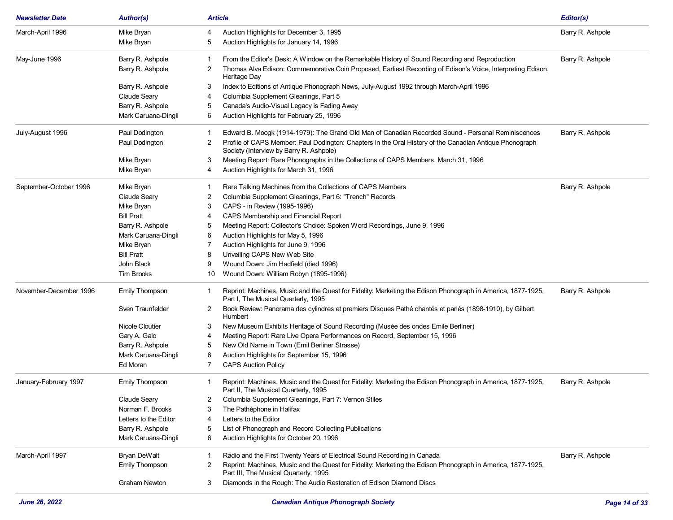| <b>Newsletter Date</b> | <b>Author(s)</b>      | <b>Article</b>                                                                                                                                                     | Editor(s)        |
|------------------------|-----------------------|--------------------------------------------------------------------------------------------------------------------------------------------------------------------|------------------|
| March-April 1996       | Mike Bryan            | Auction Highlights for December 3, 1995<br>4                                                                                                                       | Barry R. Ashpole |
|                        | Mike Bryan            | Auction Highlights for January 14, 1996<br>5                                                                                                                       |                  |
| May-June 1996          | Barry R. Ashpole      | From the Editor's Desk: A Window on the Remarkable History of Sound Recording and Reproduction<br>1                                                                | Barry R. Ashpole |
|                        | Barry R. Ashpole      | Thomas Alva Edison: Commemorative Coin Proposed, Earliest Recording of Edison's Voice, Interpreting Edison,<br>2<br>Heritage Day                                   |                  |
|                        | Barry R. Ashpole      | Index to Editions of Antique Phonograph News, July-August 1992 through March-April 1996<br>3                                                                       |                  |
|                        | Claude Seary          | Columbia Supplement Gleanings, Part 5<br>4                                                                                                                         |                  |
|                        | Barry R. Ashpole      | Canada's Audio-Visual Legacy is Fading Away<br>5                                                                                                                   |                  |
|                        | Mark Caruana-Dingli   | Auction Highlights for February 25, 1996<br>6                                                                                                                      |                  |
| July-August 1996       | Paul Dodington        | Edward B. Moogk (1914-1979): The Grand Old Man of Canadian Recorded Sound - Personal Reminiscences<br>1                                                            | Barry R. Ashpole |
|                        | Paul Dodington        | Profile of CAPS Member: Paul Dodington: Chapters in the Oral History of the Canadian Antique Phonograph<br>2<br>Society (Interview by Barry R. Ashpole)            |                  |
|                        | Mike Bryan            | Meeting Report: Rare Phonographs in the Collections of CAPS Members, March 31, 1996<br>3                                                                           |                  |
|                        | Mike Bryan            | Auction Highlights for March 31, 1996<br>4                                                                                                                         |                  |
| September-October 1996 | Mike Bryan            | Rare Talking Machines from the Collections of CAPS Members<br>1                                                                                                    | Barry R. Ashpole |
|                        | Claude Seary          | 2<br>Columbia Supplement Gleanings, Part 6: "Trench" Records                                                                                                       |                  |
|                        | Mike Bryan            | CAPS - in Review (1995-1996)<br>3                                                                                                                                  |                  |
|                        | <b>Bill Pratt</b>     | CAPS Membership and Financial Report<br>4                                                                                                                          |                  |
|                        | Barry R. Ashpole      | Meeting Report: Collector's Choice: Spoken Word Recordings, June 9, 1996<br>5                                                                                      |                  |
|                        | Mark Caruana-Dingli   | Auction Highlights for May 5, 1996<br>6                                                                                                                            |                  |
|                        | Mike Bryan            | Auction Highlights for June 9, 1996<br>7                                                                                                                           |                  |
|                        | <b>Bill Pratt</b>     | Unveiling CAPS New Web Site<br>8                                                                                                                                   |                  |
|                        | John Black            | Wound Down: Jim Hadfield (died 1996)<br>9                                                                                                                          |                  |
|                        | <b>Tim Brooks</b>     | Wound Down: William Robyn (1895-1996)<br>10                                                                                                                        |                  |
| November-December 1996 | <b>Emily Thompson</b> | Reprint: Machines, Music and the Quest for Fidelity: Marketing the Edison Phonograph in America, 1877-1925,<br>$\mathbf{1}$<br>Part I, The Musical Quarterly, 1995 | Barry R. Ashpole |
|                        | Sven Traunfelder      | Book Review: Panorama des cylindres et premiers Disques Pathé chantés et parlés (1898-1910), by Gilbert<br>2<br>Humbert                                            |                  |
|                        | Nicole Cloutier       | New Museum Exhibits Heritage of Sound Recording (Musée des ondes Emile Berliner)<br>3                                                                              |                  |
|                        | Gary A. Galo          | Meeting Report: Rare Live Opera Performances on Record, September 15, 1996<br>4                                                                                    |                  |
|                        | Barry R. Ashpole      | New Old Name in Town (Emil Berliner Strasse)<br>5                                                                                                                  |                  |
|                        | Mark Caruana-Dingli   | Auction Highlights for September 15, 1996<br>6                                                                                                                     |                  |
|                        | Ed Moran              | <b>CAPS Auction Policy</b><br>7                                                                                                                                    |                  |
| January-February 1997  | Emily Thompson        | Reprint: Machines, Music and the Quest for Fidelity: Marketing the Edison Phonograph in America, 1877-1925,<br>Part II, The Musical Quarterly, 1995                | Barry R. Ashpole |
|                        | Claude Seary          | Columbia Supplement Gleanings, Part 7: Vernon Stiles<br>2                                                                                                          |                  |
|                        | Norman F. Brooks      | 3<br>The Pathéphone in Halifax                                                                                                                                     |                  |
|                        | Letters to the Editor | Letters to the Editor<br>4                                                                                                                                         |                  |
|                        | Barry R. Ashpole      | List of Phonograph and Record Collecting Publications<br>5                                                                                                         |                  |
|                        | Mark Caruana-Dingli   | Auction Highlights for October 20, 1996<br>6                                                                                                                       |                  |
| March-April 1997       | Bryan DeWalt          | Radio and the First Twenty Years of Electrical Sound Recording in Canada<br>1                                                                                      | Barry R. Ashpole |
|                        | <b>Emily Thompson</b> | Reprint: Machines, Music and the Quest for Fidelity: Marketing the Edison Phonograph in America, 1877-1925,<br>2                                                   |                  |
|                        | Graham Newton         | Part III, The Musical Quarterly, 1995<br>Diamonds in the Rough: The Audio Restoration of Edison Diamond Discs<br>3                                                 |                  |
|                        |                       |                                                                                                                                                                    |                  |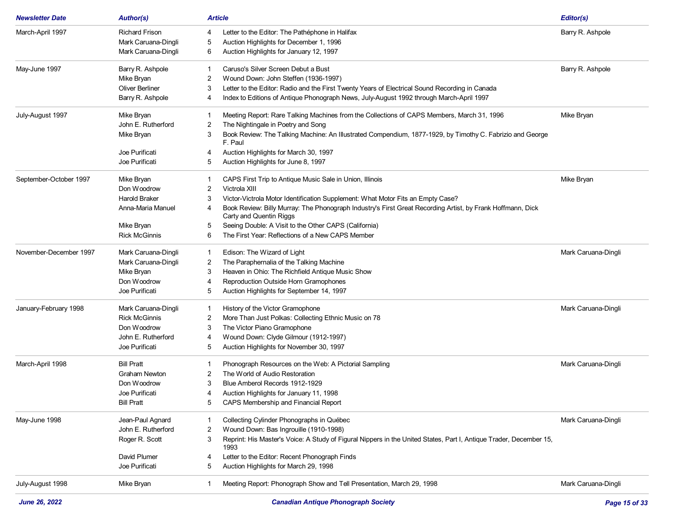| <b>Newsletter Date</b> | <b>Author(s)</b>      | Article                                                                                                                                    | Editor(s)           |
|------------------------|-----------------------|--------------------------------------------------------------------------------------------------------------------------------------------|---------------------|
| March-April 1997       | <b>Richard Frison</b> | Letter to the Editor: The Pathéphone in Halifax<br>4                                                                                       | Barry R. Ashpole    |
|                        | Mark Caruana-Dingli   | Auction Highlights for December 1, 1996<br>5                                                                                               |                     |
|                        | Mark Caruana-Dingli   | Auction Highlights for January 12, 1997<br>6                                                                                               |                     |
| May-June 1997          | Barry R. Ashpole      | Caruso's Silver Screen Debut a Bust                                                                                                        | Barry R. Ashpole    |
|                        | Mike Bryan            | Wound Down: John Steffen (1936-1997)<br>2                                                                                                  |                     |
|                        | Oliver Berliner       | Letter to the Editor: Radio and the First Twenty Years of Electrical Sound Recording in Canada<br>3                                        |                     |
|                        | Barry R. Ashpole      | Index to Editions of Antique Phonograph News, July-August 1992 through March-April 1997<br>4                                               |                     |
| July-August 1997       | Mike Bryan            | Meeting Report: Rare Talking Machines from the Collections of CAPS Members, March 31, 1996                                                 | Mike Bryan          |
|                        | John E. Rutherford    | The Nightingale in Poetry and Song<br>2                                                                                                    |                     |
|                        | Mike Bryan            | Book Review: The Talking Machine: An Illustrated Compendium, 1877-1929, by Timothy C. Fabrizio and George<br>3<br>F. Paul                  |                     |
|                        | Joe Purificati        | Auction Highlights for March 30, 1997<br>4                                                                                                 |                     |
|                        | Joe Purificati        | Auction Highlights for June 8, 1997<br>5                                                                                                   |                     |
| September-October 1997 | Mike Bryan            | CAPS First Trip to Antique Music Sale in Union, Illinois<br>1                                                                              | Mike Bryan          |
|                        | Don Woodrow           | Victrola XIII<br>2                                                                                                                         |                     |
|                        | <b>Harold Braker</b>  | Victor-Victrola Motor Identification Supplement: What Motor Fits an Empty Case?<br>3                                                       |                     |
|                        | Anna-Maria Manuel     | Book Review: Billy Murray: The Phonograph Industry's First Great Recording Artist, by Frank Hoffmann, Dick<br>4<br>Carty and Quentin Riggs |                     |
|                        | Mike Bryan            | Seeing Double: A Visit to the Other CAPS (California)<br>5                                                                                 |                     |
|                        | <b>Rick McGinnis</b>  | The First Year: Reflections of a New CAPS Member<br>6                                                                                      |                     |
| November-December 1997 | Mark Caruana-Dingli   | Edison: The Wizard of Light<br>-1                                                                                                          | Mark Caruana-Dingli |
|                        | Mark Caruana-Dingli   | The Paraphernalia of the Talking Machine<br>2                                                                                              |                     |
|                        | Mike Bryan            | Heaven in Ohio: The Richfield Antique Music Show<br>3                                                                                      |                     |
|                        | Don Woodrow           | Reproduction Outside Horn Gramophones                                                                                                      |                     |
|                        | Joe Purificati        | Auction Highlights for September 14, 1997<br>5                                                                                             |                     |
| January-February 1998  | Mark Caruana-Dingli   | History of the Victor Gramophone                                                                                                           | Mark Caruana-Dingli |
|                        | <b>Rick McGinnis</b>  | More Than Just Polkas: Collecting Ethnic Music on 78<br>2                                                                                  |                     |
|                        | Don Woodrow           | The Victor Piano Gramophone<br>3                                                                                                           |                     |
|                        | John E. Rutherford    | Wound Down: Clyde Gilmour (1912-1997)<br>4                                                                                                 |                     |
|                        | Joe Purificati        | Auction Highlights for November 30, 1997<br>5                                                                                              |                     |
| March-April 1998       | <b>Bill Pratt</b>     | Phonograph Resources on the Web: A Pictorial Sampling                                                                                      | Mark Caruana-Dingli |
|                        | <b>Graham Newton</b>  | The World of Audio Restoration<br>2                                                                                                        |                     |
|                        | Don Woodrow           | Blue Amberol Records 1912-1929<br>3                                                                                                        |                     |
|                        | Joe Purificati        | Auction Highlights for January 11, 1998                                                                                                    |                     |
|                        | <b>Bill Pratt</b>     | CAPS Membership and Financial Report<br>5                                                                                                  |                     |
| May-June 1998          | Jean-Paul Agnard      | Collecting Cylinder Phonographs in Québec                                                                                                  | Mark Caruana-Dingli |
|                        | John E. Rutherford    | Wound Down: Bas Ingrouille (1910-1998)<br>2                                                                                                |                     |
|                        | Roger R. Scott        | Reprint: His Master's Voice: A Study of Figural Nippers in the United States, Part I, Antique Trader, December 15,<br>3<br>1993            |                     |
|                        | David Plumer          | Letter to the Editor: Recent Phonograph Finds<br>4                                                                                         |                     |
|                        | Joe Purificati        | Auction Highlights for March 29, 1998<br>5                                                                                                 |                     |
| July-August 1998       | Mike Bryan            | Meeting Report: Phonograph Show and Tell Presentation, March 29, 1998                                                                      | Mark Caruana-Dingli |
|                        |                       |                                                                                                                                            |                     |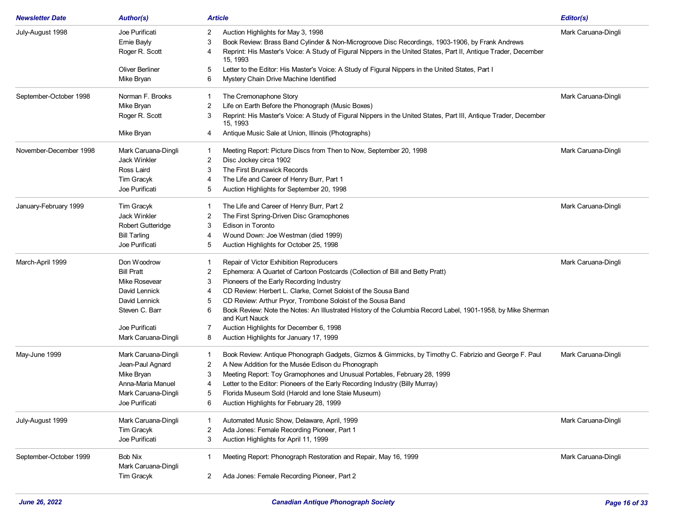| <b>Newsletter Date</b> | <b>Author(s)</b>                  | <b>Article</b>                                                                                                                      | Editor(s)           |
|------------------------|-----------------------------------|-------------------------------------------------------------------------------------------------------------------------------------|---------------------|
| July-August 1998       | Joe Purificati                    | 2<br>Auction Highlights for May 3, 1998                                                                                             | Mark Caruana-Dingli |
|                        | Ernie Bayly                       | Book Review: Brass Band Cylinder & Non-Microgroove Disc Recordings, 1903-1906, by Frank Andrews<br>3                                |                     |
|                        | Roger R. Scott                    | Reprint: His Master's Voice: A Study of Figural Nippers in the United States, Part II, Antique Trader, December<br>15, 1993         |                     |
|                        | Oliver Berliner                   | Letter to the Editor: His Master's Voice: A Study of Figural Nippers in the United States, Part I<br>5                              |                     |
|                        | Mike Bryan                        | Mystery Chain Drive Machine Identified<br>6                                                                                         |                     |
| September-October 1998 | Norman F. Brooks                  | The Cremonaphone Story<br>-1                                                                                                        | Mark Caruana-Dingli |
|                        | Mike Bryan                        | Life on Earth Before the Phonograph (Music Boxes)<br>2                                                                              |                     |
|                        | Roger R. Scott                    | Reprint: His Master's Voice: A Study of Figural Nippers in the United States, Part III, Antique Trader, December<br>3<br>15.1993    |                     |
|                        | Mike Bryan                        | Antique Music Sale at Union, Illinois (Photographs)<br>4                                                                            |                     |
| November-December 1998 | Mark Caruana-Dingli               | Meeting Report: Picture Discs from Then to Now, September 20, 1998                                                                  | Mark Caruana-Dingli |
|                        | Jack Winkler                      | Disc Jockey circa 1902<br>2                                                                                                         |                     |
|                        | Ross Laird                        | The First Brunswick Records<br>3                                                                                                    |                     |
|                        | Tim Gracyk                        | The Life and Career of Henry Burr, Part 1<br>4                                                                                      |                     |
|                        | Joe Purificati                    | Auction Highlights for September 20, 1998<br>5                                                                                      |                     |
| January-February 1999  | Tim Gracyk                        | The Life and Career of Henry Burr, Part 2                                                                                           | Mark Caruana-Dingli |
|                        | Jack Winkler                      | The First Spring-Driven Disc Gramophones<br>2                                                                                       |                     |
|                        | <b>Robert Gutteridge</b>          | Edison in Toronto<br>3                                                                                                              |                     |
|                        | <b>Bill Tarling</b>               | Wound Down: Joe Westman (died 1999)<br>4                                                                                            |                     |
|                        | Joe Purificati                    | Auction Highlights for October 25, 1998<br>5                                                                                        |                     |
| March-April 1999       | Don Woodrow                       | Repair of Victor Exhibition Reproducers                                                                                             | Mark Caruana-Dingli |
|                        | <b>Bill Pratt</b>                 | Ephemera: A Quartet of Cartoon Postcards (Collection of Bill and Betty Pratt)<br>2                                                  |                     |
|                        | <b>Mike Rosevear</b>              | Pioneers of the Early Recording Industry<br>3                                                                                       |                     |
|                        | David Lennick                     | CD Review: Herbert L. Clarke, Cornet Soloist of the Sousa Band                                                                      |                     |
|                        | David Lennick                     | CD Review: Arthur Pryor, Trombone Soloist of the Sousa Band<br>5                                                                    |                     |
|                        | Steven C. Barr                    | Book Review: Note the Notes: An Illustrated History of the Columbia Record Label, 1901-1958, by Mike Sherman<br>6<br>and Kurt Nauck |                     |
|                        | Joe Purificati                    | Auction Highlights for December 6, 1998                                                                                             |                     |
|                        | Mark Caruana-Dingli               | Auction Highlights for January 17, 1999<br>8                                                                                        |                     |
| May-June 1999          | Mark Caruana-Dingli               | Book Review: Antique Phonograph Gadgets, Gizmos & Gimmicks, by Timothy C. Fabrizio and George F. Paul<br>-1                         | Mark Caruana-Dingli |
|                        | Jean-Paul Agnard                  | A New Addition for the Musée Edison du Phonograph<br>2                                                                              |                     |
|                        | Mike Bryan                        | Meeting Report: Toy Gramophones and Unusual Portables, February 28, 1999<br>3                                                       |                     |
|                        | Anna-Maria Manuel                 | Letter to the Editor: Pioneers of the Early Recording Industry (Billy Murray)                                                       |                     |
|                        | Mark Caruana-Dingli               | Florida Museum Sold (Harold and Ione Staie Museum)                                                                                  |                     |
|                        | Joe Purificati                    | Auction Highlights for February 28, 1999<br>6                                                                                       |                     |
| July-August 1999       | Mark Caruana-Dingli               | Automated Music Show, Delaware, April, 1999                                                                                         | Mark Caruana-Dingli |
|                        | Tim Gracyk                        | Ada Jones: Female Recording Pioneer, Part 1<br>2                                                                                    |                     |
|                        | Joe Purificati                    | Auction Highlights for April 11, 1999<br>3                                                                                          |                     |
| September-October 1999 | Bob Nix                           | Meeting Report: Phonograph Restoration and Repair, May 16, 1999<br>1                                                                | Mark Caruana-Dingli |
|                        | Mark Caruana-Dingli<br>Tim Gracyk | Ada Jones: Female Recording Pioneer, Part 2<br>2                                                                                    |                     |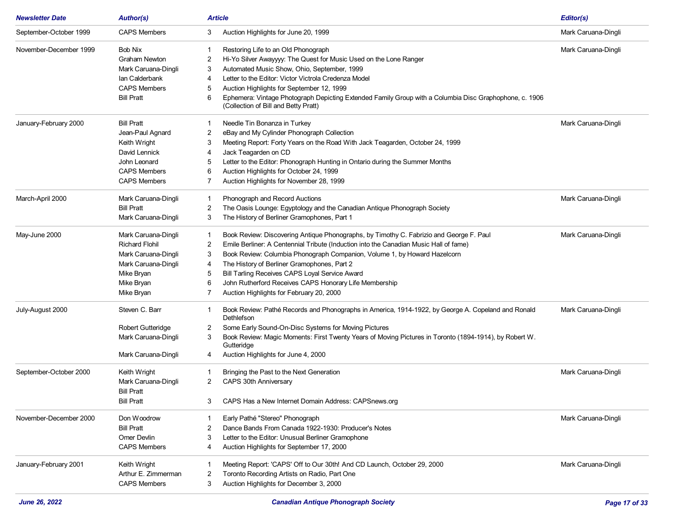| <b>Newsletter Date</b> | <b>Author(s)</b>         | <b>Article</b>                                                                                                                                      | Editor(s)           |
|------------------------|--------------------------|-----------------------------------------------------------------------------------------------------------------------------------------------------|---------------------|
| September-October 1999 | <b>CAPS Members</b>      | Auction Highlights for June 20, 1999<br>3                                                                                                           | Mark Caruana-Dingli |
| November-December 1999 | <b>Bob Nix</b>           | Restoring Life to an Old Phonograph                                                                                                                 | Mark Caruana-Dingli |
|                        | <b>Graham Newton</b>     | 2<br>Hi-Yo Silver Awayyyy: The Quest for Music Used on the Lone Ranger                                                                              |                     |
|                        | Mark Caruana-Dingli      | Automated Music Show, Ohio, September, 1999<br>3                                                                                                    |                     |
|                        | Ian Calderbank           | Letter to the Editor: Victor Victrola Credenza Model<br>4                                                                                           |                     |
|                        | <b>CAPS Members</b>      | 5<br>Auction Highlights for September 12, 1999                                                                                                      |                     |
|                        | <b>Bill Pratt</b>        | Ephemera: Vintage Photograph Depicting Extended Family Group with a Columbia Disc Graphophone, c. 1906<br>6<br>(Collection of Bill and Betty Pratt) |                     |
| January-February 2000  | <b>Bill Pratt</b>        | Needle Tin Bonanza in Turkey                                                                                                                        | Mark Caruana-Dingli |
|                        | Jean-Paul Agnard         | 2<br>eBay and My Cylinder Phonograph Collection                                                                                                     |                     |
|                        | Keith Wright             | Meeting Report: Forty Years on the Road With Jack Teagarden, October 24, 1999<br>3                                                                  |                     |
|                        | David Lennick            | Jack Teagarden on CD<br>4                                                                                                                           |                     |
|                        | John Leonard             | Letter to the Editor: Phonograph Hunting in Ontario during the Summer Months<br>5                                                                   |                     |
|                        | <b>CAPS Members</b>      | Auction Highlights for October 24, 1999<br>6                                                                                                        |                     |
|                        | <b>CAPS Members</b>      | Auction Highlights for November 28, 1999<br>7                                                                                                       |                     |
| March-April 2000       | Mark Caruana-Dingli      | Phonograph and Record Auctions<br>-1                                                                                                                | Mark Caruana-Dingli |
|                        | <b>Bill Pratt</b>        | The Oasis Lounge: Egyptology and the Canadian Antique Phonograph Society<br>2                                                                       |                     |
|                        | Mark Caruana-Dingli      | The History of Berliner Gramophones, Part 1<br>3                                                                                                    |                     |
| May-June 2000          | Mark Caruana-Dingli      | Book Review: Discovering Antique Phonographs, by Timothy C. Fabrizio and George F. Paul<br>-1                                                       | Mark Caruana-Dingli |
|                        | <b>Richard Flohil</b>    | Emile Berliner: A Centennial Tribute (Induction into the Canadian Music Hall of fame)<br>2                                                          |                     |
|                        | Mark Caruana-Dingli      | Book Review: Columbia Phonograph Companion, Volume 1, by Howard Hazelcorn<br>3                                                                      |                     |
|                        | Mark Caruana-Dingli      | The History of Berliner Gramophones, Part 2<br>4                                                                                                    |                     |
|                        | Mike Bryan               | Bill Tarling Receives CAPS Loyal Service Award<br>5                                                                                                 |                     |
|                        | Mike Bryan               | John Rutherford Receives CAPS Honorary Life Membership<br>6                                                                                         |                     |
|                        | Mike Bryan               | Auction Highlights for February 20, 2000<br>7                                                                                                       |                     |
| July-August 2000       | Steven C. Barr           | Book Review: Pathé Records and Phonographs in America, 1914-1922, by George A. Copeland and Ronald<br>Dethlefson                                    | Mark Caruana-Dingli |
|                        | <b>Robert Gutteridge</b> | Some Early Sound-On-Disc Systems for Moving Pictures<br>2                                                                                           |                     |
|                        | Mark Caruana-Dingli      | 3<br>Book Review: Magic Moments: First Twenty Years of Moving Pictures in Toronto (1894-1914), by Robert W.<br>Gutteridge                           |                     |
|                        | Mark Caruana-Dingli      | Auction Highlights for June 4, 2000<br>4                                                                                                            |                     |
| September-October 2000 | Keith Wright             | Bringing the Past to the Next Generation                                                                                                            | Mark Caruana-Dingli |
|                        | Mark Caruana-Dingli      | 2<br>CAPS 30th Anniversary                                                                                                                          |                     |
|                        | <b>Bill Pratt</b>        |                                                                                                                                                     |                     |
|                        | <b>Bill Pratt</b>        | CAPS Has a New Internet Domain Address: CAPSnews.org<br>3                                                                                           |                     |
| November-December 2000 | Don Woodrow              | Early Pathé "Stereo" Phonograph                                                                                                                     | Mark Caruana-Dingli |
|                        | <b>Bill Pratt</b>        | Dance Bands From Canada 1922-1930: Producer's Notes<br>2                                                                                            |                     |
|                        | Omer Devlin              | Letter to the Editor: Unusual Berliner Gramophone<br>3                                                                                              |                     |
|                        | <b>CAPS Members</b>      | Auction Highlights for September 17, 2000                                                                                                           |                     |
| January-February 2001  | Keith Wright             | Meeting Report: 'CAPS' Off to Our 30th! And CD Launch, October 29, 2000                                                                             | Mark Caruana-Dingli |
|                        | Arthur E. Zimmerman      | Toronto Recording Artists on Radio, Part One<br>2                                                                                                   |                     |
|                        | <b>CAPS Members</b>      | Auction Highlights for December 3, 2000<br>3                                                                                                        |                     |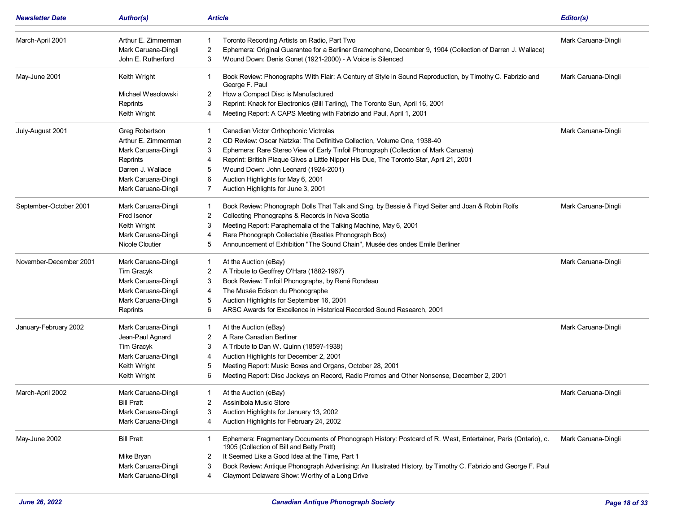| <b>Newsletter Date</b> | <b>Author(s)</b>    | Article                                                                                                                                                   | Editor(s)           |
|------------------------|---------------------|-----------------------------------------------------------------------------------------------------------------------------------------------------------|---------------------|
| March-April 2001       | Arthur E. Zimmerman | Toronto Recording Artists on Radio, Part Two                                                                                                              | Mark Caruana-Dingli |
|                        | Mark Caruana-Dingli | 2<br>Ephemera: Original Guarantee for a Berliner Gramophone, December 9, 1904 (Collection of Darren J. Wallace)                                           |                     |
|                        | John E. Rutherford  | 3<br>Wound Down: Denis Gonet (1921-2000) - A Voice is Silenced                                                                                            |                     |
| May-June 2001          | Keith Wright        | Book Review: Phonographs With Flair: A Century of Style in Sound Reproduction, by Timothy C. Fabrizio and<br>George F. Paul                               | Mark Caruana-Dingli |
|                        | Michael Wesolowski  | How a Compact Disc is Manufactured<br>2                                                                                                                   |                     |
|                        | Reprints            | Reprint: Knack for Electronics (Bill Tarling), The Toronto Sun, April 16, 2001<br>3                                                                       |                     |
|                        | Keith Wright        | Meeting Report: A CAPS Meeting with Fabrizio and Paul, April 1, 2001<br>4                                                                                 |                     |
| July-August 2001       | Greg Robertson      | Canadian Victor Orthophonic Victrolas                                                                                                                     | Mark Caruana-Dingli |
|                        | Arthur E. Zimmerman | CD Review: Oscar Natzka: The Definitive Collection, Volume One, 1938-40<br>2                                                                              |                     |
|                        | Mark Caruana-Dingli | 3<br>Ephemera: Rare Stereo View of Early Tinfoil Phonograph (Collection of Mark Caruana)                                                                  |                     |
|                        | Reprints            | Reprint: British Plaque Gives a Little Nipper His Due, The Toronto Star, April 21, 2001<br>4                                                              |                     |
|                        | Darren J. Wallace   | Wound Down: John Leonard (1924-2001)<br>5                                                                                                                 |                     |
|                        | Mark Caruana-Dingli | Auction Highlights for May 6, 2001<br>6                                                                                                                   |                     |
|                        | Mark Caruana-Dingli | Auction Highlights for June 3, 2001<br>7                                                                                                                  |                     |
| September-October 2001 | Mark Caruana-Dingli | Book Review: Phonograph Dolls That Talk and Sing, by Bessie & Floyd Seiter and Joan & Robin Rolfs<br>-1                                                   | Mark Caruana-Dingli |
|                        | Fred Isenor         | 2<br>Collecting Phonographs & Records in Nova Scotia                                                                                                      |                     |
|                        | Keith Wright        | Meeting Report: Paraphernalia of the Talking Machine, May 6, 2001<br>3                                                                                    |                     |
|                        | Mark Caruana-Dingli | Rare Phonograph Collectable (Beatles Phonograph Box)<br>4                                                                                                 |                     |
|                        | Nicole Cloutier     | Announcement of Exhibition "The Sound Chain", Musée des ondes Emile Berliner<br>5                                                                         |                     |
| November-December 2001 | Mark Caruana-Dingli | At the Auction (eBay)<br>1                                                                                                                                | Mark Caruana-Dingli |
|                        | Tim Gracyk          | A Tribute to Geoffrey O'Hara (1882-1967)<br>2                                                                                                             |                     |
|                        | Mark Caruana-Dingli | 3<br>Book Review: Tinfoil Phonographs, by René Rondeau                                                                                                    |                     |
|                        | Mark Caruana-Dingli | The Musée Edison du Phonographe<br>4                                                                                                                      |                     |
|                        | Mark Caruana-Dingli | Auction Highlights for September 16, 2001<br>5                                                                                                            |                     |
|                        | Reprints            | ARSC Awards for Excellence in Historical Recorded Sound Research, 2001<br>6                                                                               |                     |
| January-February 2002  | Mark Caruana-Dingli | At the Auction (eBay)<br>$\mathbf{1}$                                                                                                                     | Mark Caruana-Dingli |
|                        | Jean-Paul Agnard    | A Rare Canadian Berliner<br>2                                                                                                                             |                     |
|                        | Tim Gracyk          | A Tribute to Dan W. Quinn (1859?-1938)<br>3                                                                                                               |                     |
|                        | Mark Caruana-Dingli | Auction Highlights for December 2, 2001<br>4                                                                                                              |                     |
|                        | Keith Wright        | Meeting Report: Music Boxes and Organs, October 28, 2001<br>5                                                                                             |                     |
|                        | Keith Wright        | Meeting Report: Disc Jockeys on Record, Radio Promos and Other Nonsense, December 2, 2001<br>6                                                            |                     |
| March-April 2002       | Mark Caruana-Dingli | At the Auction (eBay)<br>1                                                                                                                                | Mark Caruana-Dingli |
|                        | <b>Bill Pratt</b>   | Assiniboia Music Store                                                                                                                                    |                     |
|                        | Mark Caruana-Dingli | Auction Highlights for January 13, 2002<br>3                                                                                                              |                     |
|                        | Mark Caruana-Dingli | Auction Highlights for February 24, 2002<br>4                                                                                                             |                     |
| May-June 2002          | <b>Bill Pratt</b>   | Ephemera: Fragmentary Documents of Phonograph History: Postcard of R. West, Entertainer, Paris (Ontario), c.<br>1905 (Collection of Bill and Betty Pratt) | Mark Caruana-Dingli |
|                        | Mike Bryan          | It Seemed Like a Good Idea at the Time, Part 1<br>2                                                                                                       |                     |
|                        | Mark Caruana-Dingli | Book Review: Antique Phonograph Advertising: An Illustrated History, by Timothy C. Fabrizio and George F. Paul<br>3                                       |                     |
|                        | Mark Caruana-Dingli | Claymont Delaware Show: Worthy of a Long Drive<br>4                                                                                                       |                     |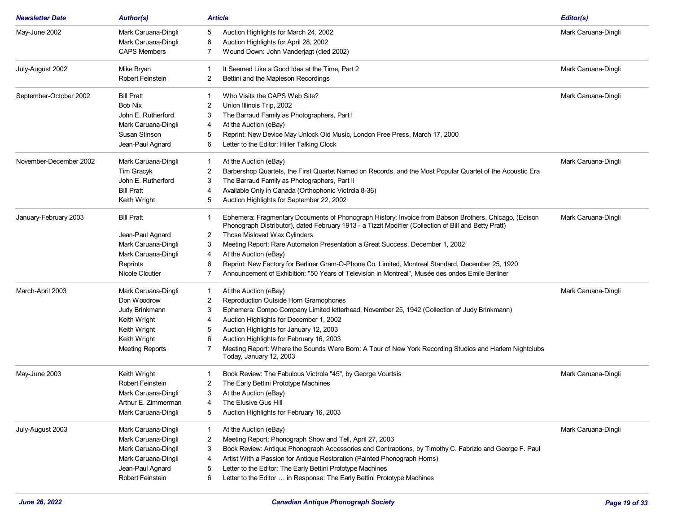| <b>Newsletter Date</b> | <b>Author(s)</b>       | <b>Article</b>                                                                                                                                                                                                 | Editor(s)           |
|------------------------|------------------------|----------------------------------------------------------------------------------------------------------------------------------------------------------------------------------------------------------------|---------------------|
| May-June 2002          | Mark Caruana-Dingli    | Auction Highlights for March 24, 2002<br>5                                                                                                                                                                     | Mark Caruana-Dingli |
|                        | Mark Caruana-Dingli    | Auction Highlights for April 28, 2002<br>6                                                                                                                                                                     |                     |
|                        | <b>CAPS Members</b>    | Wound Down: John Vanderjagt (died 2002)<br>7                                                                                                                                                                   |                     |
| July-August 2002       | Mike Bryan             | It Seemed Like a Good Idea at the Time, Part 2                                                                                                                                                                 | Mark Caruana-Dingli |
|                        | Robert Feinstein       | Bettini and the Mapleson Recordings<br>2                                                                                                                                                                       |                     |
| September-October 2002 | <b>Bill Pratt</b>      | Who Visits the CAPS Web Site?                                                                                                                                                                                  | Mark Caruana-Dingli |
|                        | <b>Bob Nix</b>         | Union Illinois Trip, 2002<br>2                                                                                                                                                                                 |                     |
|                        | John E. Rutherford     | The Barraud Family as Photographers, Part I<br>3                                                                                                                                                               |                     |
|                        | Mark Caruana-Dingli    | At the Auction (eBay)<br>4                                                                                                                                                                                     |                     |
|                        | Susan Stinson          | Reprint: New Device May Unlock Old Music, London Free Press, March 17, 2000<br>5                                                                                                                               |                     |
|                        | Jean-Paul Agnard       | Letter to the Editor: Hiller Talking Clock<br>6                                                                                                                                                                |                     |
| November-December 2002 | Mark Caruana-Dingli    | At the Auction (eBay)<br>-1                                                                                                                                                                                    | Mark Caruana-Dingli |
|                        | Tim Gracyk             | Barbershop Quartets, the First Quartet Named on Records, and the Most Popular Quartet of the Acoustic Era<br>2                                                                                                 |                     |
|                        | John E. Rutherford     | The Barraud Family as Photographers, Part II<br>3                                                                                                                                                              |                     |
|                        | <b>Bill Pratt</b>      | Available Only in Canada (Orthophonic Victrola 8-36)<br>4                                                                                                                                                      |                     |
|                        | Keith Wright           | Auction Highlights for September 22, 2002<br>5                                                                                                                                                                 |                     |
| January-February 2003  | <b>Bill Pratt</b>      | Ephemera: Fragmentary Documents of Phonograph History: Invoice from Babson Brothers, Chicago, (Edison<br>Phonograph Distributor), dated February 1913 - a Tizzit Modifier (Collection of Bill and Betty Pratt) | Mark Caruana-Dingli |
|                        | Jean-Paul Agnard       | Those Misloved Wax Cylinders<br>2                                                                                                                                                                              |                     |
|                        | Mark Caruana-Dingli    | 3<br>Meeting Report: Rare Automaton Presentation a Great Success, December 1, 2002                                                                                                                             |                     |
|                        | Mark Caruana-Dingli    | At the Auction (eBay)<br>4                                                                                                                                                                                     |                     |
|                        | Reprints               | Reprint: New Factory for Berliner Gram-O-Phone Co. Limited, Montreal Standard, December 25, 1920<br>6                                                                                                          |                     |
|                        | Nicole Cloutier        | Announcement of Exhibition: "50 Years of Television in Montreal", Musée des ondes Emile Berliner                                                                                                               |                     |
| March-April 2003       | Mark Caruana-Dingli    | At the Auction (eBay)<br>-1                                                                                                                                                                                    | Mark Caruana-Dingli |
|                        | Don Woodrow            | Reproduction Outside Horn Gramophones<br>2                                                                                                                                                                     |                     |
|                        | Judy Brinkmann         | Ephemera: Compo Company Limited letterhead, November 25, 1942 (Collection of Judy Brinkmann)<br>3                                                                                                              |                     |
|                        | Keith Wright           | Auction Highlights for December 1, 2002<br>4                                                                                                                                                                   |                     |
|                        | Keith Wright           | Auction Highlights for January 12, 2003<br>5                                                                                                                                                                   |                     |
|                        | Keith Wright           | Auction Highlights for February 16, 2003<br>6                                                                                                                                                                  |                     |
|                        | <b>Meeting Reports</b> | Meeting Report: Where the Sounds Were Born: A Tour of New York Recording Studios and Harlem Nightclubs<br>Today, January 12, 2003                                                                              |                     |
| May-June 2003          | Keith Wright           | Book Review: The Fabulous Victrola "45", by George Vourtsis                                                                                                                                                    | Mark Caruana-Dingli |
|                        | Robert Feinstein       | The Early Bettini Prototype Machines<br>2                                                                                                                                                                      |                     |
|                        | Mark Caruana-Dingli    | At the Auction (eBay)<br>3                                                                                                                                                                                     |                     |
|                        | Arthur E. Zimmerman    | The Elusive Gus Hill<br>4                                                                                                                                                                                      |                     |
|                        | Mark Caruana-Dingli    | Auction Highlights for February 16, 2003<br>5                                                                                                                                                                  |                     |
| July-August 2003       | Mark Caruana-Dingli    | At the Auction (eBay)<br>-1                                                                                                                                                                                    | Mark Caruana-Dingli |
|                        | Mark Caruana-Dingli    | Meeting Report: Phonograph Show and Tell, April 27, 2003<br>2                                                                                                                                                  |                     |
|                        | Mark Caruana-Dingli    | Book Review: Antique Phonograph Accessories and Contraptions, by Timothy C. Fabrizio and George F. Paul<br>3                                                                                                   |                     |
|                        | Mark Caruana-Dingli    | Artist With a Passion for Antique Restoration (Painted Phonograph Horns)<br>4                                                                                                                                  |                     |
|                        | Jean-Paul Agnard       | Letter to the Editor: The Early Bettini Prototype Machines<br>5                                                                                                                                                |                     |
|                        | Robert Feinstein       | Letter to the Editor  in Response: The Early Bettini Prototype Machines<br>6                                                                                                                                   |                     |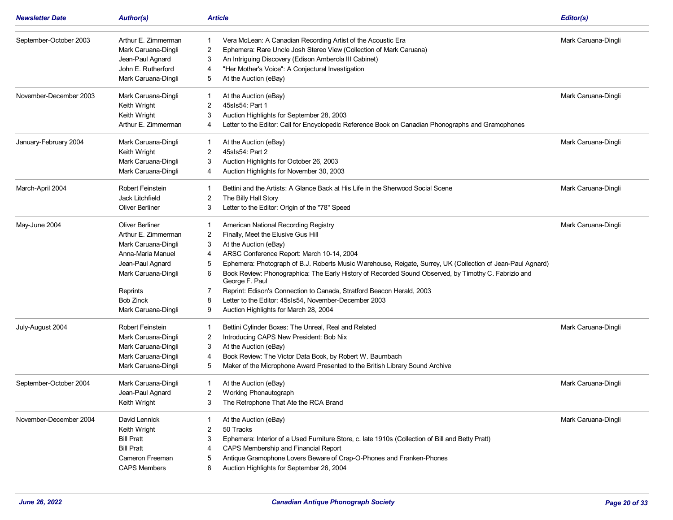| <b>Newsletter Date</b> | <b>Author(s)</b>        | <b>Article</b>                                                                                                              | Editor(s)           |
|------------------------|-------------------------|-----------------------------------------------------------------------------------------------------------------------------|---------------------|
| September-October 2003 | Arthur E. Zimmerman     | Vera McLean: A Canadian Recording Artist of the Acoustic Era<br>1                                                           | Mark Caruana-Dingli |
|                        | Mark Caruana-Dingli     | Ephemera: Rare Uncle Josh Stereo View (Collection of Mark Caruana)<br>2                                                     |                     |
|                        | Jean-Paul Agnard        | An Intriguing Discovery (Edison Amberola III Cabinet)<br>3                                                                  |                     |
|                        | John E. Rutherford      | "Her Mother's Voice": A Conjectural Investigation<br>$\overline{4}$                                                         |                     |
|                        | Mark Caruana-Dingli     | At the Auction (eBay)<br>5                                                                                                  |                     |
| November-December 2003 | Mark Caruana-Dingli     | At the Auction (eBay)                                                                                                       | Mark Caruana-Dingli |
|                        | Keith Wright            | 2<br>45sls54: Part 1                                                                                                        |                     |
|                        | Keith Wright            | 3<br>Auction Highlights for September 28, 2003                                                                              |                     |
|                        | Arthur E. Zimmerman     | Letter to the Editor: Call for Encyclopedic Reference Book on Canadian Phonographs and Gramophones<br>4                     |                     |
| January-February 2004  | Mark Caruana-Dingli     | At the Auction (eBay)<br>1                                                                                                  | Mark Caruana-Dingli |
|                        | Keith Wright            | 45sls54: Part 2<br>2                                                                                                        |                     |
|                        | Mark Caruana-Dingli     | Auction Highlights for October 26, 2003<br>3                                                                                |                     |
|                        | Mark Caruana-Dingli     | Auction Highlights for November 30, 2003<br>4                                                                               |                     |
| March-April 2004       | <b>Robert Feinstein</b> | Bettini and the Artists: A Glance Back at His Life in the Sherwood Social Scene                                             | Mark Caruana-Dingli |
|                        | Jack Litchfield         | 2<br>The Billy Hall Story                                                                                                   |                     |
|                        | <b>Oliver Berliner</b>  | Letter to the Editor: Origin of the "78" Speed<br>3                                                                         |                     |
| May-June 2004          | <b>Oliver Berliner</b>  | American National Recording Registry<br>1                                                                                   | Mark Caruana-Dingli |
|                        | Arthur E. Zimmerman     | Finally, Meet the Elusive Gus Hill<br>2                                                                                     |                     |
|                        | Mark Caruana-Dingli     | At the Auction (eBay)<br>3                                                                                                  |                     |
|                        | Anna-Maria Manuel       | ARSC Conference Report: March 10-14, 2004<br>4                                                                              |                     |
|                        | Jean-Paul Agnard        | Ephemera: Photograph of B.J. Roberts Music Warehouse, Reigate, Surrey, UK (Collection of Jean-Paul Agnard)<br>5             |                     |
|                        | Mark Caruana-Dingli     | Book Review: Phonographica: The Early History of Recorded Sound Observed, by Timothy C. Fabrizio and<br>6<br>George F. Paul |                     |
|                        | Reprints                | Reprint: Edison's Connection to Canada, Stratford Beacon Herald, 2003<br>7                                                  |                     |
|                        | <b>Bob Zinck</b>        | Letter to the Editor: 45s1s54, November-December 2003<br>8                                                                  |                     |
|                        | Mark Caruana-Dingli     | Auction Highlights for March 28, 2004<br>9                                                                                  |                     |
| July-August 2004       | Robert Feinstein        | Bettini Cylinder Boxes: The Unreal, Real and Related                                                                        | Mark Caruana-Dingli |
|                        | Mark Caruana-Dingli     | Introducing CAPS New President: Bob Nix<br>2                                                                                |                     |
|                        | Mark Caruana-Dingli     | At the Auction (eBay)<br>3                                                                                                  |                     |
|                        | Mark Caruana-Dingli     | Book Review: The Victor Data Book, by Robert W. Baumbach<br>4                                                               |                     |
|                        | Mark Caruana-Dingli     | Maker of the Microphone Award Presented to the British Library Sound Archive<br>5                                           |                     |
| September-October 2004 | Mark Caruana-Dingli     | At the Auction (eBay)                                                                                                       | Mark Caruana-Dingli |
|                        | Jean-Paul Agnard        | $\mathbf{2}$<br>Working Phonautograph                                                                                       |                     |
|                        | Keith Wright            | The Retrophone That Ate the RCA Brand<br>3                                                                                  |                     |
| November-December 2004 | David Lennick           | At the Auction (eBay)                                                                                                       | Mark Caruana-Dingli |
|                        | Keith Wright            | 2<br>50 Tracks                                                                                                              |                     |
|                        | <b>Bill Pratt</b>       | Ephemera: Interior of a Used Furniture Store, c. late 1910s (Collection of Bill and Betty Pratt)<br>3                       |                     |
|                        | <b>Bill Pratt</b>       | CAPS Membership and Financial Report                                                                                        |                     |
|                        | Cameron Freeman         | Antique Gramophone Lovers Beware of Crap-O-Phones and Franken-Phones<br>5                                                   |                     |
|                        |                         |                                                                                                                             |                     |
|                        | <b>CAPS Members</b>     | Auction Highlights for September 26, 2004<br>6                                                                              |                     |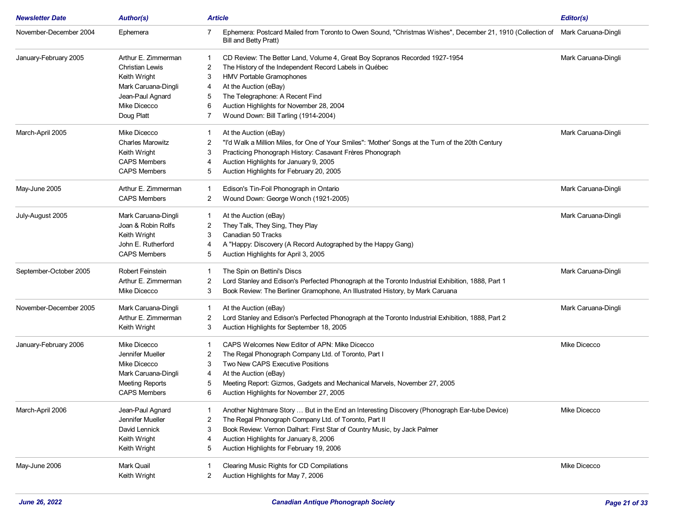| <b>Newsletter Date</b> | <b>Author(s)</b>        | <b>Article</b>                                                                                                                                               | Editor(s)           |
|------------------------|-------------------------|--------------------------------------------------------------------------------------------------------------------------------------------------------------|---------------------|
| November-December 2004 | Ephemera                | Ephemera: Postcard Mailed from Toronto to Owen Sound, "Christmas Wishes", December 21, 1910 (Collection of Mark Caruana-Dingli<br>7<br>Bill and Betty Pratt) |                     |
| January-February 2005  | Arthur E. Zimmerman     | CD Review: The Better Land, Volume 4, Great Boy Sopranos Recorded 1927-1954                                                                                  | Mark Caruana-Dingli |
|                        | <b>Christian Lewis</b>  | The History of the Independent Record Labels in Québec<br>2                                                                                                  |                     |
|                        | Keith Wright            | HMV Portable Gramophones<br>3                                                                                                                                |                     |
|                        | Mark Caruana-Dingli     | At the Auction (eBay)<br>4                                                                                                                                   |                     |
|                        | Jean-Paul Agnard        | The Telegraphone: A Recent Find<br>5                                                                                                                         |                     |
|                        | Mike Dicecco            | Auction Highlights for November 28, 2004<br>6                                                                                                                |                     |
|                        | Doug Platt              | Wound Down: Bill Tarling (1914-2004)<br>7                                                                                                                    |                     |
| March-April 2005       | Mike Dicecco            | At the Auction (eBay)<br>1                                                                                                                                   | Mark Caruana-Dingli |
|                        | <b>Charles Marowitz</b> | "I'd Walk a Million Miles, for One of Your Smiles": 'Mother' Songs at the Turn of the 20th Century<br>2                                                      |                     |
|                        | Keith Wright            | 3<br>Practicing Phonograph History: Casavant Frères Phonograph                                                                                               |                     |
|                        | <b>CAPS Members</b>     | Auction Highlights for January 9, 2005<br>4                                                                                                                  |                     |
|                        | <b>CAPS Members</b>     | Auction Highlights for February 20, 2005<br>5                                                                                                                |                     |
| May-June 2005          | Arthur E. Zimmerman     | Edison's Tin-Foil Phonograph in Ontario<br>1                                                                                                                 | Mark Caruana-Dingli |
|                        | <b>CAPS Members</b>     | Wound Down: George Wonch (1921-2005)<br>2                                                                                                                    |                     |
| July-August 2005       | Mark Caruana-Dingli     | At the Auction (eBay)<br>1                                                                                                                                   | Mark Caruana-Dingli |
|                        | Joan & Robin Rolfs      | They Talk, They Sing, They Play<br>2                                                                                                                         |                     |
|                        | Keith Wright            | Canadian 50 Tracks<br>3                                                                                                                                      |                     |
|                        | John E. Rutherford      | A "Happy: Discovery (A Record Autographed by the Happy Gang)<br>4                                                                                            |                     |
|                        | <b>CAPS Members</b>     | Auction Highlights for April 3, 2005<br>5                                                                                                                    |                     |
| September-October 2005 | <b>Robert Feinstein</b> | The Spin on Bettini's Discs<br>$\overline{1}$                                                                                                                | Mark Caruana-Dingli |
|                        | Arthur E. Zimmerman     | 2<br>Lord Stanley and Edison's Perfected Phonograph at the Toronto Industrial Exhibition, 1888, Part 1                                                       |                     |
|                        | Mike Dicecco            | Book Review: The Berliner Gramophone, An Illustrated History, by Mark Caruana<br>3                                                                           |                     |
| November-December 2005 | Mark Caruana-Dingli     | At the Auction (eBay)<br>1                                                                                                                                   | Mark Caruana-Dingli |
|                        | Arthur E. Zimmerman     | Lord Stanley and Edison's Perfected Phonograph at the Toronto Industrial Exhibition, 1888, Part 2<br>2                                                       |                     |
|                        | Keith Wright            | Auction Highlights for September 18, 2005<br>3                                                                                                               |                     |
| January-February 2006  | Mike Dicecco            | CAPS Welcomes New Editor of APN: Mike Dicecco                                                                                                                | Mike Dicecco        |
|                        | Jennifer Mueller        | The Regal Phonograph Company Ltd. of Toronto, Part I<br>2                                                                                                    |                     |
|                        | Mike Dicecco            | Two New CAPS Executive Positions<br>3                                                                                                                        |                     |
|                        | Mark Caruana-Dingli     | At the Auction (eBay)<br>4                                                                                                                                   |                     |
|                        | <b>Meeting Reports</b>  | Meeting Report: Gizmos, Gadgets and Mechanical Marvels, November 27, 2005<br>5                                                                               |                     |
|                        | <b>CAPS Members</b>     | 6<br>Auction Highlights for November 27, 2005                                                                                                                |                     |
| March-April 2006       | Jean-Paul Agnard        | Another Nightmare Story  But in the End an Interesting Discovery (Phonograph Ear-tube Device)                                                                | Mike Dicecco        |
|                        | Jennifer Mueller        | The Regal Phonograph Company Ltd. of Toronto, Part II<br>2                                                                                                   |                     |
|                        | David Lennick           | Book Review: Vernon Dalhart: First Star of Country Music, by Jack Palmer<br>3                                                                                |                     |
|                        | Keith Wright            | Auction Highlights for January 8, 2006<br>4                                                                                                                  |                     |
|                        | Keith Wright            | Auction Highlights for February 19, 2006<br>5                                                                                                                |                     |
| May-June 2006          | Mark Quail              | Clearing Music Rights for CD Compilations                                                                                                                    | Mike Dicecco        |
|                        | Keith Wright            | Auction Highlights for May 7, 2006<br>2                                                                                                                      |                     |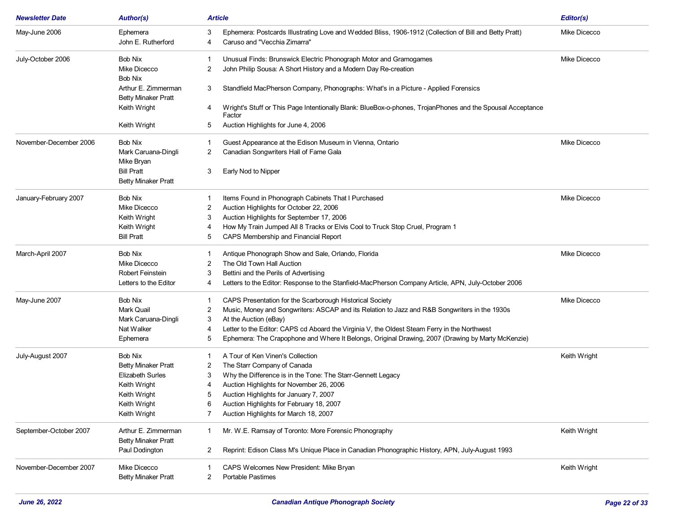| <b>Newsletter Date</b> | <b>Author(s)</b>                                  | <b>Article</b>                                                                                                            | Editor(s)    |
|------------------------|---------------------------------------------------|---------------------------------------------------------------------------------------------------------------------------|--------------|
| May-June 2006          | Ephemera                                          | Ephemera: Postcards Illustrating Love and Wedded Bliss, 1906-1912 (Collection of Bill and Betty Pratt)<br>3               | Mike Dicecco |
|                        | John E. Rutherford                                | Caruso and "Vecchia Zimarra"<br>4                                                                                         |              |
| July-October 2006      | Bob Nix                                           | Unusual Finds: Brunswick Electric Phonograph Motor and Gramogames                                                         | Mike Dicecco |
|                        | Mike Dicecco                                      | 2<br>John Philip Sousa: A Short History and a Modern Day Re-creation                                                      |              |
|                        | <b>Bob Nix</b>                                    |                                                                                                                           |              |
|                        | Arthur E. Zimmerman                               | Standfield MacPherson Company, Phonographs: What's in a Picture - Applied Forensics<br>3                                  |              |
|                        | <b>Betty Minaker Pratt</b>                        |                                                                                                                           |              |
|                        | Keith Wright                                      | Wright's Stuff or This Page Intentionally Blank: BlueBox-o-phones, TrojanPhones and the Spousal Acceptance<br>4<br>Factor |              |
|                        | Keith Wright                                      | Auction Highlights for June 4, 2006<br>5                                                                                  |              |
| November-December 2006 | Bob Nix                                           | Guest Appearance at the Edison Museum in Vienna, Ontario<br>1                                                             | Mike Dicecco |
|                        | Mark Caruana-Dingli                               | Canadian Songwriters Hall of Fame Gala<br>2                                                                               |              |
|                        | Mike Bryan                                        |                                                                                                                           |              |
|                        | <b>Bill Pratt</b>                                 | 3<br>Early Nod to Nipper                                                                                                  |              |
|                        | <b>Betty Minaker Pratt</b>                        |                                                                                                                           |              |
| January-February 2007  | Bob Nix                                           | Items Found in Phonograph Cabinets That I Purchased                                                                       | Mike Dicecco |
|                        | Mike Dicecco                                      | Auction Highlights for October 22, 2006<br>2                                                                              |              |
|                        | Keith Wright                                      | Auction Highlights for September 17, 2006<br>3                                                                            |              |
|                        | Keith Wright                                      | How My Train Jumped All 8 Tracks or Elvis Cool to Truck Stop Cruel, Program 1                                             |              |
|                        | <b>Bill Pratt</b>                                 | CAPS Membership and Financial Report<br>5                                                                                 |              |
| March-April 2007       | Bob Nix                                           | Antique Phonograph Show and Sale, Orlando, Florida                                                                        | Mike Dicecco |
|                        | Mike Dicecco                                      | The Old Town Hall Auction<br>2                                                                                            |              |
|                        | Robert Feinstein                                  | Bettini and the Perils of Advertising<br>3                                                                                |              |
|                        | Letters to the Editor                             | Letters to the Editor: Response to the Stanfield-MacPherson Company Article, APN, July-October 2006<br>4                  |              |
| May-June 2007          | Bob Nix                                           | CAPS Presentation for the Scarborough Historical Society<br>1                                                             | Mike Dicecco |
|                        | Mark Quail                                        | Music, Money and Songwriters: ASCAP and its Relation to Jazz and R&B Songwriters in the 1930s<br>2                        |              |
|                        | Mark Caruana-Dingli                               | At the Auction (eBay)<br>3                                                                                                |              |
|                        | Nat Walker                                        | Letter to the Editor: CAPS cd Aboard the Virginia V, the Oldest Steam Ferry in the Northwest<br>4                         |              |
|                        | Ephemera                                          | Ephemera: The Crapophone and Where It Belongs, Original Drawing, 2007 (Drawing by Marty McKenzie)<br>5                    |              |
| July-August 2007       | Bob Nix                                           | A Tour of Ken Vinen's Collection                                                                                          | Keith Wright |
|                        | <b>Betty Minaker Pratt</b>                        | The Starr Company of Canada<br>2                                                                                          |              |
|                        | <b>Elizabeth Surles</b>                           | Why the Difference is in the Tone: The Starr-Gennett Legacy<br>3                                                          |              |
|                        | Keith Wright                                      | Auction Highlights for November 26, 2006                                                                                  |              |
|                        | Keith Wright                                      | Auction Highlights for January 7, 2007<br>5                                                                               |              |
|                        | Keith Wright                                      | Auction Highlights for February 18, 2007<br>6                                                                             |              |
|                        | Keith Wright                                      | Auction Highlights for March 18, 2007                                                                                     |              |
| September-October 2007 | Arthur E. Zimmerman<br><b>Betty Minaker Pratt</b> | Mr. W.E. Ramsay of Toronto: More Forensic Phonography<br>1                                                                | Keith Wright |
|                        | Paul Dodington                                    | Reprint: Edison Class M's Unique Place in Canadian Phonographic History, APN, July-August 1993<br>2                       |              |
| November-December 2007 | Mike Dicecco                                      | CAPS Welcomes New President: Mike Bryan                                                                                   | Keith Wright |
|                        | <b>Betty Minaker Pratt</b>                        | <b>Portable Pastimes</b><br>2                                                                                             |              |
|                        |                                                   |                                                                                                                           |              |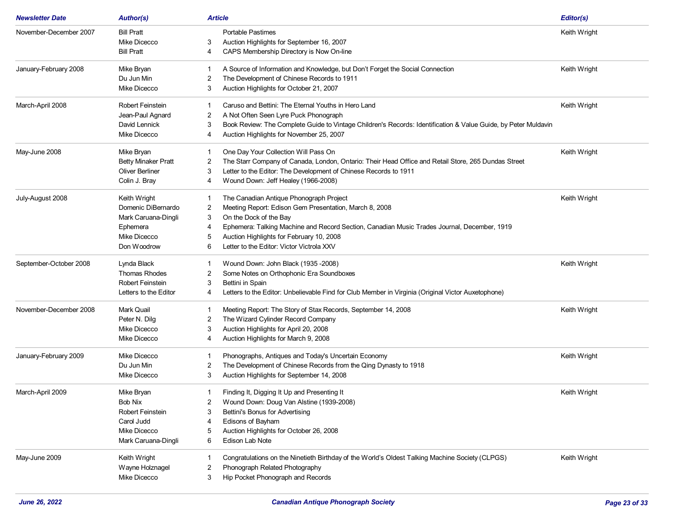| <b>Portable Pastimes</b><br><b>Bill Pratt</b><br>Keith Wright<br>Mike Dicecco<br>Auction Highlights for September 16, 2007<br>3<br><b>Bill Pratt</b><br>CAPS Membership Directory is Now On-line<br>4<br>Keith Wright<br>Mike Bryan<br>A Source of Information and Knowledge, but Don't Forget the Social Connection<br>1<br>The Development of Chinese Records to 1911<br>Du Jun Min<br>2<br>Mike Dicecco<br>Auction Highlights for October 21, 2007<br>3<br>Robert Feinstein<br>Caruso and Bettini: The Eternal Youths in Hero Land<br>Keith Wright<br>A Not Often Seen Lyre Puck Phonograph<br>Jean-Paul Agnard<br>2<br>David Lennick<br>Book Review: The Complete Guide to Vintage Children's Records: Identification & Value Guide, by Peter Muldavin<br>3<br>Mike Dicecco<br>Auction Highlights for November 25, 2007<br>4<br>Mike Bryan<br>Keith Wright<br>One Day Your Collection Will Pass On<br>1<br><b>Betty Minaker Pratt</b><br>The Starr Company of Canada, London, Ontario: Their Head Office and Retail Store, 265 Dundas Street<br>2<br>Oliver Berliner<br>Letter to the Editor: The Development of Chinese Records to 1911<br>3<br>Wound Down: Jeff Healey (1966-2008)<br>Colin J. Bray<br>4<br>The Canadian Antique Phonograph Project<br>Keith Wright<br>Keith Wright<br>-1<br>Domenic DiBernardo<br>Meeting Report: Edison Gem Presentation, March 8, 2008<br>2<br>On the Dock of the Bay<br>Mark Caruana-Dingli<br>3<br>Ephemera: Talking Machine and Record Section, Canadian Music Trades Journal, December, 1919<br>Ephemera<br>4<br>Auction Highlights for February 10, 2008<br>Mike Dicecco<br>5<br>Don Woodrow<br>Letter to the Editor: Victor Victrola XXV<br>6<br>Lynda Black<br>Wound Down: John Black (1935 -2008)<br>Keith Wright<br><b>Thomas Rhodes</b><br>Some Notes on Orthophonic Era Soundboxes<br>2<br>Robert Feinstein<br>3<br>Bettini in Spain<br>Letters to the Editor: Unbelievable Find for Club Member in Virginia (Original Victor Auxetophone)<br>Letters to the Editor<br>4<br>Meeting Report: The Story of Stax Records, September 14, 2008<br>Keith Wright<br>Mark Quail<br>The Wizard Cylinder Record Company<br>Peter N. Dilg<br>2<br>Auction Highlights for April 20, 2008<br>Mike Dicecco<br>3<br>Mike Dicecco<br>Auction Highlights for March 9, 2008<br>4<br>Mike Dicecco<br>Phonographs, Antiques and Today's Uncertain Economy<br>Keith Wright<br>1<br>The Development of Chinese Records from the Qing Dynasty to 1918<br>Du Jun Min<br>2<br>Mike Dicecco<br>Auction Highlights for September 14, 2008<br>3<br>Mike Bryan<br>Keith Wright<br>Finding It, Digging It Up and Presenting It<br>1<br>Bob Nix<br>Wound Down: Doug Van Alstine (1939-2008)<br>Robert Feinstein<br>Bettini's Bonus for Advertising<br>3<br>Carol Judd<br>Edisons of Bayham<br>Mike Dicecco<br>Auction Highlights for October 26, 2008<br>5<br>Mark Caruana-Dingli<br>Edison Lab Note<br>6<br>Keith Wright<br>Congratulations on the Ninetieth Birthday of the World's Oldest Talking Machine Society (CLPGS)<br>Keith Wright<br>Phonograph Related Photography<br>Wayne Holznagel<br>2<br>Mike Dicecco<br>Hip Pocket Phonograph and Records<br>3 | <b>Newsletter Date</b> | <b>Author(s)</b> | <b>Article</b> | Editor(s) |
|---------------------------------------------------------------------------------------------------------------------------------------------------------------------------------------------------------------------------------------------------------------------------------------------------------------------------------------------------------------------------------------------------------------------------------------------------------------------------------------------------------------------------------------------------------------------------------------------------------------------------------------------------------------------------------------------------------------------------------------------------------------------------------------------------------------------------------------------------------------------------------------------------------------------------------------------------------------------------------------------------------------------------------------------------------------------------------------------------------------------------------------------------------------------------------------------------------------------------------------------------------------------------------------------------------------------------------------------------------------------------------------------------------------------------------------------------------------------------------------------------------------------------------------------------------------------------------------------------------------------------------------------------------------------------------------------------------------------------------------------------------------------------------------------------------------------------------------------------------------------------------------------------------------------------------------------------------------------------------------------------------------------------------------------------------------------------------------------------------------------------------------------------------------------------------------------------------------------------------------------------------------------------------------------------------------------------------------------------------------------------------------------------------------------------------------------------------------------------------------------------------------------------------------------------------------------------------------------------------------------------------------------------------------------------------------------------------------------------------------------------------------------------------------------------------------------------------------------------------------------------------------------------------------------------------------------------------------------------------------------------------------------------------------------------------------------------------------------------------------------------------------------------------------------------------------|------------------------|------------------|----------------|-----------|
|                                                                                                                                                                                                                                                                                                                                                                                                                                                                                                                                                                                                                                                                                                                                                                                                                                                                                                                                                                                                                                                                                                                                                                                                                                                                                                                                                                                                                                                                                                                                                                                                                                                                                                                                                                                                                                                                                                                                                                                                                                                                                                                                                                                                                                                                                                                                                                                                                                                                                                                                                                                                                                                                                                                                                                                                                                                                                                                                                                                                                                                                                                                                                                                       | November-December 2007 |                  |                |           |
|                                                                                                                                                                                                                                                                                                                                                                                                                                                                                                                                                                                                                                                                                                                                                                                                                                                                                                                                                                                                                                                                                                                                                                                                                                                                                                                                                                                                                                                                                                                                                                                                                                                                                                                                                                                                                                                                                                                                                                                                                                                                                                                                                                                                                                                                                                                                                                                                                                                                                                                                                                                                                                                                                                                                                                                                                                                                                                                                                                                                                                                                                                                                                                                       |                        |                  |                |           |
|                                                                                                                                                                                                                                                                                                                                                                                                                                                                                                                                                                                                                                                                                                                                                                                                                                                                                                                                                                                                                                                                                                                                                                                                                                                                                                                                                                                                                                                                                                                                                                                                                                                                                                                                                                                                                                                                                                                                                                                                                                                                                                                                                                                                                                                                                                                                                                                                                                                                                                                                                                                                                                                                                                                                                                                                                                                                                                                                                                                                                                                                                                                                                                                       |                        |                  |                |           |
|                                                                                                                                                                                                                                                                                                                                                                                                                                                                                                                                                                                                                                                                                                                                                                                                                                                                                                                                                                                                                                                                                                                                                                                                                                                                                                                                                                                                                                                                                                                                                                                                                                                                                                                                                                                                                                                                                                                                                                                                                                                                                                                                                                                                                                                                                                                                                                                                                                                                                                                                                                                                                                                                                                                                                                                                                                                                                                                                                                                                                                                                                                                                                                                       | January-February 2008  |                  |                |           |
|                                                                                                                                                                                                                                                                                                                                                                                                                                                                                                                                                                                                                                                                                                                                                                                                                                                                                                                                                                                                                                                                                                                                                                                                                                                                                                                                                                                                                                                                                                                                                                                                                                                                                                                                                                                                                                                                                                                                                                                                                                                                                                                                                                                                                                                                                                                                                                                                                                                                                                                                                                                                                                                                                                                                                                                                                                                                                                                                                                                                                                                                                                                                                                                       |                        |                  |                |           |
|                                                                                                                                                                                                                                                                                                                                                                                                                                                                                                                                                                                                                                                                                                                                                                                                                                                                                                                                                                                                                                                                                                                                                                                                                                                                                                                                                                                                                                                                                                                                                                                                                                                                                                                                                                                                                                                                                                                                                                                                                                                                                                                                                                                                                                                                                                                                                                                                                                                                                                                                                                                                                                                                                                                                                                                                                                                                                                                                                                                                                                                                                                                                                                                       |                        |                  |                |           |
|                                                                                                                                                                                                                                                                                                                                                                                                                                                                                                                                                                                                                                                                                                                                                                                                                                                                                                                                                                                                                                                                                                                                                                                                                                                                                                                                                                                                                                                                                                                                                                                                                                                                                                                                                                                                                                                                                                                                                                                                                                                                                                                                                                                                                                                                                                                                                                                                                                                                                                                                                                                                                                                                                                                                                                                                                                                                                                                                                                                                                                                                                                                                                                                       | March-April 2008       |                  |                |           |
|                                                                                                                                                                                                                                                                                                                                                                                                                                                                                                                                                                                                                                                                                                                                                                                                                                                                                                                                                                                                                                                                                                                                                                                                                                                                                                                                                                                                                                                                                                                                                                                                                                                                                                                                                                                                                                                                                                                                                                                                                                                                                                                                                                                                                                                                                                                                                                                                                                                                                                                                                                                                                                                                                                                                                                                                                                                                                                                                                                                                                                                                                                                                                                                       |                        |                  |                |           |
|                                                                                                                                                                                                                                                                                                                                                                                                                                                                                                                                                                                                                                                                                                                                                                                                                                                                                                                                                                                                                                                                                                                                                                                                                                                                                                                                                                                                                                                                                                                                                                                                                                                                                                                                                                                                                                                                                                                                                                                                                                                                                                                                                                                                                                                                                                                                                                                                                                                                                                                                                                                                                                                                                                                                                                                                                                                                                                                                                                                                                                                                                                                                                                                       |                        |                  |                |           |
|                                                                                                                                                                                                                                                                                                                                                                                                                                                                                                                                                                                                                                                                                                                                                                                                                                                                                                                                                                                                                                                                                                                                                                                                                                                                                                                                                                                                                                                                                                                                                                                                                                                                                                                                                                                                                                                                                                                                                                                                                                                                                                                                                                                                                                                                                                                                                                                                                                                                                                                                                                                                                                                                                                                                                                                                                                                                                                                                                                                                                                                                                                                                                                                       |                        |                  |                |           |
|                                                                                                                                                                                                                                                                                                                                                                                                                                                                                                                                                                                                                                                                                                                                                                                                                                                                                                                                                                                                                                                                                                                                                                                                                                                                                                                                                                                                                                                                                                                                                                                                                                                                                                                                                                                                                                                                                                                                                                                                                                                                                                                                                                                                                                                                                                                                                                                                                                                                                                                                                                                                                                                                                                                                                                                                                                                                                                                                                                                                                                                                                                                                                                                       | May-June 2008          |                  |                |           |
|                                                                                                                                                                                                                                                                                                                                                                                                                                                                                                                                                                                                                                                                                                                                                                                                                                                                                                                                                                                                                                                                                                                                                                                                                                                                                                                                                                                                                                                                                                                                                                                                                                                                                                                                                                                                                                                                                                                                                                                                                                                                                                                                                                                                                                                                                                                                                                                                                                                                                                                                                                                                                                                                                                                                                                                                                                                                                                                                                                                                                                                                                                                                                                                       |                        |                  |                |           |
|                                                                                                                                                                                                                                                                                                                                                                                                                                                                                                                                                                                                                                                                                                                                                                                                                                                                                                                                                                                                                                                                                                                                                                                                                                                                                                                                                                                                                                                                                                                                                                                                                                                                                                                                                                                                                                                                                                                                                                                                                                                                                                                                                                                                                                                                                                                                                                                                                                                                                                                                                                                                                                                                                                                                                                                                                                                                                                                                                                                                                                                                                                                                                                                       |                        |                  |                |           |
|                                                                                                                                                                                                                                                                                                                                                                                                                                                                                                                                                                                                                                                                                                                                                                                                                                                                                                                                                                                                                                                                                                                                                                                                                                                                                                                                                                                                                                                                                                                                                                                                                                                                                                                                                                                                                                                                                                                                                                                                                                                                                                                                                                                                                                                                                                                                                                                                                                                                                                                                                                                                                                                                                                                                                                                                                                                                                                                                                                                                                                                                                                                                                                                       |                        |                  |                |           |
|                                                                                                                                                                                                                                                                                                                                                                                                                                                                                                                                                                                                                                                                                                                                                                                                                                                                                                                                                                                                                                                                                                                                                                                                                                                                                                                                                                                                                                                                                                                                                                                                                                                                                                                                                                                                                                                                                                                                                                                                                                                                                                                                                                                                                                                                                                                                                                                                                                                                                                                                                                                                                                                                                                                                                                                                                                                                                                                                                                                                                                                                                                                                                                                       | July-August 2008       |                  |                |           |
|                                                                                                                                                                                                                                                                                                                                                                                                                                                                                                                                                                                                                                                                                                                                                                                                                                                                                                                                                                                                                                                                                                                                                                                                                                                                                                                                                                                                                                                                                                                                                                                                                                                                                                                                                                                                                                                                                                                                                                                                                                                                                                                                                                                                                                                                                                                                                                                                                                                                                                                                                                                                                                                                                                                                                                                                                                                                                                                                                                                                                                                                                                                                                                                       |                        |                  |                |           |
|                                                                                                                                                                                                                                                                                                                                                                                                                                                                                                                                                                                                                                                                                                                                                                                                                                                                                                                                                                                                                                                                                                                                                                                                                                                                                                                                                                                                                                                                                                                                                                                                                                                                                                                                                                                                                                                                                                                                                                                                                                                                                                                                                                                                                                                                                                                                                                                                                                                                                                                                                                                                                                                                                                                                                                                                                                                                                                                                                                                                                                                                                                                                                                                       |                        |                  |                |           |
|                                                                                                                                                                                                                                                                                                                                                                                                                                                                                                                                                                                                                                                                                                                                                                                                                                                                                                                                                                                                                                                                                                                                                                                                                                                                                                                                                                                                                                                                                                                                                                                                                                                                                                                                                                                                                                                                                                                                                                                                                                                                                                                                                                                                                                                                                                                                                                                                                                                                                                                                                                                                                                                                                                                                                                                                                                                                                                                                                                                                                                                                                                                                                                                       |                        |                  |                |           |
|                                                                                                                                                                                                                                                                                                                                                                                                                                                                                                                                                                                                                                                                                                                                                                                                                                                                                                                                                                                                                                                                                                                                                                                                                                                                                                                                                                                                                                                                                                                                                                                                                                                                                                                                                                                                                                                                                                                                                                                                                                                                                                                                                                                                                                                                                                                                                                                                                                                                                                                                                                                                                                                                                                                                                                                                                                                                                                                                                                                                                                                                                                                                                                                       |                        |                  |                |           |
|                                                                                                                                                                                                                                                                                                                                                                                                                                                                                                                                                                                                                                                                                                                                                                                                                                                                                                                                                                                                                                                                                                                                                                                                                                                                                                                                                                                                                                                                                                                                                                                                                                                                                                                                                                                                                                                                                                                                                                                                                                                                                                                                                                                                                                                                                                                                                                                                                                                                                                                                                                                                                                                                                                                                                                                                                                                                                                                                                                                                                                                                                                                                                                                       |                        |                  |                |           |
|                                                                                                                                                                                                                                                                                                                                                                                                                                                                                                                                                                                                                                                                                                                                                                                                                                                                                                                                                                                                                                                                                                                                                                                                                                                                                                                                                                                                                                                                                                                                                                                                                                                                                                                                                                                                                                                                                                                                                                                                                                                                                                                                                                                                                                                                                                                                                                                                                                                                                                                                                                                                                                                                                                                                                                                                                                                                                                                                                                                                                                                                                                                                                                                       | September-October 2008 |                  |                |           |
|                                                                                                                                                                                                                                                                                                                                                                                                                                                                                                                                                                                                                                                                                                                                                                                                                                                                                                                                                                                                                                                                                                                                                                                                                                                                                                                                                                                                                                                                                                                                                                                                                                                                                                                                                                                                                                                                                                                                                                                                                                                                                                                                                                                                                                                                                                                                                                                                                                                                                                                                                                                                                                                                                                                                                                                                                                                                                                                                                                                                                                                                                                                                                                                       |                        |                  |                |           |
|                                                                                                                                                                                                                                                                                                                                                                                                                                                                                                                                                                                                                                                                                                                                                                                                                                                                                                                                                                                                                                                                                                                                                                                                                                                                                                                                                                                                                                                                                                                                                                                                                                                                                                                                                                                                                                                                                                                                                                                                                                                                                                                                                                                                                                                                                                                                                                                                                                                                                                                                                                                                                                                                                                                                                                                                                                                                                                                                                                                                                                                                                                                                                                                       |                        |                  |                |           |
|                                                                                                                                                                                                                                                                                                                                                                                                                                                                                                                                                                                                                                                                                                                                                                                                                                                                                                                                                                                                                                                                                                                                                                                                                                                                                                                                                                                                                                                                                                                                                                                                                                                                                                                                                                                                                                                                                                                                                                                                                                                                                                                                                                                                                                                                                                                                                                                                                                                                                                                                                                                                                                                                                                                                                                                                                                                                                                                                                                                                                                                                                                                                                                                       |                        |                  |                |           |
|                                                                                                                                                                                                                                                                                                                                                                                                                                                                                                                                                                                                                                                                                                                                                                                                                                                                                                                                                                                                                                                                                                                                                                                                                                                                                                                                                                                                                                                                                                                                                                                                                                                                                                                                                                                                                                                                                                                                                                                                                                                                                                                                                                                                                                                                                                                                                                                                                                                                                                                                                                                                                                                                                                                                                                                                                                                                                                                                                                                                                                                                                                                                                                                       | November-December 2008 |                  |                |           |
|                                                                                                                                                                                                                                                                                                                                                                                                                                                                                                                                                                                                                                                                                                                                                                                                                                                                                                                                                                                                                                                                                                                                                                                                                                                                                                                                                                                                                                                                                                                                                                                                                                                                                                                                                                                                                                                                                                                                                                                                                                                                                                                                                                                                                                                                                                                                                                                                                                                                                                                                                                                                                                                                                                                                                                                                                                                                                                                                                                                                                                                                                                                                                                                       |                        |                  |                |           |
|                                                                                                                                                                                                                                                                                                                                                                                                                                                                                                                                                                                                                                                                                                                                                                                                                                                                                                                                                                                                                                                                                                                                                                                                                                                                                                                                                                                                                                                                                                                                                                                                                                                                                                                                                                                                                                                                                                                                                                                                                                                                                                                                                                                                                                                                                                                                                                                                                                                                                                                                                                                                                                                                                                                                                                                                                                                                                                                                                                                                                                                                                                                                                                                       |                        |                  |                |           |
|                                                                                                                                                                                                                                                                                                                                                                                                                                                                                                                                                                                                                                                                                                                                                                                                                                                                                                                                                                                                                                                                                                                                                                                                                                                                                                                                                                                                                                                                                                                                                                                                                                                                                                                                                                                                                                                                                                                                                                                                                                                                                                                                                                                                                                                                                                                                                                                                                                                                                                                                                                                                                                                                                                                                                                                                                                                                                                                                                                                                                                                                                                                                                                                       |                        |                  |                |           |
|                                                                                                                                                                                                                                                                                                                                                                                                                                                                                                                                                                                                                                                                                                                                                                                                                                                                                                                                                                                                                                                                                                                                                                                                                                                                                                                                                                                                                                                                                                                                                                                                                                                                                                                                                                                                                                                                                                                                                                                                                                                                                                                                                                                                                                                                                                                                                                                                                                                                                                                                                                                                                                                                                                                                                                                                                                                                                                                                                                                                                                                                                                                                                                                       | January-February 2009  |                  |                |           |
|                                                                                                                                                                                                                                                                                                                                                                                                                                                                                                                                                                                                                                                                                                                                                                                                                                                                                                                                                                                                                                                                                                                                                                                                                                                                                                                                                                                                                                                                                                                                                                                                                                                                                                                                                                                                                                                                                                                                                                                                                                                                                                                                                                                                                                                                                                                                                                                                                                                                                                                                                                                                                                                                                                                                                                                                                                                                                                                                                                                                                                                                                                                                                                                       |                        |                  |                |           |
|                                                                                                                                                                                                                                                                                                                                                                                                                                                                                                                                                                                                                                                                                                                                                                                                                                                                                                                                                                                                                                                                                                                                                                                                                                                                                                                                                                                                                                                                                                                                                                                                                                                                                                                                                                                                                                                                                                                                                                                                                                                                                                                                                                                                                                                                                                                                                                                                                                                                                                                                                                                                                                                                                                                                                                                                                                                                                                                                                                                                                                                                                                                                                                                       |                        |                  |                |           |
|                                                                                                                                                                                                                                                                                                                                                                                                                                                                                                                                                                                                                                                                                                                                                                                                                                                                                                                                                                                                                                                                                                                                                                                                                                                                                                                                                                                                                                                                                                                                                                                                                                                                                                                                                                                                                                                                                                                                                                                                                                                                                                                                                                                                                                                                                                                                                                                                                                                                                                                                                                                                                                                                                                                                                                                                                                                                                                                                                                                                                                                                                                                                                                                       | March-April 2009       |                  |                |           |
|                                                                                                                                                                                                                                                                                                                                                                                                                                                                                                                                                                                                                                                                                                                                                                                                                                                                                                                                                                                                                                                                                                                                                                                                                                                                                                                                                                                                                                                                                                                                                                                                                                                                                                                                                                                                                                                                                                                                                                                                                                                                                                                                                                                                                                                                                                                                                                                                                                                                                                                                                                                                                                                                                                                                                                                                                                                                                                                                                                                                                                                                                                                                                                                       |                        |                  |                |           |
|                                                                                                                                                                                                                                                                                                                                                                                                                                                                                                                                                                                                                                                                                                                                                                                                                                                                                                                                                                                                                                                                                                                                                                                                                                                                                                                                                                                                                                                                                                                                                                                                                                                                                                                                                                                                                                                                                                                                                                                                                                                                                                                                                                                                                                                                                                                                                                                                                                                                                                                                                                                                                                                                                                                                                                                                                                                                                                                                                                                                                                                                                                                                                                                       |                        |                  |                |           |
|                                                                                                                                                                                                                                                                                                                                                                                                                                                                                                                                                                                                                                                                                                                                                                                                                                                                                                                                                                                                                                                                                                                                                                                                                                                                                                                                                                                                                                                                                                                                                                                                                                                                                                                                                                                                                                                                                                                                                                                                                                                                                                                                                                                                                                                                                                                                                                                                                                                                                                                                                                                                                                                                                                                                                                                                                                                                                                                                                                                                                                                                                                                                                                                       |                        |                  |                |           |
|                                                                                                                                                                                                                                                                                                                                                                                                                                                                                                                                                                                                                                                                                                                                                                                                                                                                                                                                                                                                                                                                                                                                                                                                                                                                                                                                                                                                                                                                                                                                                                                                                                                                                                                                                                                                                                                                                                                                                                                                                                                                                                                                                                                                                                                                                                                                                                                                                                                                                                                                                                                                                                                                                                                                                                                                                                                                                                                                                                                                                                                                                                                                                                                       |                        |                  |                |           |
|                                                                                                                                                                                                                                                                                                                                                                                                                                                                                                                                                                                                                                                                                                                                                                                                                                                                                                                                                                                                                                                                                                                                                                                                                                                                                                                                                                                                                                                                                                                                                                                                                                                                                                                                                                                                                                                                                                                                                                                                                                                                                                                                                                                                                                                                                                                                                                                                                                                                                                                                                                                                                                                                                                                                                                                                                                                                                                                                                                                                                                                                                                                                                                                       |                        |                  |                |           |
|                                                                                                                                                                                                                                                                                                                                                                                                                                                                                                                                                                                                                                                                                                                                                                                                                                                                                                                                                                                                                                                                                                                                                                                                                                                                                                                                                                                                                                                                                                                                                                                                                                                                                                                                                                                                                                                                                                                                                                                                                                                                                                                                                                                                                                                                                                                                                                                                                                                                                                                                                                                                                                                                                                                                                                                                                                                                                                                                                                                                                                                                                                                                                                                       | May-June 2009          |                  |                |           |
|                                                                                                                                                                                                                                                                                                                                                                                                                                                                                                                                                                                                                                                                                                                                                                                                                                                                                                                                                                                                                                                                                                                                                                                                                                                                                                                                                                                                                                                                                                                                                                                                                                                                                                                                                                                                                                                                                                                                                                                                                                                                                                                                                                                                                                                                                                                                                                                                                                                                                                                                                                                                                                                                                                                                                                                                                                                                                                                                                                                                                                                                                                                                                                                       |                        |                  |                |           |
|                                                                                                                                                                                                                                                                                                                                                                                                                                                                                                                                                                                                                                                                                                                                                                                                                                                                                                                                                                                                                                                                                                                                                                                                                                                                                                                                                                                                                                                                                                                                                                                                                                                                                                                                                                                                                                                                                                                                                                                                                                                                                                                                                                                                                                                                                                                                                                                                                                                                                                                                                                                                                                                                                                                                                                                                                                                                                                                                                                                                                                                                                                                                                                                       |                        |                  |                |           |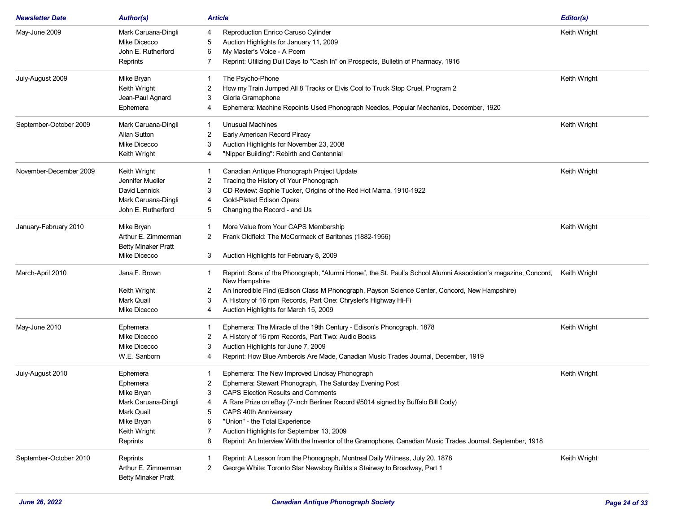| <b>Newsletter Date</b> | <b>Author(s)</b>           | <b>Article</b>                                                                                                                       | Editor(s)    |
|------------------------|----------------------------|--------------------------------------------------------------------------------------------------------------------------------------|--------------|
| May-June 2009          | Mark Caruana-Dingli        | Reproduction Enrico Caruso Cylinder<br>4                                                                                             | Keith Wright |
|                        | Mike Dicecco               | Auction Highlights for January 11, 2009<br>5                                                                                         |              |
|                        | John E. Rutherford         | My Master's Voice - A Poem<br>6                                                                                                      |              |
|                        | Reprints                   | Reprint: Utilizing Dull Days to "Cash In" on Prospects, Bulletin of Pharmacy, 1916<br>7                                              |              |
| July-August 2009       | Mike Bryan                 | The Psycho-Phone<br>1                                                                                                                | Keith Wright |
|                        | Keith Wright               | How my Train Jumped All 8 Tracks or Elvis Cool to Truck Stop Cruel, Program 2<br>2                                                   |              |
|                        | Jean-Paul Agnard           | Gloria Gramophone<br>3                                                                                                               |              |
|                        | Ephemera                   | Ephemera: Machine Repoints Used Phonograph Needles, Popular Mechanics, December, 1920<br>4                                           |              |
| September-October 2009 | Mark Caruana-Dingli        | Unusual Machines<br>1                                                                                                                | Keith Wright |
|                        | <b>Allan Sutton</b>        | Early American Record Piracy<br>2                                                                                                    |              |
|                        | Mike Dicecco               | Auction Highlights for November 23, 2008<br>3                                                                                        |              |
|                        | Keith Wright               | "Nipper Building": Rebirth and Centennial<br>4                                                                                       |              |
| November-December 2009 | Keith Wright               | Canadian Antique Phonograph Project Update                                                                                           | Keith Wright |
|                        | Jennifer Mueller           | Tracing the History of Your Phonograph<br>2                                                                                          |              |
|                        | David Lennick              | CD Review: Sophie Tucker, Origins of the Red Hot Mama, 1910-1922<br>3                                                                |              |
|                        | Mark Caruana-Dingli        | Gold-Plated Edison Opera<br>4                                                                                                        |              |
|                        | John E. Rutherford         | Changing the Record - and Us<br>5                                                                                                    |              |
| January-February 2010  | Mike Bryan                 | More Value from Your CAPS Membership                                                                                                 | Keith Wright |
|                        | Arthur E. Zimmerman        | Frank Oldfield: The McCormack of Baritones (1882-1956)<br>2                                                                          |              |
|                        | <b>Betty Minaker Pratt</b> |                                                                                                                                      |              |
|                        | Mike Dicecco               | Auction Highlights for February 8, 2009<br>3                                                                                         |              |
| March-April 2010       | Jana F. Brown              | Reprint: Sons of the Phonograph, "Alumni Horae", the St. Paul's School Alumni Association's magazine, Concord,<br>1<br>New Hampshire | Keith Wright |
|                        | Keith Wright               | An Incredible Find (Edison Class M Phonograph, Payson Science Center, Concord, New Hampshire)<br>2                                   |              |
|                        | Mark Quail                 | A History of 16 rpm Records, Part One: Chrysler's Highway Hi-Fi<br>3                                                                 |              |
|                        | Mike Dicecco               | Auction Highlights for March 15, 2009<br>4                                                                                           |              |
| May-June 2010          | Ephemera                   | Ephemera: The Miracle of the 19th Century - Edison's Phonograph, 1878                                                                | Keith Wright |
|                        | Mike Dicecco               | A History of 16 rpm Records, Part Two: Audio Books<br>2                                                                              |              |
|                        | Mike Dicecco               | Auction Highlights for June 7, 2009<br>3                                                                                             |              |
|                        | W.E. Sanborn               | Reprint: How Blue Amberols Are Made, Canadian Music Trades Journal, December, 1919<br>4                                              |              |
| July-August 2010       | Ephemera                   | Ephemera: The New Improved Lindsay Phonograph                                                                                        | Keith Wright |
|                        | Ephemera                   | Ephemera: Stewart Phonograph, The Saturday Evening Post<br>2                                                                         |              |
|                        | Mike Bryan                 | 3<br><b>CAPS Election Results and Comments</b>                                                                                       |              |
|                        | Mark Caruana-Dingli        | A Rare Prize on eBay (7-inch Berliner Record #5014 signed by Buffalo Bill Cody)<br>4                                                 |              |
|                        | Mark Quail                 | 5<br><b>CAPS 40th Anniversary</b>                                                                                                    |              |
|                        | Mike Bryan                 | "Union" - the Total Experience<br>6                                                                                                  |              |
|                        | Keith Wright               | Auction Highlights for September 13, 2009                                                                                            |              |
|                        | Reprints                   | Reprint: An Interview With the Inventor of the Gramophone, Canadian Music Trades Journal, September, 1918<br>8                       |              |
| September-October 2010 | Reprints                   | Reprint: A Lesson from the Phonograph, Montreal Daily Witness, July 20, 1878                                                         | Keith Wright |
|                        | Arthur E. Zimmerman        | George White: Toronto Star Newsboy Builds a Stairway to Broadway, Part 1<br>2                                                        |              |
|                        | <b>Betty Minaker Pratt</b> |                                                                                                                                      |              |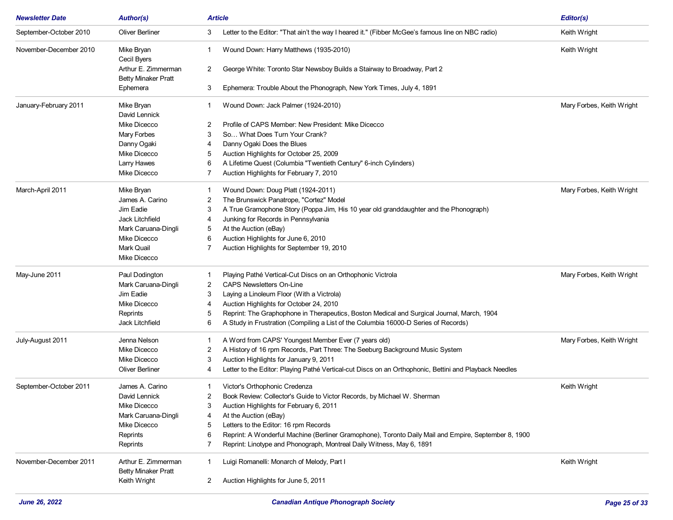| <b>Newsletter Date</b> | <b>Author(s)</b>                           | <b>Article</b>                                                                                              | Editor(s)                 |
|------------------------|--------------------------------------------|-------------------------------------------------------------------------------------------------------------|---------------------------|
| September-October 2010 | Oliver Berliner                            | Letter to the Editor: "That ain't the way I heared it." (Fibber McGee's famous line on NBC radio)<br>3      | Keith Wright              |
| November-December 2010 | Mike Bryan<br>Cecil Byers                  | Wound Down: Harry Matthews (1935-2010)                                                                      | Keith Wright              |
|                        | Arthur E. Zimmerman<br>Betty Minaker Pratt | George White: Toronto Star Newsboy Builds a Stairway to Broadway, Part 2<br>2                               |                           |
|                        | Ephemera                                   | Ephemera: Trouble About the Phonograph, New York Times, July 4, 1891<br>3                                   |                           |
| January-February 2011  | Mike Bryan<br>David Lennick                | Wound Down: Jack Palmer (1924-2010)                                                                         | Mary Forbes, Keith Wright |
|                        | Mike Dicecco                               | Profile of CAPS Member: New President: Mike Dicecco<br>2                                                    |                           |
|                        | Mary Forbes                                | 3<br>So What Does Turn Your Crank?                                                                          |                           |
|                        | Danny Ogaki                                | Danny Ogaki Does the Blues<br>4                                                                             |                           |
|                        | Mike Dicecco                               | Auction Highlights for October 25, 2009<br>5                                                                |                           |
|                        | <b>Larry Hawes</b>                         | A Lifetime Quest (Columbia "Twentieth Century" 6-inch Cylinders)<br>6                                       |                           |
|                        | Mike Dicecco                               | Auction Highlights for February 7, 2010                                                                     |                           |
| March-April 2011       | Mike Bryan                                 | Wound Down: Doug Platt (1924-2011)                                                                          | Mary Forbes, Keith Wright |
|                        | James A. Carino                            | The Brunswick Panatrope, "Cortez" Model<br>2                                                                |                           |
|                        | Jim Eadie                                  | A True Gramophone Story (Poppa Jim, His 10 year old granddaughter and the Phonograph)<br>3                  |                           |
|                        | <b>Jack Litchfield</b>                     | Junking for Records in Pennsylvania<br>4                                                                    |                           |
|                        | Mark Caruana-Dingli                        | At the Auction (eBay)<br>5                                                                                  |                           |
|                        | Mike Dicecco                               | Auction Highlights for June 6, 2010<br>6                                                                    |                           |
|                        | Mark Quail                                 | Auction Highlights for September 19, 2010                                                                   |                           |
|                        | Mike Dicecco                               |                                                                                                             |                           |
| May-June 2011          | Paul Dodington                             | Playing Pathé Vertical-Cut Discs on an Orthophonic Victrola<br>-1                                           | Mary Forbes, Keith Wright |
|                        | Mark Caruana-Dingli                        | 2<br><b>CAPS Newsletters On-Line</b>                                                                        |                           |
|                        | Jim Eadie                                  | Laying a Linoleum Floor (With a Victrola)<br>3                                                              |                           |
|                        | Mike Dicecco                               | Auction Highlights for October 24, 2010<br>4                                                                |                           |
|                        | Reprints                                   | Reprint: The Graphophone in Therapeutics, Boston Medical and Surgical Journal, March, 1904<br>5             |                           |
|                        | Jack Litchfield                            | A Study in Frustration (Compiling a List of the Columbia 16000-D Series of Records)<br>6                    |                           |
| July-August 2011       | Jenna Nelson                               | A Word from CAPS' Youngest Member Ever (7 years old)                                                        | Mary Forbes, Keith Wright |
|                        | Mike Dicecco                               | A History of 16 rpm Records, Part Three: The Seeburg Background Music System<br>2                           |                           |
|                        | Mike Dicecco                               | Auction Highlights for January 9, 2011<br>3                                                                 |                           |
|                        | <b>Oliver Berliner</b>                     | Letter to the Editor: Playing Pathé Vertical-cut Discs on an Orthophonic, Bettini and Playback Needles<br>4 |                           |
| September-October 2011 | James A. Carino                            | Victor's Orthophonic Credenza<br>1                                                                          | Keith Wright              |
|                        | David Lennick                              | 2<br>Book Review: Collector's Guide to Victor Records, by Michael W. Sherman                                |                           |
|                        | Mike Dicecco                               | 3<br>Auction Highlights for February 6, 2011                                                                |                           |
|                        | Mark Caruana-Dingli                        | At the Auction (eBay)                                                                                       |                           |
|                        | Mike Dicecco                               | Letters to the Editor: 16 rpm Records                                                                       |                           |
|                        | Reprints                                   | Reprint: A Wonderful Machine (Berliner Gramophone), Toronto Daily Mail and Empire, September 8, 1900<br>6   |                           |
|                        | Reprints                                   | Reprint: Linotype and Phonograph, Montreal Daily Witness, May 6, 1891<br>7                                  |                           |
| November-December 2011 | Arthur E. Zimmerman                        | Luigi Romanelli: Monarch of Melody, Part I                                                                  | Keith Wright              |
|                        | <b>Betty Minaker Pratt</b><br>Keith Wright | $\mathbf{2}$<br>Auction Highlights for June 5, 2011                                                         |                           |
|                        |                                            |                                                                                                             |                           |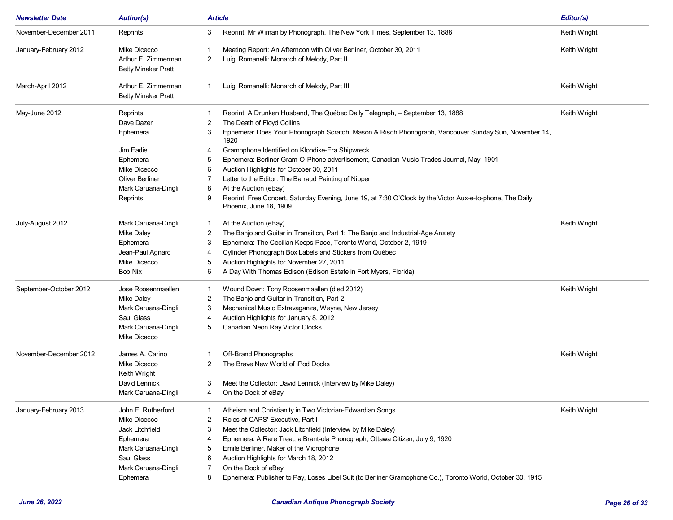| <b>Newsletter Date</b> | <b>Author(s)</b>           | <b>Article</b>                                                                                                                           | Editor(s)    |
|------------------------|----------------------------|------------------------------------------------------------------------------------------------------------------------------------------|--------------|
| November-December 2011 | Reprints                   | Reprint: Mr Wiman by Phonograph, The New York Times, September 13, 1888<br>3                                                             | Keith Wright |
| January-February 2012  | Mike Dicecco               | Meeting Report: An Afternoon with Oliver Berliner, October 30, 2011                                                                      | Keith Wright |
|                        | Arthur E. Zimmerman        | Luigi Romanelli: Monarch of Melody, Part II<br>2                                                                                         |              |
|                        | <b>Betty Minaker Pratt</b> |                                                                                                                                          |              |
| March-April 2012       | Arthur E. Zimmerman        | Luigi Romanelli: Monarch of Melody, Part III<br>$\mathbf{1}$                                                                             | Keith Wright |
|                        | <b>Betty Minaker Pratt</b> |                                                                                                                                          |              |
| May-June 2012          | Reprints                   | Reprint: A Drunken Husband, The Québec Daily Telegraph, - September 13, 1888                                                             | Keith Wright |
|                        | Dave Dazer                 | The Death of Floyd Collins<br>2                                                                                                          |              |
|                        | Ephemera                   | Ephemera: Does Your Phonograph Scratch, Mason & Risch Phonograph, Vancouver Sunday Sun, November 14,<br>3<br>1920                        |              |
|                        | Jim Eadie                  | Gramophone Identified on Klondike-Era Shipwreck<br>4                                                                                     |              |
|                        | Ephemera                   | Ephemera: Berliner Gram-O-Phone advertisement, Canadian Music Trades Journal, May, 1901<br>5                                             |              |
|                        | Mike Dicecco               | Auction Highlights for October 30, 2011<br>6                                                                                             |              |
|                        | Oliver Berliner            | Letter to the Editor: The Barraud Painting of Nipper                                                                                     |              |
|                        | Mark Caruana-Dingli        | At the Auction (eBay)<br>8                                                                                                               |              |
|                        | Reprints                   | Reprint: Free Concert, Saturday Evening, June 19, at 7:30 O'Clock by the Victor Aux-e-to-phone, The Daily<br>9<br>Phoenix, June 18, 1909 |              |
| July-August 2012       | Mark Caruana-Dingli        | At the Auction (eBay)<br>1                                                                                                               | Keith Wright |
|                        | <b>Mike Daley</b>          | The Banjo and Guitar in Transition, Part 1: The Banjo and Industrial-Age Anxiety<br>2                                                    |              |
|                        | Ephemera                   | Ephemera: The Cecilian Keeps Pace, Toronto World, October 2, 1919<br>3                                                                   |              |
|                        | Jean-Paul Agnard           | Cylinder Phonograph Box Labels and Stickers from Québec<br>4                                                                             |              |
|                        | Mike Dicecco               | Auction Highlights for November 27, 2011<br>5                                                                                            |              |
|                        | <b>Bob Nix</b>             | A Day With Thomas Edison (Edison Estate in Fort Myers, Florida)<br>6                                                                     |              |
| September-October 2012 | Jose Roosenmaallen         | Wound Down: Tony Roosenmaallen (died 2012)<br>1                                                                                          | Keith Wright |
|                        | Mike Daley                 | The Banjo and Guitar in Transition, Part 2<br>2                                                                                          |              |
|                        | Mark Caruana-Dingli        | Mechanical Music Extravaganza, Wayne, New Jersey<br>3                                                                                    |              |
|                        | Saul Glass                 | Auction Highlights for January 8, 2012<br>4                                                                                              |              |
|                        | Mark Caruana-Dingli        | Canadian Neon Ray Victor Clocks<br>5                                                                                                     |              |
|                        | Mike Dicecco               |                                                                                                                                          |              |
| November-December 2012 | James A. Carino            | Off-Brand Phonographs                                                                                                                    | Keith Wright |
|                        | Mike Dicecco               | The Brave New World of iPod Docks<br>2                                                                                                   |              |
|                        | Keith Wright               |                                                                                                                                          |              |
|                        | David Lennick              | Meet the Collector: David Lennick (Interview by Mike Daley)<br>3                                                                         |              |
|                        | Mark Caruana-Dingli        | On the Dock of eBay                                                                                                                      |              |
| January-February 2013  | John E. Rutherford         | Atheism and Christianity in Two Victorian-Edwardian Songs                                                                                | Keith Wright |
|                        | Mike Dicecco               | Roles of CAPS' Executive, Part I<br>2                                                                                                    |              |
|                        | Jack Litchfield            | Meet the Collector: Jack Litchfield (Interview by Mike Daley)<br>3                                                                       |              |
|                        | Ephemera                   | Ephemera: A Rare Treat, a Brant-ola Phonograph, Ottawa Citizen, July 9, 1920<br>4                                                        |              |
|                        | Mark Caruana-Dingli        | Emile Berliner, Maker of the Microphone<br>5                                                                                             |              |
|                        | Saul Glass                 | Auction Highlights for March 18, 2012<br>6                                                                                               |              |
|                        | Mark Caruana-Dingli        | On the Dock of eBay<br>7                                                                                                                 |              |
|                        | Ephemera                   | Ephemera: Publisher to Pay, Loses Libel Suit (to Berliner Gramophone Co.), Toronto World, October 30, 1915<br>8                          |              |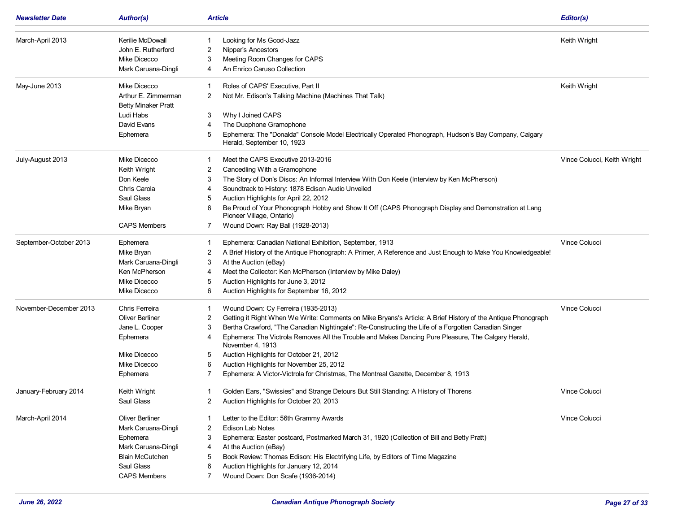| <b>Newsletter Date</b> | <b>Author(s)</b>           | <b>Article</b>                                                                                                                           | Editor(s)                   |
|------------------------|----------------------------|------------------------------------------------------------------------------------------------------------------------------------------|-----------------------------|
| March-April 2013       | Kerilie McDowall           | Looking for Ms Good-Jazz<br>1                                                                                                            | Keith Wright                |
|                        | John E. Rutherford         | <b>Nipper's Ancestors</b><br>2                                                                                                           |                             |
|                        | Mike Dicecco               | Meeting Room Changes for CAPS<br>3                                                                                                       |                             |
|                        | Mark Caruana-Dingli        | An Enrico Caruso Collection<br>4                                                                                                         |                             |
| May-June 2013          | Mike Dicecco               | Roles of CAPS' Executive, Part II                                                                                                        | Keith Wright                |
|                        | Arthur E. Zimmerman        | Not Mr. Edison's Talking Machine (Machines That Talk)<br>2                                                                               |                             |
|                        | <b>Betty Minaker Pratt</b> |                                                                                                                                          |                             |
|                        | Ludi Habs                  | Why I Joined CAPS<br>3                                                                                                                   |                             |
|                        | David Evans                | The Duophone Gramophone<br>4                                                                                                             |                             |
|                        | Ephemera                   | Ephemera: The "Donalda" Console Model Electrically Operated Phonograph, Hudson's Bay Company, Calgary<br>5<br>Herald, September 10, 1923 |                             |
| July-August 2013       | Mike Dicecco               | Meet the CAPS Executive 2013-2016<br>-1                                                                                                  | Vince Colucci, Keith Wright |
|                        | Keith Wright               | Canoedling With a Gramophone<br>2                                                                                                        |                             |
|                        | Don Keele                  | The Story of Don's Discs: An Informal Interview With Don Keele (Interview by Ken McPherson)<br>3                                         |                             |
|                        | Chris Carola               | Soundtrack to History: 1878 Edison Audio Unveiled<br>4                                                                                   |                             |
|                        | Saul Glass                 | Auction Highlights for April 22, 2012<br>5                                                                                               |                             |
|                        | Mike Bryan                 | Be Proud of Your Phonograph Hobby and Show It Off (CAPS Phonograph Display and Demonstration at Lang<br>6<br>Pioneer Village, Ontario)   |                             |
|                        | <b>CAPS Members</b>        | Wound Down: Ray Ball (1928-2013)<br>7                                                                                                    |                             |
| September-October 2013 | Ephemera                   | Ephemera: Canadian National Exhibition, September, 1913                                                                                  | Vince Colucci               |
|                        | Mike Bryan                 | 2<br>A Brief History of the Antique Phonograph: A Primer, A Reference and Just Enough to Make You Knowledgeable!                         |                             |
|                        | Mark Caruana-Dingli        | 3<br>At the Auction (eBay)                                                                                                               |                             |
|                        | Ken McPherson              | Meet the Collector: Ken McPherson (Interview by Mike Daley)<br>4                                                                         |                             |
|                        | <b>Mike Dicecco</b>        | Auction Highlights for June 3, 2012<br>5                                                                                                 |                             |
|                        | Mike Dicecco               | Auction Highlights for September 16, 2012<br>6                                                                                           |                             |
| November-December 2013 | Chris Ferreira             | Wound Down: Cy Ferreira (1935-2013)<br>-1                                                                                                | Vince Colucci               |
|                        | <b>Oliver Berliner</b>     | Getting it Right When We Write: Comments on Mike Bryans's Article: A Brief History of the Antique Phonograph<br>2                        |                             |
|                        | Jane L. Cooper             | Bertha Crawford, "The Canadian Nightingale": Re-Constructing the Life of a Forgotten Canadian Singer<br>3                                |                             |
|                        | Ephemera                   | Ephemera: The Victrola Removes All the Trouble and Makes Dancing Pure Pleasure, The Calgary Herald,<br>4<br>November 4, 1913             |                             |
|                        | Mike Dicecco               | Auction Highlights for October 21, 2012<br>5                                                                                             |                             |
|                        | Mike Dicecco               | Auction Highlights for November 25, 2012<br>6                                                                                            |                             |
|                        | Ephemera                   | Ephemera: A Victor-Victrola for Christmas, The Montreal Gazette, December 8, 1913<br>7                                                   |                             |
| January-February 2014  | Keith Wright               | Golden Ears, "Swissies" and Strange Detours But Still Standing: A History of Thorens<br>1                                                | Vince Colucci               |
|                        | Saul Glass                 | Auction Highlights for October 20, 2013                                                                                                  |                             |
| March-April 2014       | <b>Oliver Berliner</b>     | Letter to the Editor: 56th Grammy Awards                                                                                                 | Vince Colucci               |
|                        | Mark Caruana-Dingli        | Edison Lab Notes<br>2                                                                                                                    |                             |
|                        | Ephemera                   | 3<br>Ephemera: Easter postcard, Postmarked March 31, 1920 (Collection of Bill and Betty Pratt)                                           |                             |
|                        | Mark Caruana-Dingli        | At the Auction (eBay)<br>4                                                                                                               |                             |
|                        | <b>Blain McCutchen</b>     | Book Review: Thomas Edison: His Electrifying Life, by Editors of Time Magazine<br>5                                                      |                             |
|                        | Saul Glass                 | Auction Highlights for January 12, 2014<br>6                                                                                             |                             |
|                        | <b>CAPS Members</b>        | Wound Down: Don Scafe (1936-2014)<br>7                                                                                                   |                             |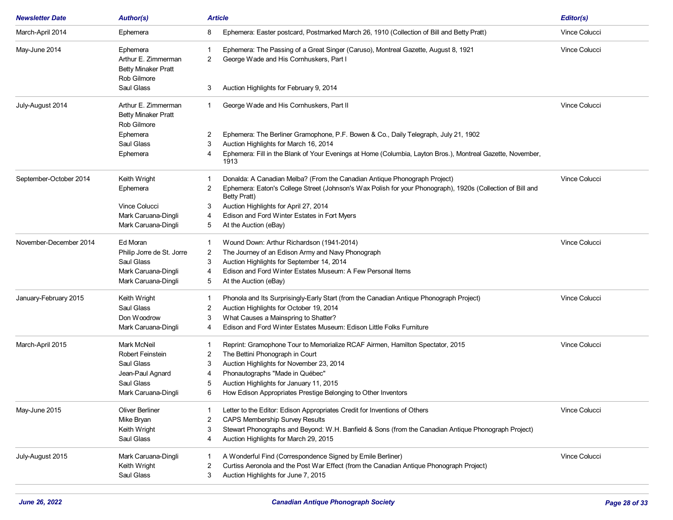| <b>Newsletter Date</b> | <b>Author(s)</b>           | <b>Article</b>                                                                                                          | Editor(s)            |
|------------------------|----------------------------|-------------------------------------------------------------------------------------------------------------------------|----------------------|
| March-April 2014       | Ephemera                   | Ephemera: Easter postcard, Postmarked March 26, 1910 (Collection of Bill and Betty Pratt)<br>8                          | <b>Vince Colucci</b> |
| May-June 2014          | Ephemera                   | Ephemera: The Passing of a Great Singer (Caruso), Montreal Gazette, August 8, 1921                                      | Vince Colucci        |
|                        | Arthur E. Zimmerman        | George Wade and His Cornhuskers, Part I<br>2                                                                            |                      |
|                        | <b>Betty Minaker Pratt</b> |                                                                                                                         |                      |
|                        | Rob Gilmore                |                                                                                                                         |                      |
|                        | Saul Glass                 | Auction Highlights for February 9, 2014<br>3                                                                            |                      |
| July-August 2014       | Arthur E. Zimmerman        | George Wade and His Cornhuskers, Part II<br>1                                                                           | <b>Vince Colucci</b> |
|                        | <b>Betty Minaker Pratt</b> |                                                                                                                         |                      |
|                        | Rob Gilmore                |                                                                                                                         |                      |
|                        | Ephemera                   | Ephemera: The Berliner Gramophone, P.F. Bowen & Co., Daily Telegraph, July 21, 1902<br>2                                |                      |
|                        | Saul Glass                 | Auction Highlights for March 16, 2014<br>3                                                                              |                      |
|                        | Ephemera                   | Ephemera: Fill in the Blank of Your Evenings at Home (Columbia, Layton Bros.), Montreal Gazette, November,<br>4<br>1913 |                      |
| September-October 2014 | Keith Wright               | Donalda: A Canadian Melba? (From the Canadian Antique Phonograph Project)                                               | <b>Vince Colucci</b> |
|                        | Ephemera                   | Ephemera: Eaton's College Street (Johnson's Wax Polish for your Phonograph), 1920s (Collection of Bill and<br>2         |                      |
|                        |                            | <b>Betty Pratt)</b>                                                                                                     |                      |
|                        | <b>Vince Colucci</b>       | Auction Highlights for April 27, 2014<br>3                                                                              |                      |
|                        | Mark Caruana-Dingli        | Edison and Ford Winter Estates in Fort Myers<br>4                                                                       |                      |
|                        | Mark Caruana-Dingli        | 5<br>At the Auction (eBay)                                                                                              |                      |
| November-December 2014 | Ed Moran                   | Wound Down: Arthur Richardson (1941-2014)<br>-1                                                                         | <b>Vince Colucci</b> |
|                        | Philip Jorre de St. Jorre  | The Journey of an Edison Army and Navy Phonograph<br>2                                                                  |                      |
|                        | Saul Glass                 | Auction Highlights for September 14, 2014<br>3                                                                          |                      |
|                        | Mark Caruana-Dingli        | Edison and Ford Winter Estates Museum: A Few Personal Items<br>4                                                        |                      |
|                        | Mark Caruana-Dingli        | 5<br>At the Auction (eBay)                                                                                              |                      |
| January-February 2015  | Keith Wright               | Phonola and Its Surprisingly-Early Start (from the Canadian Antique Phonograph Project)<br>-1                           | <b>Vince Colucci</b> |
|                        | Saul Glass                 | Auction Highlights for October 19, 2014<br>2                                                                            |                      |
|                        | Don Woodrow                | What Causes a Mainspring to Shatter?<br>3                                                                               |                      |
|                        | Mark Caruana-Dingli        | Edison and Ford Winter Estates Museum: Edison Little Folks Furniture<br>4                                               |                      |
| March-April 2015       | Mark McNeil                | Reprint: Gramophone Tour to Memorialize RCAF Airmen, Hamilton Spectator, 2015                                           | <b>Vince Colucci</b> |
|                        | Robert Feinstein           | The Bettini Phonograph in Court<br>2                                                                                    |                      |
|                        | Saul Glass                 | Auction Highlights for November 23, 2014<br>3                                                                           |                      |
|                        | Jean-Paul Agnard           | Phonautographs "Made in Québec"<br>4                                                                                    |                      |
|                        | Saul Glass                 | Auction Highlights for January 11, 2015<br>5                                                                            |                      |
|                        | Mark Caruana-Dingli        | How Edison Appropriates Prestige Belonging to Other Inventors<br>6                                                      |                      |
| May-June 2015          | <b>Oliver Berliner</b>     | Letter to the Editor: Edison Appropriates Credit for Inventions of Others                                               | <b>Vince Colucci</b> |
|                        | Mike Bryan                 | <b>CAPS Membership Survey Results</b><br>2                                                                              |                      |
|                        | Keith Wright               | Stewart Phonographs and Beyond: W.H. Banfield & Sons (from the Canadian Antique Phonograph Project)<br>3                |                      |
|                        | Saul Glass                 | Auction Highlights for March 29, 2015<br>4                                                                              |                      |
| July-August 2015       | Mark Caruana-Dingli        | A Wonderful Find (Correspondence Signed by Emile Berliner)                                                              | Vince Colucci        |
|                        | Keith Wright               | Curtiss Aeronola and the Post War Effect (from the Canadian Antique Phonograph Project)<br>2                            |                      |
|                        | Saul Glass                 | Auction Highlights for June 7, 2015<br>3                                                                                |                      |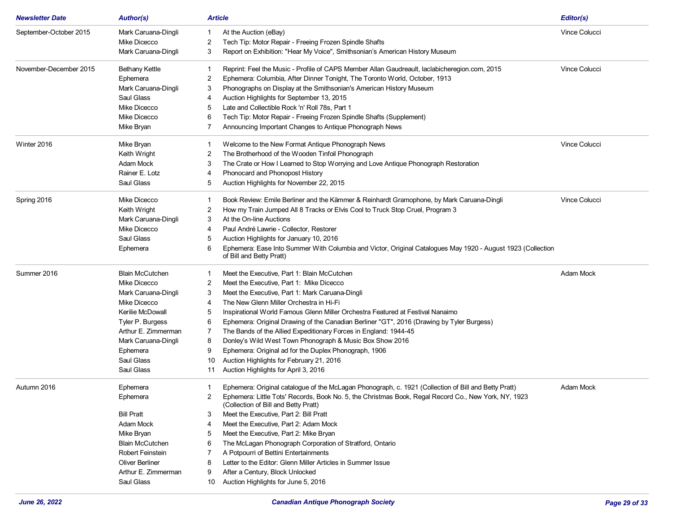| <b>Newsletter Date</b> | <b>Author(s)</b>       | <b>Article</b>                                                                                                                                    | Editor(s)            |
|------------------------|------------------------|---------------------------------------------------------------------------------------------------------------------------------------------------|----------------------|
| September-October 2015 | Mark Caruana-Dingli    | At the Auction (eBay)<br>1                                                                                                                        | <b>Vince Colucci</b> |
|                        | Mike Dicecco           | Tech Tip: Motor Repair - Freeing Frozen Spindle Shafts<br>2                                                                                       |                      |
|                        | Mark Caruana-Dingli    | Report on Exhibition: "Hear My Voice", Smithsonian's American History Museum<br>3                                                                 |                      |
| November-December 2015 | <b>Bethany Kettle</b>  | Reprint: Feel the Music - Profile of CAPS Member Allan Gaudreault, laclabicheregion.com, 2015<br>1                                                | <b>Vince Colucci</b> |
|                        | Ephemera               | Ephemera: Columbia, After Dinner Tonight, The Toronto World, October, 1913<br>2                                                                   |                      |
|                        | Mark Caruana-Dingli    | Phonographs on Display at the Smithsonian's American History Museum<br>3                                                                          |                      |
|                        | Saul Glass             | Auction Highlights for September 13, 2015<br>4                                                                                                    |                      |
|                        | Mike Dicecco           | Late and Collectible Rock 'n' Roll 78s, Part 1<br>5                                                                                               |                      |
|                        | Mike Dicecco           | Tech Tip: Motor Repair - Freeing Frozen Spindle Shafts (Supplement)<br>6                                                                          |                      |
|                        | Mike Bryan             | Announcing Important Changes to Antique Phonograph News<br>7                                                                                      |                      |
| Winter 2016            | Mike Bryan             | Welcome to the New Format Antique Phonograph News<br>1                                                                                            | <b>Vince Colucci</b> |
|                        | Keith Wright           | The Brotherhood of the Wooden Tinfoil Phonograph<br>2                                                                                             |                      |
|                        | Adam Mock              | The Crate or How I Learned to Stop Worrying and Love Antique Phonograph Restoration<br>3                                                          |                      |
|                        | Rainer E. Lotz         | Phonocard and Phonopost History<br>4                                                                                                              |                      |
|                        | Saul Glass             | Auction Highlights for November 22, 2015<br>5                                                                                                     |                      |
| Spring 2016            | Mike Dicecco           | Book Review: Emile Berliner and the Kämmer & Reinhardt Gramophone, by Mark Caruana-Dingli<br>1                                                    | <b>Vince Colucci</b> |
|                        | Keith Wright           | 2<br>How my Train Jumped All 8 Tracks or Elvis Cool to Truck Stop Cruel, Program 3                                                                |                      |
|                        | Mark Caruana-Dingli    | At the On-line Auctions<br>3                                                                                                                      |                      |
|                        | Mike Dicecco           | Paul André Lawrie - Collector, Restorer<br>4                                                                                                      |                      |
|                        | Saul Glass             | Auction Highlights for January 10, 2016<br>5                                                                                                      |                      |
|                        | Ephemera               | Ephemera: Ease Into Summer With Columbia and Victor, Original Catalogues May 1920 - August 1923 (Collection<br>6<br>of Bill and Betty Pratt)      |                      |
| Summer 2016            | <b>Blain McCutchen</b> | Meet the Executive, Part 1: Blain McCutchen<br>1.                                                                                                 | Adam Mock            |
|                        | Mike Dicecco           | Meet the Executive, Part 1: Mike Dicecco                                                                                                          |                      |
|                        | Mark Caruana-Dingli    | Meet the Executive, Part 1: Mark Caruana-Dingli<br>3                                                                                              |                      |
|                        | Mike Dicecco           | The New Glenn Miller Orchestra in Hi-Fi<br>4                                                                                                      |                      |
|                        | Kerilie McDowall       | Inspirational World Famous Glenn Miller Orchestra Featured at Festival Nanaimo<br>5                                                               |                      |
|                        | Tyler P. Burgess       | Ephemera: Original Drawing of the Canadian Berliner "GT", 2016 (Drawing by Tyler Burgess)<br>6                                                    |                      |
|                        | Arthur E. Zimmerman    | The Bands of the Allied Expeditionary Forces in England: 1944-45<br>7                                                                             |                      |
|                        | Mark Caruana-Dingli    | Donley's Wild West Town Phonograph & Music Box Show 2016<br>8                                                                                     |                      |
|                        | Ephemera               | Ephemera: Original ad for the Duplex Phonograph, 1906<br>9                                                                                        |                      |
|                        | Saul Glass             | Auction Highlights for February 21, 2016<br>10                                                                                                    |                      |
|                        | Saul Glass             | Auction Highlights for April 3, 2016<br>11                                                                                                        |                      |
| Autumn 2016            | Ephemera               | Ephemera: Original catalogue of the McLagan Phonograph, c. 1921 (Collection of Bill and Betty Pratt)<br>1                                         | Adam Mock            |
|                        | Ephemera               | Ephemera: Little Tots' Records, Book No. 5, the Christmas Book, Regal Record Co., New York, NY, 1923<br>2<br>(Collection of Bill and Betty Pratt) |                      |
|                        | <b>Bill Pratt</b>      | Meet the Executive, Part 2: Bill Pratt<br>3                                                                                                       |                      |
|                        | Adam Mock              | Meet the Executive, Part 2: Adam Mock<br>4                                                                                                        |                      |
|                        | Mike Bryan             | Meet the Executive, Part 2: Mike Bryan<br>5                                                                                                       |                      |
|                        | <b>Blain McCutchen</b> | The McLagan Phonograph Corporation of Stratford, Ontario<br>6                                                                                     |                      |
|                        | Robert Feinstein       | A Potpourri of Bettini Entertainments<br>7                                                                                                        |                      |
|                        | <b>Oliver Berliner</b> | Letter to the Editor: Glenn Miller Articles in Summer Issue<br>8                                                                                  |                      |
|                        | Arthur E. Zimmerman    | After a Century, Block Unlocked<br>9                                                                                                              |                      |
|                        | Saul Glass             | 10 Auction Highlights for June 5, 2016                                                                                                            |                      |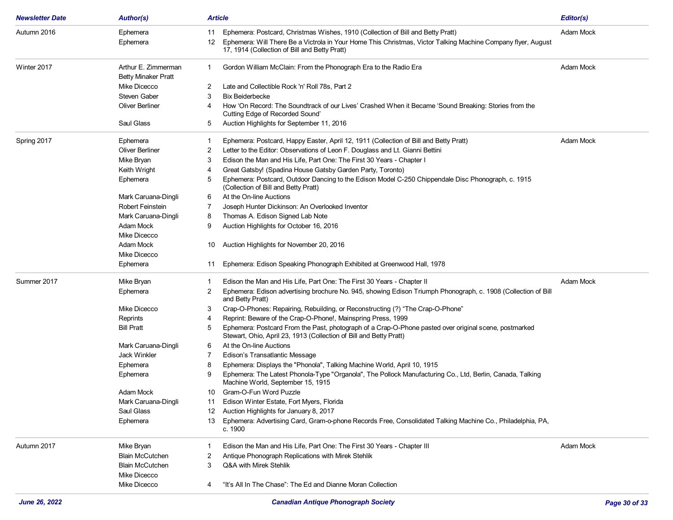| <b>Newsletter Date</b> | <b>Author(s)</b>                                  | <b>Article</b>                                                                                                                                                                   | Editor(s) |
|------------------------|---------------------------------------------------|----------------------------------------------------------------------------------------------------------------------------------------------------------------------------------|-----------|
| Autumn 2016            | Ephemera                                          | Ephemera: Postcard, Christmas Wishes, 1910 (Collection of Bill and Betty Pratt)<br>11                                                                                            | Adam Mock |
|                        | Ephemera                                          | Ephemera: Will There Be a Victrola in Your Home This Christmas, Victor Talking Machine Company flyer, August<br>12<br>17, 1914 (Collection of Bill and Betty Pratt)              |           |
| Winter 2017            | Arthur E. Zimmerman<br><b>Betty Minaker Pratt</b> | Gordon William McClain: From the Phonograph Era to the Radio Era<br>1                                                                                                            | Adam Mock |
|                        | Mike Dicecco                                      | Late and Collectible Rock 'n' Roll 78s, Part 2<br>2                                                                                                                              |           |
|                        | <b>Steven Gaber</b>                               | <b>Bix Beiderbecke</b><br>3                                                                                                                                                      |           |
|                        | Oliver Berliner                                   | How 'On Record: The Soundtrack of our Lives' Crashed When it Became 'Sound Breaking: Stories from the<br>4<br>Cutting Edge of Recorded Sound'                                    |           |
|                        | Saul Glass                                        | Auction Highlights for September 11, 2016<br>5                                                                                                                                   |           |
| Spring 2017            | Ephemera                                          | Ephemera: Postcard, Happy Easter, April 12, 1911 (Collection of Bill and Betty Pratt)<br>1                                                                                       | Adam Mock |
|                        | <b>Oliver Berliner</b>                            | Letter to the Editor: Observations of Leon F. Douglass and Lt. Gianni Bettini<br>2                                                                                               |           |
|                        | Mike Bryan                                        | Edison the Man and His Life, Part One: The First 30 Years - Chapter I<br>3                                                                                                       |           |
|                        | Keith Wright                                      | Great Gatsby! (Spadina House Gatsby Garden Party, Toronto)<br>4                                                                                                                  |           |
|                        | Ephemera                                          | Ephemera: Postcard, Outdoor Dancing to the Edison Model C-250 Chippendale Disc Phonograph, c. 1915<br>5<br>(Collection of Bill and Betty Pratt)                                  |           |
|                        | Mark Caruana-Dingli                               | At the On-line Auctions<br>6                                                                                                                                                     |           |
|                        | Robert Feinstein                                  | Joseph Hunter Dickinson: An Overlooked Inventor<br>7                                                                                                                             |           |
|                        | Mark Caruana-Dingli                               | Thomas A. Edison Signed Lab Note<br>8                                                                                                                                            |           |
|                        | Adam Mock                                         | Auction Highlights for October 16, 2016<br>9                                                                                                                                     |           |
|                        | Mike Dicecco                                      |                                                                                                                                                                                  |           |
|                        | Adam Mock                                         | Auction Highlights for November 20, 2016<br>10                                                                                                                                   |           |
|                        | Mike Dicecco                                      |                                                                                                                                                                                  |           |
|                        | Ephemera                                          | Ephemera: Edison Speaking Phonograph Exhibited at Greenwood Hall, 1978<br>11                                                                                                     |           |
| Summer 2017            | Mike Bryan                                        | Edison the Man and His Life, Part One: The First 30 Years - Chapter II<br>1                                                                                                      | Adam Mock |
|                        | Ephemera                                          | Ephemera: Edison advertising brochure No. 945, showing Edison Triumph Phonograph, c. 1908 (Collection of Bill<br>2<br>and Betty Pratt)                                           |           |
|                        | Mike Dicecco                                      | Crap-O-Phones: Repairing, Rebuilding, or Reconstructing (?) "The Crap-O-Phone"<br>3                                                                                              |           |
|                        | Reprints                                          | Reprint: Beware of the Crap-O-Phone!, Mainspring Press, 1999<br>4                                                                                                                |           |
|                        | <b>Bill Pratt</b>                                 | Ephemera: Postcard From the Past, photograph of a Crap-O-Phone pasted over original scene, postmarked<br>5<br>Stewart, Ohio, April 23, 1913 (Collection of Bill and Betty Pratt) |           |
|                        | Mark Caruana-Dingli                               | At the On-line Auctions<br>6                                                                                                                                                     |           |
|                        | Jack Winkler                                      | 7<br>Edison's Transatlantic Message                                                                                                                                              |           |
|                        | Ephemera                                          | Ephemera: Displays the "Phonola", Talking Machine World, April 10, 1915<br>8                                                                                                     |           |
|                        | Ephemera                                          | Ephemera: The Latest Phonola-Type "Organola", The Pollock Manufacturing Co., Ltd, Berlin, Canada, Talking<br>9<br>Machine World, September 15, 1915                              |           |
|                        | Adam Mock                                         | Gram-O-Fun Word Puzzle<br>10                                                                                                                                                     |           |
|                        | Mark Caruana-Dingli                               | Edison Winter Estate, Fort Myers, Florida<br>11                                                                                                                                  |           |
|                        | Saul Glass                                        | Auction Highlights for January 8, 2017<br>12                                                                                                                                     |           |
|                        | Ephemera                                          | Ephemera: Advertising Card, Gram-o-phone Records Free, Consolidated Talking Machine Co., Philadelphia, PA,<br>13<br>c. 1900                                                      |           |
| Autumn 2017            | Mike Bryan                                        | Edison the Man and His Life, Part One: The First 30 Years - Chapter III                                                                                                          | Adam Mock |
|                        | <b>Blain McCutchen</b>                            | Antique Phonograph Replications with Mirek Stehlik<br>2                                                                                                                          |           |
|                        | <b>Blain McCutchen</b>                            | 3<br>Q&A with Mirek Stehlik                                                                                                                                                      |           |
|                        | Mike Dicecco                                      |                                                                                                                                                                                  |           |
|                        | Mike Dicecco                                      | "It's All In The Chase": The Ed and Dianne Moran Collection<br>4                                                                                                                 |           |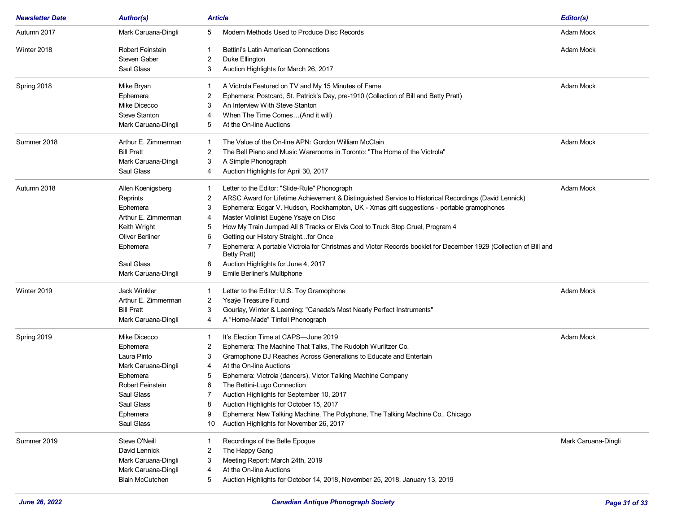| <b>Newsletter Date</b> | <b>Author(s)</b>       | <b>Article</b> |                                                                                                                                         | Editor(s)           |
|------------------------|------------------------|----------------|-----------------------------------------------------------------------------------------------------------------------------------------|---------------------|
| Autumn 2017            | Mark Caruana-Dingli    | 5              | Modern Methods Used to Produce Disc Records                                                                                             | Adam Mock           |
| Winter 2018            | Robert Feinstein       |                | Bettini's Latin American Connections                                                                                                    | Adam Mock           |
|                        | <b>Steven Gaber</b>    | 2              | Duke Ellington                                                                                                                          |                     |
|                        | Saul Glass             | 3              | Auction Highlights for March 26, 2017                                                                                                   |                     |
| Spring 2018            | Mike Bryan             | -1             | A Victrola Featured on TV and My 15 Minutes of Fame                                                                                     | Adam Mock           |
|                        | Ephemera               | 2              | Ephemera: Postcard, St. Patrick's Day, pre-1910 (Collection of Bill and Betty Pratt)                                                    |                     |
|                        | Mike Dicecco           | 3              | An Interview With Steve Stanton                                                                                                         |                     |
|                        | <b>Steve Stanton</b>   | 4              | When The Time Comes(And it will)                                                                                                        |                     |
|                        | Mark Caruana-Dingli    | 5              | At the On-line Auctions                                                                                                                 |                     |
| Summer 2018            | Arthur E. Zimmerman    | -1             | The Value of the On-line APN: Gordon William McClain                                                                                    | Adam Mock           |
|                        | <b>Bill Pratt</b>      | 2              | The Bell Piano and Music Warerooms in Toronto: "The Home of the Victrola"                                                               |                     |
|                        | Mark Caruana-Dingli    | 3              | A Simple Phonograph                                                                                                                     |                     |
|                        | Saul Glass             | 4              | Auction Highlights for April 30, 2017                                                                                                   |                     |
| Autumn 2018            | Allen Koenigsberg      | -1             | Letter to the Editor: "Slide-Rule" Phonograph                                                                                           | Adam Mock           |
|                        | Reprints               | 2              | ARSC Award for Lifetime Achievement & Distinguished Service to Historical Recordings (David Lennick)                                    |                     |
|                        | Ephemera               | 3              | Ephemera: Edgar V. Hudson, Rockhampton, UK - Xmas gift suggestions - portable gramophones                                               |                     |
|                        | Arthur E. Zimmerman    | 4              | Master Violinist Eugène Ysaÿe on Disc                                                                                                   |                     |
|                        | Keith Wright           | 5              | How My Train Jumped All 8 Tracks or Elvis Cool to Truck Stop Cruel, Program 4                                                           |                     |
|                        | <b>Oliver Berliner</b> | 6              | Getting our History Straightfor Once                                                                                                    |                     |
|                        | Ephemera               |                | Ephemera: A portable Victrola for Christmas and Victor Records booklet for December 1929 (Collection of Bill and<br><b>Betty Pratt)</b> |                     |
|                        | Saul Glass             | 8              | Auction Highlights for June 4, 2017                                                                                                     |                     |
|                        | Mark Caruana-Dingli    | 9              | Emile Berliner's Multiphone                                                                                                             |                     |
| Winter 2019            | <b>Jack Winkler</b>    | -1             | Letter to the Editor: U.S. Toy Gramophone                                                                                               | Adam Mock           |
|                        | Arthur E. Zimmerman    | 2              | Ysaÿe Treasure Found                                                                                                                    |                     |
|                        | <b>Bill Pratt</b>      | 3              | Gourlay, Winter & Leeming: "Canada's Most Nearly Perfect Instruments"                                                                   |                     |
|                        | Mark Caruana-Dingli    | 4              | A "Home-Made" Tinfoil Phonograph                                                                                                        |                     |
| Spring 2019            | Mike Dicecco           |                | It's Election Time at CAPS—June 2019                                                                                                    | Adam Mock           |
|                        | Ephemera               | 2              | Ephemera: The Machine That Talks, The Rudolph Wurlitzer Co.                                                                             |                     |
|                        | Laura Pinto            | 3              | Gramophone DJ Reaches Across Generations to Educate and Entertain                                                                       |                     |
|                        | Mark Caruana-Dingli    | 4              | At the On-line Auctions                                                                                                                 |                     |
|                        | Ephemera               | 5              | Ephemera: Victrola (dancers), Victor Talking Machine Company                                                                            |                     |
|                        | Robert Feinstein       | 6              | The Bettini-Lugo Connection                                                                                                             |                     |
|                        | Saul Glass             |                | Auction Highlights for September 10, 2017                                                                                               |                     |
|                        | Saul Glass             | 8              | Auction Highlights for October 15, 2017                                                                                                 |                     |
|                        | Ephemera               | 9              | Ephemera: New Talking Machine, The Polyphone, The Talking Machine Co., Chicago                                                          |                     |
|                        | Saul Glass             | 10             | Auction Highlights for November 26, 2017                                                                                                |                     |
| Summer 2019            | <b>Steve O'Neill</b>   |                | Recordings of the Belle Epoque                                                                                                          | Mark Caruana-Dingli |
|                        | David Lennick          | 2              | The Happy Gang                                                                                                                          |                     |
|                        | Mark Caruana-Dingli    | 3              | Meeting Report: March 24th, 2019                                                                                                        |                     |
|                        | Mark Caruana-Dingli    | 4              | At the On-line Auctions                                                                                                                 |                     |
|                        | <b>Blain McCutchen</b> | 5              | Auction Highlights for October 14, 2018, November 25, 2018, January 13, 2019                                                            |                     |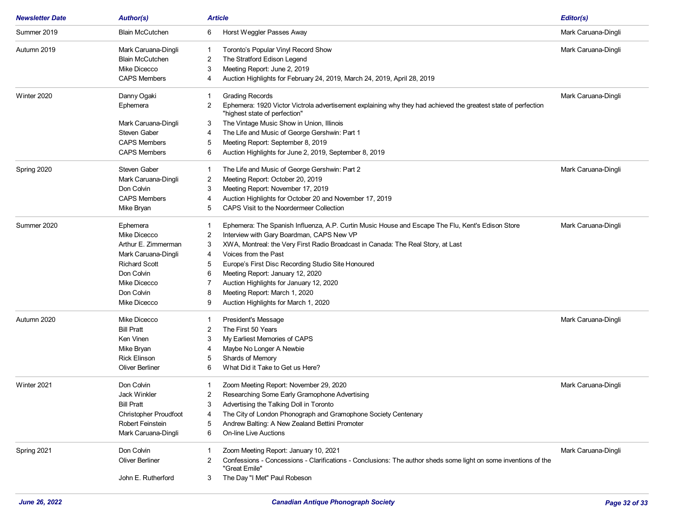| <b>Newsletter Date</b> | <b>Author(s)</b>             | <b>Article</b>                                                                                                                                       | Editor(s)           |
|------------------------|------------------------------|------------------------------------------------------------------------------------------------------------------------------------------------------|---------------------|
| Summer 2019            | <b>Blain McCutchen</b>       | Horst Weggler Passes Away<br>6                                                                                                                       | Mark Caruana-Dingli |
| Autumn 2019            | Mark Caruana-Dingli          | Toronto's Popular Vinyl Record Show<br>1                                                                                                             | Mark Caruana-Dingli |
|                        | <b>Blain McCutchen</b>       | The Stratford Edison Legend<br>2                                                                                                                     |                     |
|                        | Mike Dicecco                 | Meeting Report: June 2, 2019<br>3                                                                                                                    |                     |
|                        | <b>CAPS Members</b>          | Auction Highlights for February 24, 2019, March 24, 2019, April 28, 2019<br>4                                                                        |                     |
| Winter 2020            | Danny Ogaki                  | <b>Grading Records</b>                                                                                                                               | Mark Caruana-Dingli |
|                        | Ephemera                     | Ephemera: 1920 Victor Victrola advertisement explaining why they had achieved the greatest state of perfection<br>2<br>"highest state of perfection" |                     |
|                        | Mark Caruana-Dingli          | The Vintage Music Show in Union, Illinois<br>3                                                                                                       |                     |
|                        | <b>Steven Gaber</b>          | The Life and Music of George Gershwin: Part 1<br>4                                                                                                   |                     |
|                        | <b>CAPS Members</b>          | Meeting Report: September 8, 2019<br>5                                                                                                               |                     |
|                        | <b>CAPS Members</b>          | Auction Highlights for June 2, 2019, September 8, 2019<br>6                                                                                          |                     |
| Spring 2020            | Steven Gaber                 | The Life and Music of George Gershwin: Part 2<br>-1                                                                                                  | Mark Caruana-Dingli |
|                        | Mark Caruana-Dingli          | Meeting Report: October 20, 2019<br>2                                                                                                                |                     |
|                        | Don Colvin                   | Meeting Report: November 17, 2019<br>3                                                                                                               |                     |
|                        | <b>CAPS Members</b>          | Auction Highlights for October 20 and November 17, 2019<br>4                                                                                         |                     |
|                        | Mike Bryan                   | CAPS Visit to the Noordermeer Collection                                                                                                             |                     |
| Summer 2020            | Ephemera                     | Ephemera: The Spanish Influenza, A.P. Curtin Music House and Escape The Flu, Kent's Edison Store                                                     | Mark Caruana-Dingli |
|                        | Mike Dicecco                 | Interview with Gary Boardman, CAPS New VP<br>2                                                                                                       |                     |
|                        | Arthur E. Zimmerman          | 3<br>XWA, Montreal: the Very First Radio Broadcast in Canada: The Real Story, at Last                                                                |                     |
|                        | Mark Caruana-Dingli          | Voices from the Past<br>4                                                                                                                            |                     |
|                        | <b>Richard Scott</b>         | Europe's First Disc Recording Studio Site Honoured<br>5                                                                                              |                     |
|                        | Don Colvin                   | Meeting Report: January 12, 2020<br>6                                                                                                                |                     |
|                        | Mike Dicecco                 | Auction Highlights for January 12, 2020                                                                                                              |                     |
|                        | Don Colvin                   | Meeting Report: March 1, 2020<br>8                                                                                                                   |                     |
|                        | Mike Dicecco                 | Auction Highlights for March 1, 2020<br>9                                                                                                            |                     |
| Autumn 2020            | Mike Dicecco                 | President's Message                                                                                                                                  | Mark Caruana-Dingli |
|                        | <b>Bill Pratt</b>            | The First 50 Years<br>2                                                                                                                              |                     |
|                        | Ken Vinen                    | My Earliest Memories of CAPS<br>3                                                                                                                    |                     |
|                        | Mike Bryan                   | Maybe No Longer A Newbie<br>4                                                                                                                        |                     |
|                        | <b>Rick Elinson</b>          | Shards of Memory<br>5                                                                                                                                |                     |
|                        | Oliver Berliner              | What Did it Take to Get us Here?<br>6                                                                                                                |                     |
| Winter 2021            | Don Colvin                   | Zoom Meeting Report: November 29, 2020                                                                                                               | Mark Caruana-Dingli |
|                        | Jack Winkler                 | Researching Some Early Gramophone Advertising<br>2                                                                                                   |                     |
|                        | <b>Bill Pratt</b>            | Advertising the Talking Doll in Toronto<br>3                                                                                                         |                     |
|                        | <b>Christopher Proudfoot</b> | The City of London Phonograph and Gramophone Society Centenary                                                                                       |                     |
|                        | Robert Feinstein             | Andrew Balting: A New Zealand Bettini Promoter<br>5                                                                                                  |                     |
|                        | Mark Caruana-Dingli          | <b>On-line Live Auctions</b><br>6                                                                                                                    |                     |
| Spring 2021            | Don Colvin                   | Zoom Meeting Report: January 10, 2021                                                                                                                | Mark Caruana-Dingli |
|                        | Oliver Berliner              | Confessions - Concessions - Clarifications - Conclusions: The author sheds some light on some inventions of the<br>"Great Emile"                     |                     |
|                        | John E. Rutherford           | The Day "I Met" Paul Robeson<br>3                                                                                                                    |                     |